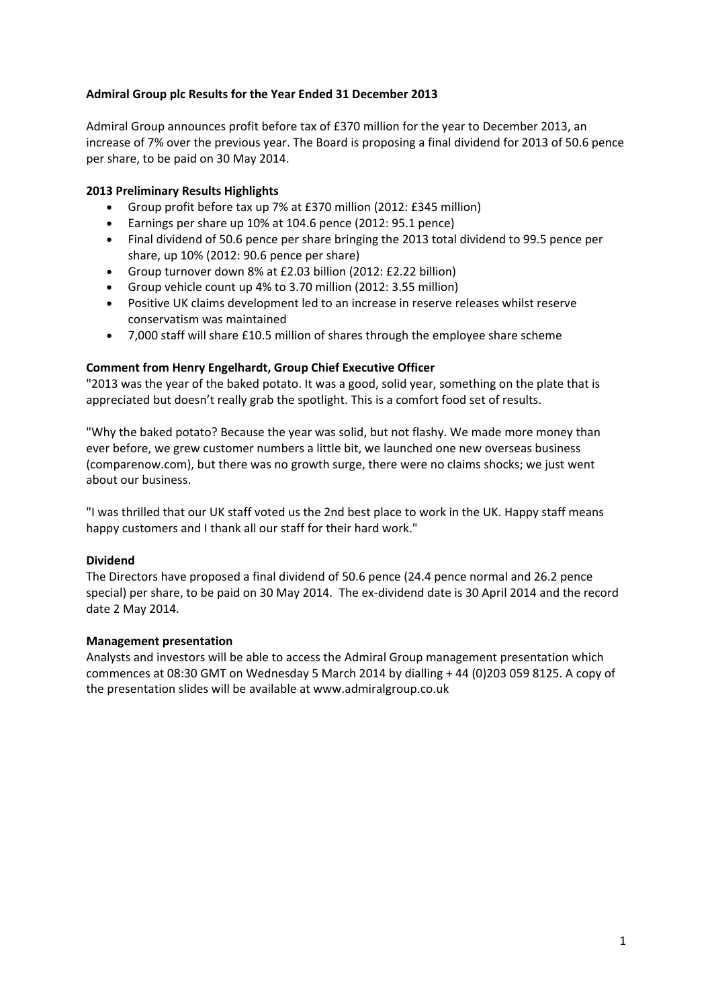## **Admiral Group plc Results for the Year Ended 31 December 2013**

Admiral Group announces profit before tax of £370 million for the year to December 2013, an increase of 7% over the previous year. The Board is proposing a final dividend for 2013 of 50.6 pence per share, to be paid on 30 May 2014.

## **2013 Preliminary Results Highlights**

- Group profit before tax up 7% at £370 million (2012: £345 million)
- Earnings per share up 10% at 104.6 pence (2012: 95.1 pence)
- Final dividend of 50.6 pence per share bringing the 2013 total dividend to 99.5 pence per share, up 10% (2012: 90.6 pence per share)
- Group turnover down 8% at £2.03 billion (2012: £2.22 billion)
- Group vehicle count up 4% to 3.70 million (2012: 3.55 million)
- Positive UK claims development led to an increase in reserve releases whilst reserve conservatism was maintained
- 7,000 staff will share £10.5 million of shares through the employee share scheme

## **Comment from Henry Engelhardt, Group Chief Executive Officer**

"2013 was the year of the baked potato. It was a good, solid year, something on the plate that is appreciated but doesn't really grab the spotlight. This is a comfort food set of results.

"Why the baked potato? Because the year was solid, but not flashy. We made more money than ever before, we grew customer numbers a little bit, we launched one new overseas business (comparenow.com), but there was no growth surge, there were no claims shocks; we just went about our business.

"I was thrilled that our UK staff voted us the 2nd best place to work in the UK. Happy staff means happy customers and I thank all our staff for their hard work."

## **Dividend**

The Directors have proposed a final dividend of 50.6 pence (24.4 pence normal and 26.2 pence special) per share, to be paid on 30 May 2014. The ex-dividend date is 30 April 2014 and the record date 2 May 2014.

## **Management presentation**

Analysts and investors will be able to access the Admiral Group management presentation which commences at 08:30 GMT on Wednesday 5 March 2014 by dialling + 44 (0)203 059 8125. A copy of the presentation slides will be available at www.admiralgroup.co.uk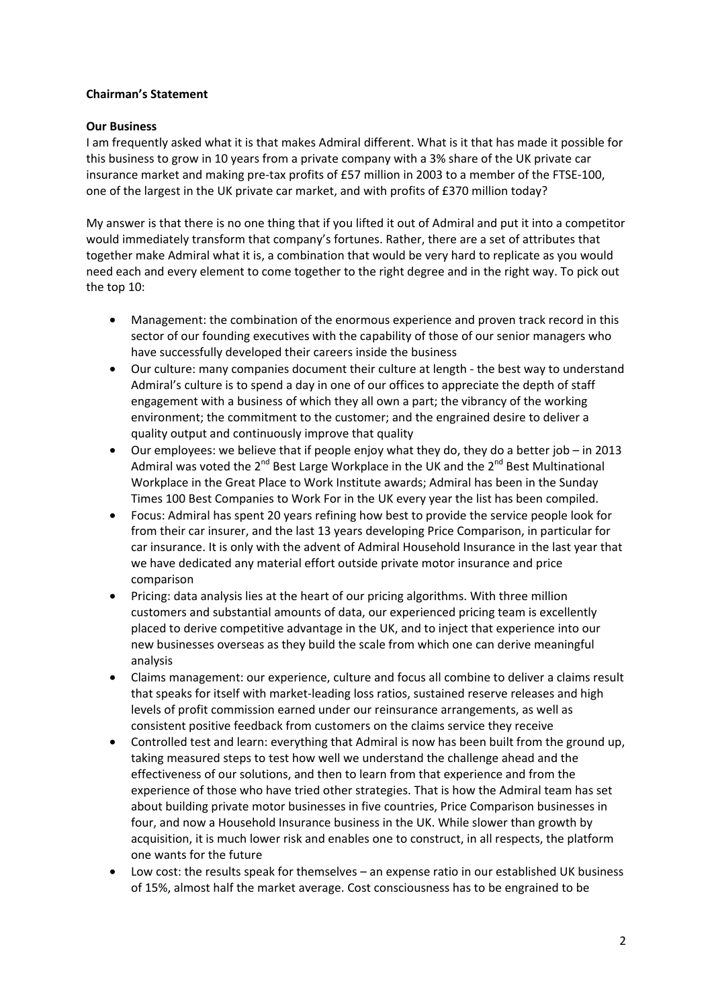## **Chairman's Statement**

## **Our Business**

I am frequently asked what it is that makes Admiral different. What is it that has made it possible for this business to grow in 10 years from a private company with a 3% share of the UK private car insurance market and making pre-tax profits of £57 million in 2003 to a member of the FTSE-100, one of the largest in the UK private car market, and with profits of £370 million today?

My answer is that there is no one thing that if you lifted it out of Admiral and put it into a competitor would immediately transform that company's fortunes. Rather, there are a set of attributes that together make Admiral what it is, a combination that would be very hard to replicate as you would need each and every element to come together to the right degree and in the right way. To pick out the top 10:

- Management: the combination of the enormous experience and proven track record in this sector of our founding executives with the capability of those of our senior managers who have successfully developed their careers inside the business
- Our culture: many companies document their culture at length the best way to understand Admiral's culture is to spend a day in one of our offices to appreciate the depth of staff engagement with a business of which they all own a part; the vibrancy of the working environment; the commitment to the customer; and the engrained desire to deliver a quality output and continuously improve that quality
- Our employees: we believe that if people enjoy what they do, they do a better job in 2013 Admiral was voted the  $2^{nd}$  Best Large Workplace in the UK and the  $2^{nd}$  Best Multinational Workplace in the Great Place to Work Institute awards; Admiral has been in the Sunday Times 100 Best Companies to Work For in the UK every year the list has been compiled.
- Focus: Admiral has spent 20 years refining how best to provide the service people look for from their car insurer, and the last 13 years developing Price Comparison, in particular for car insurance. It is only with the advent of Admiral Household Insurance in the last year that we have dedicated any material effort outside private motor insurance and price comparison
- Pricing: data analysis lies at the heart of our pricing algorithms. With three million customers and substantial amounts of data, our experienced pricing team is excellently placed to derive competitive advantage in the UK, and to inject that experience into our new businesses overseas as they build the scale from which one can derive meaningful analysis
- Claims management: our experience, culture and focus all combine to deliver a claims result that speaks for itself with market-leading loss ratios, sustained reserve releases and high levels of profit commission earned under our reinsurance arrangements, as well as consistent positive feedback from customers on the claims service they receive
- Controlled test and learn: everything that Admiral is now has been built from the ground up, taking measured steps to test how well we understand the challenge ahead and the effectiveness of our solutions, and then to learn from that experience and from the experience of those who have tried other strategies. That is how the Admiral team has set about building private motor businesses in five countries, Price Comparison businesses in four, and now a Household Insurance business in the UK. While slower than growth by acquisition, it is much lower risk and enables one to construct, in all respects, the platform one wants for the future
- Low cost: the results speak for themselves an expense ratio in our established UK business of 15%, almost half the market average. Cost consciousness has to be engrained to be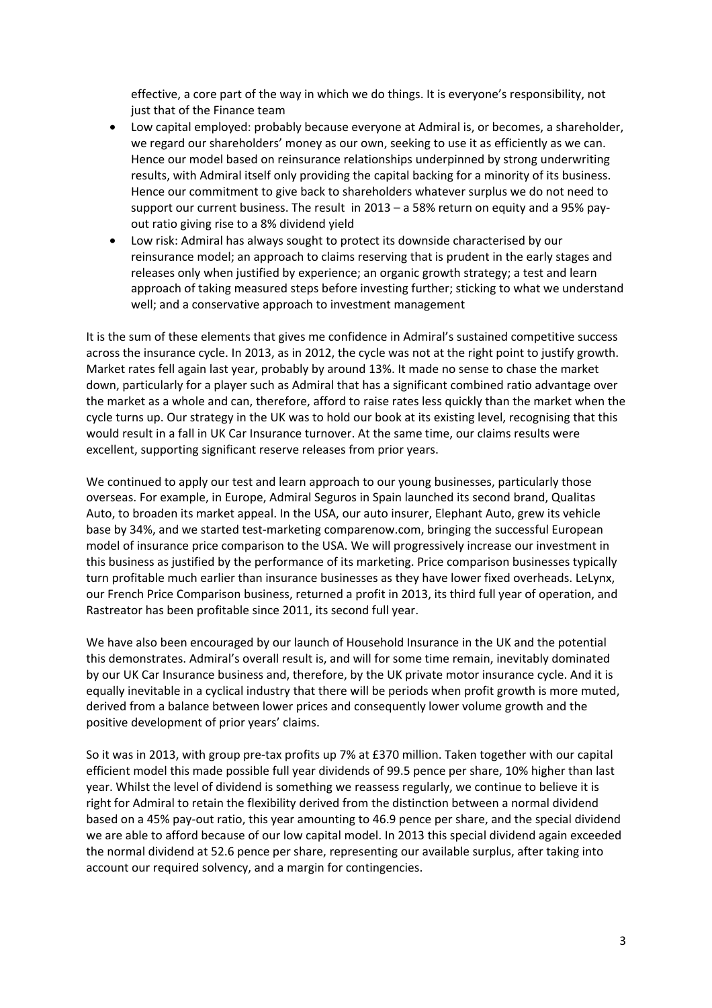effective, a core part of the way in which we do things. It is everyone's responsibility, not just that of the Finance team

- Low capital employed: probably because everyone at Admiral is, or becomes, a shareholder, we regard our shareholders' money as our own, seeking to use it as efficiently as we can. Hence our model based on reinsurance relationships underpinned by strong underwriting results, with Admiral itself only providing the capital backing for a minority of its business. Hence our commitment to give back to shareholders whatever surplus we do not need to support our current business. The result in 2013 – a 58% return on equity and a 95% payout ratio giving rise to a 8% dividend yield
- Low risk: Admiral has always sought to protect its downside characterised by our reinsurance model; an approach to claims reserving that is prudent in the early stages and releases only when justified by experience; an organic growth strategy; a test and learn approach of taking measured steps before investing further; sticking to what we understand well; and a conservative approach to investment management

It is the sum of these elements that gives me confidence in Admiral's sustained competitive success across the insurance cycle. In 2013, as in 2012, the cycle was not at the right point to justify growth. Market rates fell again last year, probably by around 13%. It made no sense to chase the market down, particularly for a player such as Admiral that has a significant combined ratio advantage over the market as a whole and can, therefore, afford to raise rates less quickly than the market when the cycle turns up. Our strategy in the UK was to hold our book at its existing level, recognising that this would result in a fall in UK Car Insurance turnover. At the same time, our claims results were excellent, supporting significant reserve releases from prior years.

We continued to apply our test and learn approach to our young businesses, particularly those overseas. For example, in Europe, Admiral Seguros in Spain launched its second brand, Qualitas Auto, to broaden its market appeal. In the USA, our auto insurer, Elephant Auto, grew its vehicle base by 34%, and we started test-marketing comparenow.com, bringing the successful European model of insurance price comparison to the USA. We will progressively increase our investment in this business as justified by the performance of its marketing. Price comparison businesses typically turn profitable much earlier than insurance businesses as they have lower fixed overheads. LeLynx, our French Price Comparison business, returned a profit in 2013, its third full year of operation, and Rastreator has been profitable since 2011, its second full year.

We have also been encouraged by our launch of Household Insurance in the UK and the potential this demonstrates. Admiral's overall result is, and will for some time remain, inevitably dominated by our UK Car Insurance business and, therefore, by the UK private motor insurance cycle. And it is equally inevitable in a cyclical industry that there will be periods when profit growth is more muted, derived from a balance between lower prices and consequently lower volume growth and the positive development of prior years' claims.

So it was in 2013, with group pre-tax profits up 7% at £370 million. Taken together with our capital efficient model this made possible full year dividends of 99.5 pence per share, 10% higher than last year. Whilst the level of dividend is something we reassess regularly, we continue to believe it is right for Admiral to retain the flexibility derived from the distinction between a normal dividend based on a 45% pay-out ratio, this year amounting to 46.9 pence per share, and the special dividend we are able to afford because of our low capital model. In 2013 this special dividend again exceeded the normal dividend at 52.6 pence per share, representing our available surplus, after taking into account our required solvency, and a margin for contingencies.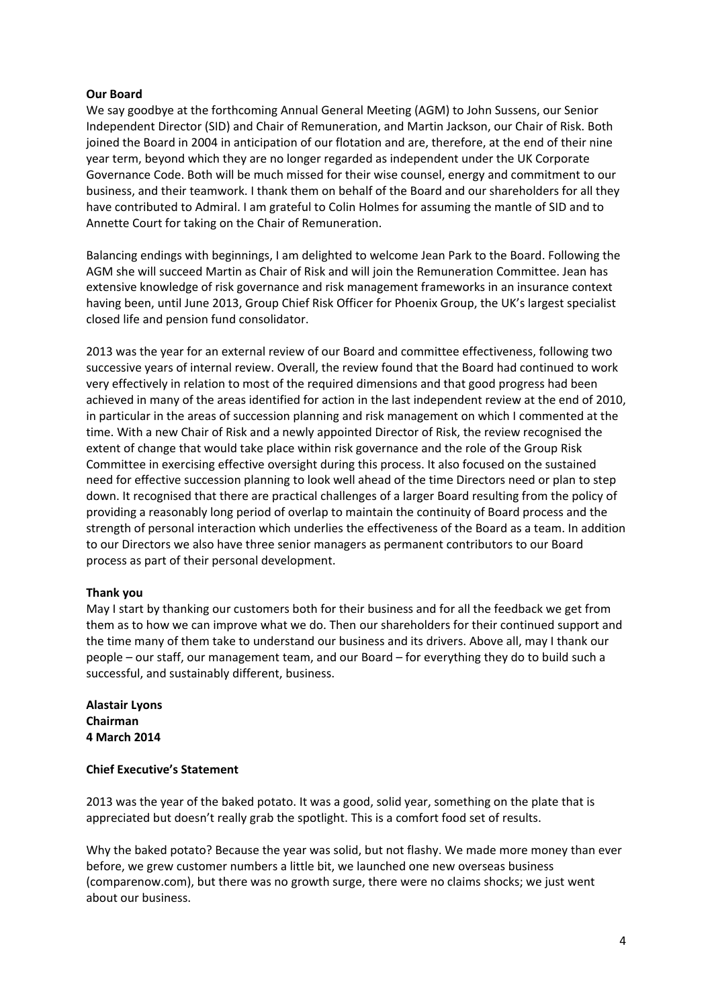## **Our Board**

We say goodbye at the forthcoming Annual General Meeting (AGM) to John Sussens, our Senior Independent Director (SID) and Chair of Remuneration, and Martin Jackson, our Chair of Risk. Both joined the Board in 2004 in anticipation of our flotation and are, therefore, at the end of their nine year term, beyond which they are no longer regarded as independent under the UK Corporate Governance Code. Both will be much missed for their wise counsel, energy and commitment to our business, and their teamwork. I thank them on behalf of the Board and our shareholders for all they have contributed to Admiral. I am grateful to Colin Holmes for assuming the mantle of SID and to Annette Court for taking on the Chair of Remuneration.

Balancing endings with beginnings, I am delighted to welcome Jean Park to the Board. Following the AGM she will succeed Martin as Chair of Risk and will join the Remuneration Committee. Jean has extensive knowledge of risk governance and risk management frameworks in an insurance context having been, until June 2013, Group Chief Risk Officer for Phoenix Group, the UK's largest specialist closed life and pension fund consolidator.

2013 was the year for an external review of our Board and committee effectiveness, following two successive years of internal review. Overall, the review found that the Board had continued to work very effectively in relation to most of the required dimensions and that good progress had been achieved in many of the areas identified for action in the last independent review at the end of 2010, in particular in the areas of succession planning and risk management on which I commented at the time. With a new Chair of Risk and a newly appointed Director of Risk, the review recognised the extent of change that would take place within risk governance and the role of the Group Risk Committee in exercising effective oversight during this process. It also focused on the sustained need for effective succession planning to look well ahead of the time Directors need or plan to step down. It recognised that there are practical challenges of a larger Board resulting from the policy of providing a reasonably long period of overlap to maintain the continuity of Board process and the strength of personal interaction which underlies the effectiveness of the Board as a team. In addition to our Directors we also have three senior managers as permanent contributors to our Board process as part of their personal development.

## **Thank you**

May I start by thanking our customers both for their business and for all the feedback we get from them as to how we can improve what we do. Then our shareholders for their continued support and the time many of them take to understand our business and its drivers. Above all, may I thank our people – our staff, our management team, and our Board – for everything they do to build such a successful, and sustainably different, business.

**Alastair Lyons Chairman 4 March 2014** 

## **Chief Executive's Statement**

2013 was the year of the baked potato. It was a good, solid year, something on the plate that is appreciated but doesn't really grab the spotlight. This is a comfort food set of results.

Why the baked potato? Because the year was solid, but not flashy. We made more money than ever before, we grew customer numbers a little bit, we launched one new overseas business (comparenow.com), but there was no growth surge, there were no claims shocks; we just went about our business.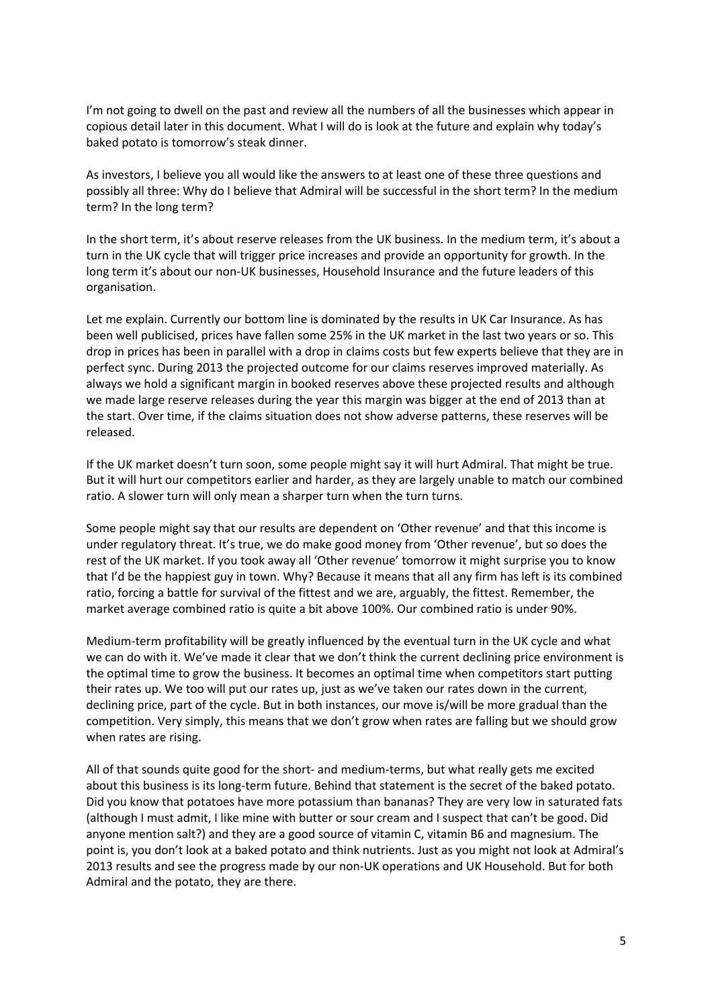I'm not going to dwell on the past and review all the numbers of all the businesses which appear in copious detail later in this document. What I will do is look at the future and explain why today's baked potato is tomorrow's steak dinner.

As investors, I believe you all would like the answers to at least one of these three questions and possibly all three: Why do I believe that Admiral will be successful in the short term? In the medium term? In the long term?

In the short term, it's about reserve releases from the UK business. In the medium term, it's about a turn in the UK cycle that will trigger price increases and provide an opportunity for growth. In the long term it's about our non-UK businesses, Household Insurance and the future leaders of this organisation.

Let me explain. Currently our bottom line is dominated by the results in UK Car Insurance. As has been well publicised, prices have fallen some 25% in the UK market in the last two years or so. This drop in prices has been in parallel with a drop in claims costs but few experts believe that they are in perfect sync. During 2013 the projected outcome for our claims reserves improved materially. As always we hold a significant margin in booked reserves above these projected results and although we made large reserve releases during the year this margin was bigger at the end of 2013 than at the start. Over time, if the claims situation does not show adverse patterns, these reserves will be released.

If the UK market doesn't turn soon, some people might say it will hurt Admiral. That might be true. But it will hurt our competitors earlier and harder, as they are largely unable to match our combined ratio. A slower turn will only mean a sharper turn when the turn turns.

Some people might say that our results are dependent on 'Other revenue' and that this income is under regulatory threat. It's true, we do make good money from 'Other revenue', but so does the rest of the UK market. If you took away all 'Other revenue' tomorrow it might surprise you to know that I'd be the happiest guy in town. Why? Because it means that all any firm has left is its combined ratio, forcing a battle for survival of the fittest and we are, arguably, the fittest. Remember, the market average combined ratio is quite a bit above 100%. Our combined ratio is under 90%.

Medium-term profitability will be greatly influenced by the eventual turn in the UK cycle and what we can do with it. We've made it clear that we don't think the current declining price environment is the optimal time to grow the business. It becomes an optimal time when competitors start putting their rates up. We too will put our rates up, just as we've taken our rates down in the current, declining price, part of the cycle. But in both instances, our move is/will be more gradual than the competition. Very simply, this means that we don't grow when rates are falling but we should grow when rates are rising.

All of that sounds quite good for the short- and medium-terms, but what really gets me excited about this business is its long-term future. Behind that statement is the secret of the baked potato. Did you know that potatoes have more potassium than bananas? They are very low in saturated fats (although I must admit, I like mine with butter or sour cream and I suspect that can't be good. Did anyone mention salt?) and they are a good source of vitamin C, vitamin B6 and magnesium. The point is, you don't look at a baked potato and think nutrients. Just as you might not look at Admiral's 2013 results and see the progress made by our non-UK operations and UK Household. But for both Admiral and the potato, they are there.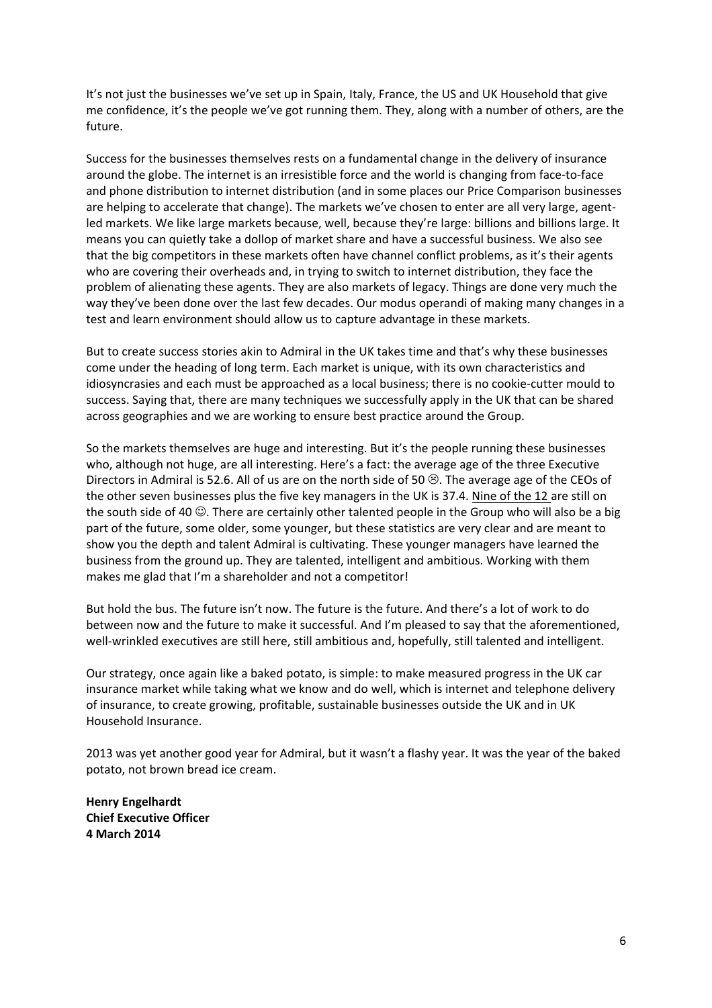It's not just the businesses we've set up in Spain, Italy, France, the US and UK Household that give me confidence, it's the people we've got running them. They, along with a number of others, are the future.

Success for the businesses themselves rests on a fundamental change in the delivery of insurance around the globe. The internet is an irresistible force and the world is changing from face-to-face and phone distribution to internet distribution (and in some places our Price Comparison businesses are helping to accelerate that change). The markets we've chosen to enter are all very large, agentled markets. We like large markets because, well, because they're large: billions and billions large. It means you can quietly take a dollop of market share and have a successful business. We also see that the big competitors in these markets often have channel conflict problems, as it's their agents who are covering their overheads and, in trying to switch to internet distribution, they face the problem of alienating these agents. They are also markets of legacy. Things are done very much the way they've been done over the last few decades. Our modus operandi of making many changes in a test and learn environment should allow us to capture advantage in these markets.

But to create success stories akin to Admiral in the UK takes time and that's why these businesses come under the heading of long term. Each market is unique, with its own characteristics and idiosyncrasies and each must be approached as a local business; there is no cookie-cutter mould to success. Saying that, there are many techniques we successfully apply in the UK that can be shared across geographies and we are working to ensure best practice around the Group.

So the markets themselves are huge and interesting. But it's the people running these businesses who, although not huge, are all interesting. Here's a fact: the average age of the three Executive Directors in Admiral is 52.6. All of us are on the north side of 50  $\odot$ . The average age of the CEOs of the other seven businesses plus the five key managers in the UK is 37.4. Nine of the 12 are still on the south side of 40  $\odot$ . There are certainly other talented people in the Group who will also be a big part of the future, some older, some younger, but these statistics are very clear and are meant to show you the depth and talent Admiral is cultivating. These younger managers have learned the business from the ground up. They are talented, intelligent and ambitious. Working with them makes me glad that I'm a shareholder and not a competitor!

But hold the bus. The future isn't now. The future is the future. And there's a lot of work to do between now and the future to make it successful. And I'm pleased to say that the aforementioned, well-wrinkled executives are still here, still ambitious and, hopefully, still talented and intelligent.

Our strategy, once again like a baked potato, is simple: to make measured progress in the UK car insurance market while taking what we know and do well, which is internet and telephone delivery of insurance, to create growing, profitable, sustainable businesses outside the UK and in UK Household Insurance.

2013 was yet another good year for Admiral, but it wasn't a flashy year. It was the year of the baked potato, not brown bread ice cream.

**Henry Engelhardt Chief Executive Officer 4 March 2014**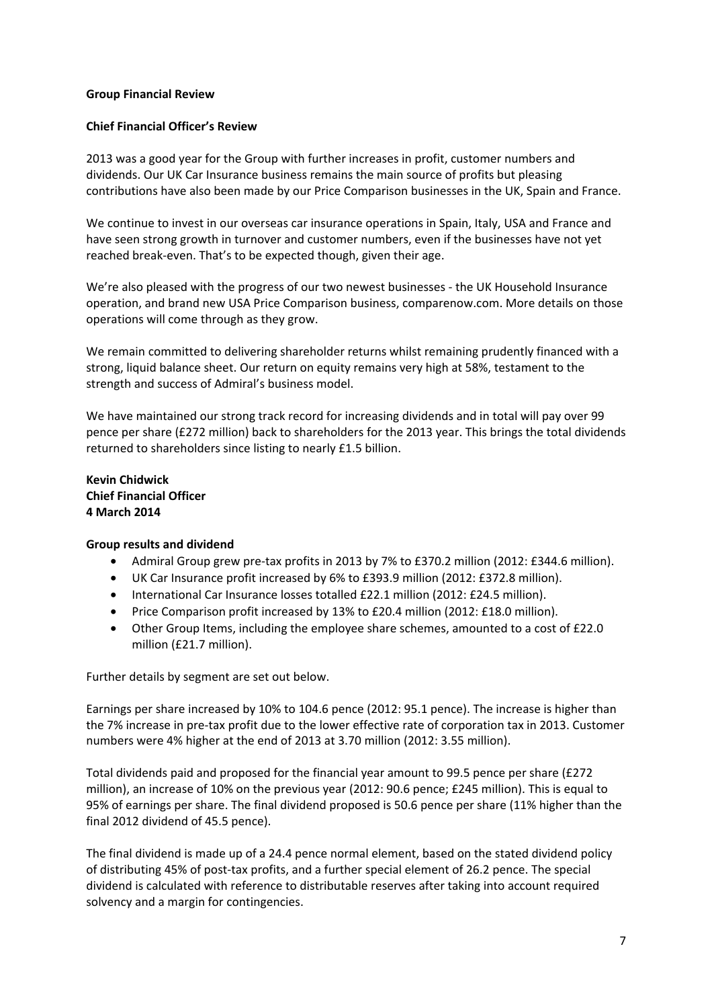## **Group Financial Review**

## **Chief Financial Officer's Review**

2013 was a good year for the Group with further increases in profit, customer numbers and dividends. Our UK Car Insurance business remains the main source of profits but pleasing contributions have also been made by our Price Comparison businesses in the UK, Spain and France.

We continue to invest in our overseas car insurance operations in Spain, Italy, USA and France and have seen strong growth in turnover and customer numbers, even if the businesses have not yet reached break-even. That's to be expected though, given their age.

We're also pleased with the progress of our two newest businesses - the UK Household Insurance operation, and brand new USA Price Comparison business, comparenow.com. More details on those operations will come through as they grow.

We remain committed to delivering shareholder returns whilst remaining prudently financed with a strong, liquid balance sheet. Our return on equity remains very high at 58%, testament to the strength and success of Admiral's business model.

We have maintained our strong track record for increasing dividends and in total will pay over 99 pence per share (£272 million) back to shareholders for the 2013 year. This brings the total dividends returned to shareholders since listing to nearly £1.5 billion.

**Kevin Chidwick Chief Financial Officer 4 March 2014** 

#### **Group results and dividend**

- Admiral Group grew pre-tax profits in 2013 by 7% to £370.2 million (2012: £344.6 million).
- UK Car Insurance profit increased by 6% to £393.9 million (2012: £372.8 million).
- International Car Insurance losses totalled £22.1 million (2012: £24.5 million).
- Price Comparison profit increased by 13% to £20.4 million (2012: £18.0 million).
- Other Group Items, including the employee share schemes, amounted to a cost of £22.0 million (£21.7 million).

Further details by segment are set out below.

Earnings per share increased by 10% to 104.6 pence (2012: 95.1 pence). The increase is higher than the 7% increase in pre-tax profit due to the lower effective rate of corporation tax in 2013. Customer numbers were 4% higher at the end of 2013 at 3.70 million (2012: 3.55 million).

Total dividends paid and proposed for the financial year amount to 99.5 pence per share (£272 million), an increase of 10% on the previous year (2012: 90.6 pence; £245 million). This is equal to 95% of earnings per share. The final dividend proposed is 50.6 pence per share (11% higher than the final 2012 dividend of 45.5 pence).

The final dividend is made up of a 24.4 pence normal element, based on the stated dividend policy of distributing 45% of post-tax profits, and a further special element of 26.2 pence. The special dividend is calculated with reference to distributable reserves after taking into account required solvency and a margin for contingencies.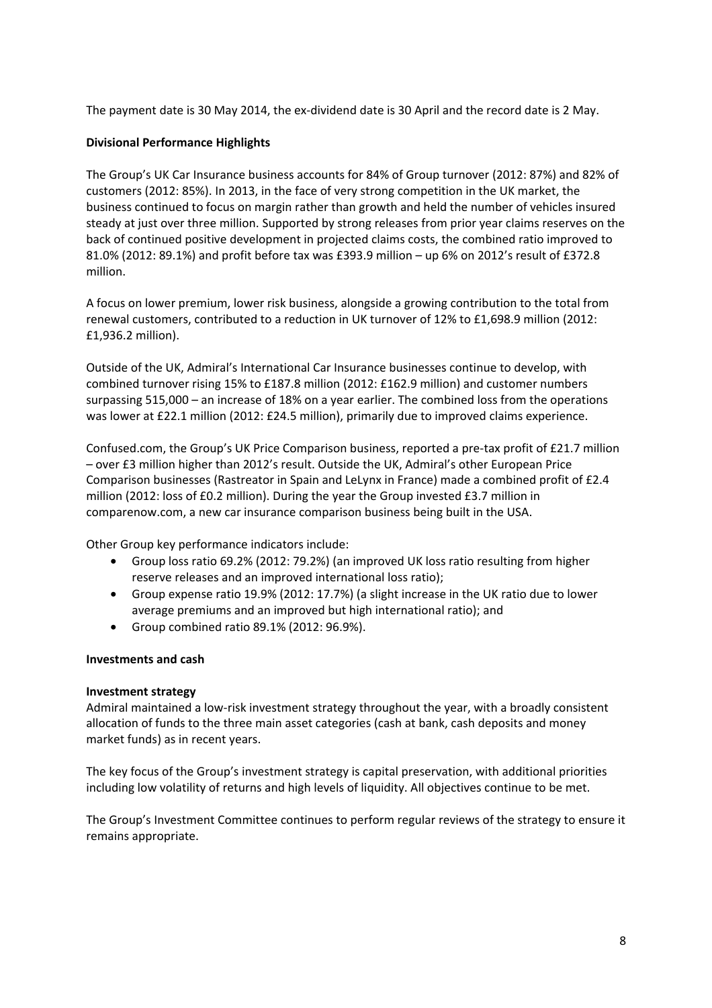The payment date is 30 May 2014, the ex-dividend date is 30 April and the record date is 2 May.

# **Divisional Performance Highlights**

The Group's UK Car Insurance business accounts for 84% of Group turnover (2012: 87%) and 82% of customers (2012: 85%). In 2013, in the face of very strong competition in the UK market, the business continued to focus on margin rather than growth and held the number of vehicles insured steady at just over three million. Supported by strong releases from prior year claims reserves on the back of continued positive development in projected claims costs, the combined ratio improved to 81.0% (2012: 89.1%) and profit before tax was £393.9 million – up 6% on 2012's result of £372.8 million.

A focus on lower premium, lower risk business, alongside a growing contribution to the total from renewal customers, contributed to a reduction in UK turnover of 12% to £1,698.9 million (2012: £1,936.2 million).

Outside of the UK, Admiral's International Car Insurance businesses continue to develop, with combined turnover rising 15% to £187.8 million (2012: £162.9 million) and customer numbers surpassing 515,000 – an increase of 18% on a year earlier. The combined loss from the operations was lower at £22.1 million (2012: £24.5 million), primarily due to improved claims experience.

Confused.com, the Group's UK Price Comparison business, reported a pre-tax profit of £21.7 million – over £3 million higher than 2012's result. Outside the UK, Admiral's other European Price Comparison businesses (Rastreator in Spain and LeLynx in France) made a combined profit of £2.4 million (2012: loss of £0.2 million). During the year the Group invested £3.7 million in comparenow.com, a new car insurance comparison business being built in the USA.

Other Group key performance indicators include:

- Group loss ratio 69.2% (2012: 79.2%) (an improved UK loss ratio resulting from higher reserve releases and an improved international loss ratio);
- Group expense ratio 19.9% (2012: 17.7%) (a slight increase in the UK ratio due to lower average premiums and an improved but high international ratio); and
- Group combined ratio 89.1% (2012: 96.9%).

## **Investments and cash**

## **Investment strategy**

Admiral maintained a low-risk investment strategy throughout the year, with a broadly consistent allocation of funds to the three main asset categories (cash at bank, cash deposits and money market funds) as in recent years.

The key focus of the Group's investment strategy is capital preservation, with additional priorities including low volatility of returns and high levels of liquidity. All objectives continue to be met.

The Group's Investment Committee continues to perform regular reviews of the strategy to ensure it remains appropriate.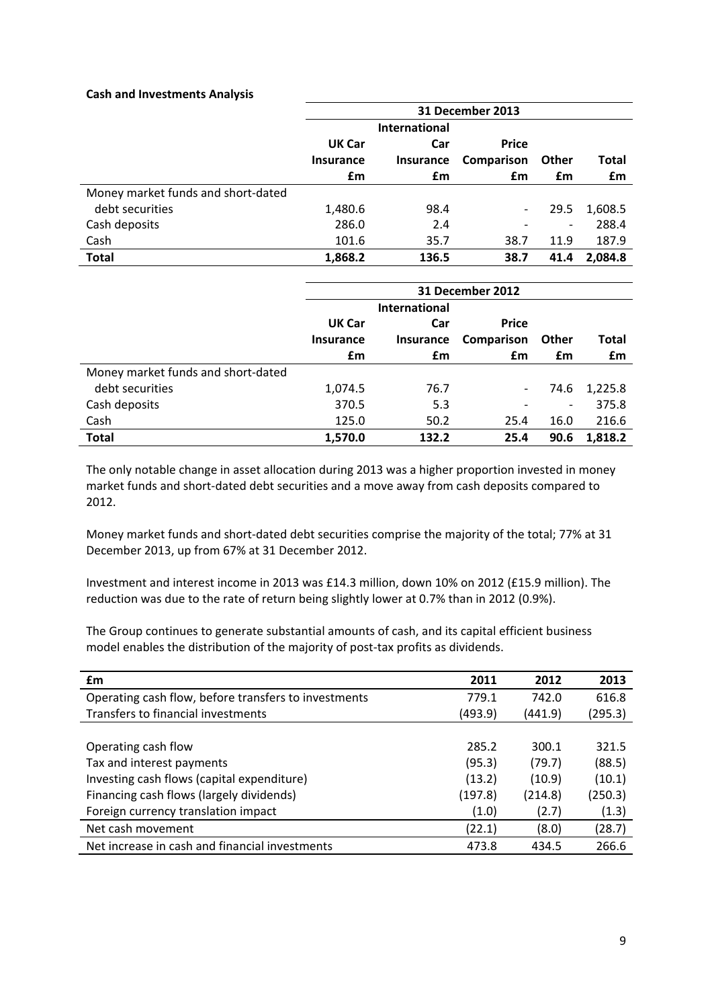## **Cash and Investments Analysis**

|                                    | <b>31 December 2013</b> |                      |              |              |              |  |
|------------------------------------|-------------------------|----------------------|--------------|--------------|--------------|--|
|                                    |                         | <b>International</b> |              |              |              |  |
|                                    | UK Car                  | Car                  | <b>Price</b> |              |              |  |
|                                    | <b>Insurance</b>        | <b>Insurance</b>     | Comparison   | <b>Other</b> | <b>Total</b> |  |
|                                    | £m                      | £m                   | £m           | £m           | £m           |  |
| Money market funds and short-dated |                         |                      |              |              |              |  |
| debt securities                    | 1,480.6                 | 98.4                 |              | 29.5         | 1,608.5      |  |
| Cash deposits                      | 286.0                   | 2.4                  |              | -            | 288.4        |  |
| Cash                               | 101.6                   | 35.7                 | 38.7         | 11.9         | 187.9        |  |
| <b>Total</b>                       | 1,868.2                 | 136.5                | 38.7         | 41.4         | 2,084.8      |  |

|                                    | 31 December 2012 |                      |              |                          |              |  |
|------------------------------------|------------------|----------------------|--------------|--------------------------|--------------|--|
|                                    |                  | <b>International</b> |              |                          |              |  |
|                                    | UK Car           | Car                  | <b>Price</b> |                          |              |  |
|                                    | <b>Insurance</b> | <b>Insurance</b>     | Comparison   | Other                    | <b>Total</b> |  |
|                                    | £m               | £m                   | £m           | £m                       | £m           |  |
| Money market funds and short-dated |                  |                      |              |                          |              |  |
| debt securities                    | 1,074.5          | 76.7                 |              | 74.6                     | 1,225.8      |  |
| Cash deposits                      | 370.5            | 5.3                  |              | $\overline{\phantom{a}}$ | 375.8        |  |
| Cash                               | 125.0            | 50.2                 | 25.4         | 16.0                     | 216.6        |  |
| <b>Total</b>                       | 1,570.0          | 132.2                | 25.4         | 90.6                     | 1,818.2      |  |

The only notable change in asset allocation during 2013 was a higher proportion invested in money market funds and short-dated debt securities and a move away from cash deposits compared to 2012.

Money market funds and short-dated debt securities comprise the majority of the total; 77% at 31 December 2013, up from 67% at 31 December 2012.

Investment and interest income in 2013 was £14.3 million, down 10% on 2012 (£15.9 million). The reduction was due to the rate of return being slightly lower at 0.7% than in 2012 (0.9%).

The Group continues to generate substantial amounts of cash, and its capital efficient business model enables the distribution of the majority of post-tax profits as dividends.

| £m                                                   | 2011    | 2012    | 2013    |
|------------------------------------------------------|---------|---------|---------|
| Operating cash flow, before transfers to investments | 779.1   | 742.0   | 616.8   |
| Transfers to financial investments                   | (493.9) | (441.9) | (295.3) |
|                                                      |         |         |         |
| Operating cash flow                                  | 285.2   | 300.1   | 321.5   |
| Tax and interest payments                            | (95.3)  | (79.7)  | (88.5)  |
| Investing cash flows (capital expenditure)           | (13.2)  | (10.9)  | (10.1)  |
| Financing cash flows (largely dividends)             | (197.8) | (214.8) | (250.3) |
| Foreign currency translation impact                  | (1.0)   | (2.7)   | (1.3)   |
| Net cash movement                                    | (22.1)  | (8.0)   | (28.7)  |
| Net increase in cash and financial investments       | 473.8   | 434.5   | 266.6   |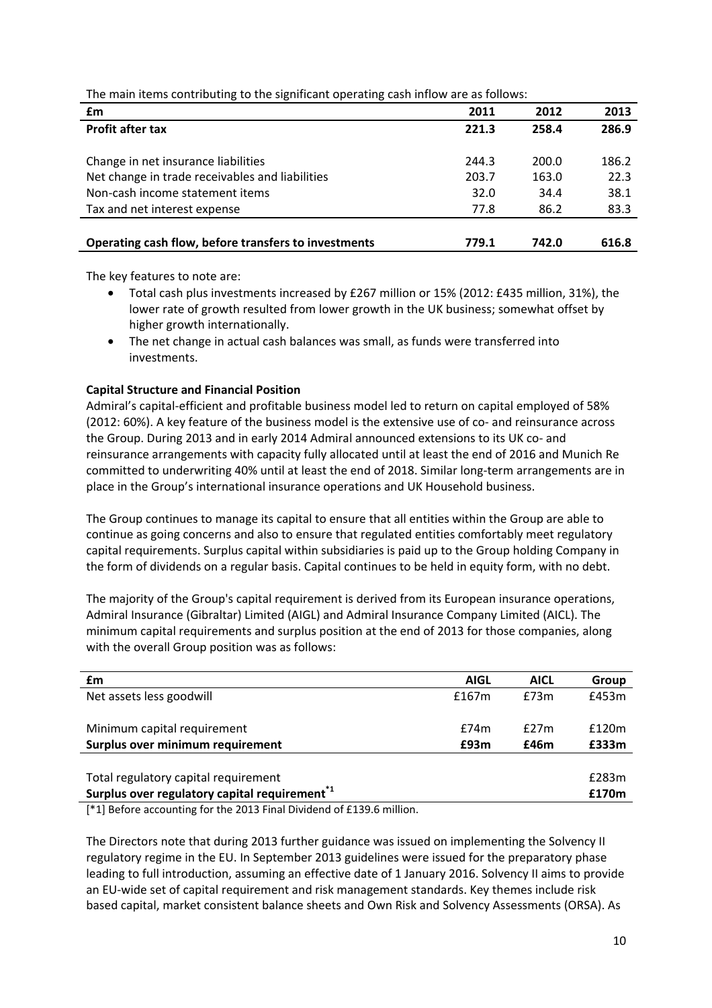| The main items continuumly to the significant operating cash impowere as follows. |       |       |       |  |  |
|-----------------------------------------------------------------------------------|-------|-------|-------|--|--|
| £m                                                                                | 2011  | 2012  | 2013  |  |  |
| <b>Profit after tax</b>                                                           | 221.3 | 258.4 | 286.9 |  |  |
|                                                                                   |       |       |       |  |  |
| Change in net insurance liabilities                                               | 244.3 | 200.0 | 186.2 |  |  |
| Net change in trade receivables and liabilities                                   | 203.7 | 163.0 | 22.3  |  |  |
| Non-cash income statement items                                                   | 32.0  | 34.4  | 38.1  |  |  |
| Tax and net interest expense                                                      | 77.8  | 86.2  | 83.3  |  |  |
|                                                                                   |       |       |       |  |  |
| Operating cash flow, before transfers to investments                              | 779.1 | 742.0 | 616.8 |  |  |

The main items contributing to the significant operating cash inflow are as follows:

The key features to note are:

- Total cash plus investments increased by £267 million or 15% (2012: £435 million, 31%), the lower rate of growth resulted from lower growth in the UK business; somewhat offset by higher growth internationally.
- The net change in actual cash balances was small, as funds were transferred into investments.

# **Capital Structure and Financial Position**

Admiral's capital-efficient and profitable business model led to return on capital employed of 58% (2012: 60%). A key feature of the business model is the extensive use of co- and reinsurance across the Group. During 2013 and in early 2014 Admiral announced extensions to its UK co- and reinsurance arrangements with capacity fully allocated until at least the end of 2016 and Munich Re committed to underwriting 40% until at least the end of 2018. Similar long-term arrangements are in place in the Group's international insurance operations and UK Household business.

The Group continues to manage its capital to ensure that all entities within the Group are able to continue as going concerns and also to ensure that regulated entities comfortably meet regulatory capital requirements. Surplus capital within subsidiaries is paid up to the Group holding Company in the form of dividends on a regular basis. Capital continues to be held in equity form, with no debt.

The majority of the Group's capital requirement is derived from its European insurance operations, Admiral Insurance (Gibraltar) Limited (AIGL) and Admiral Insurance Company Limited (AICL). The minimum capital requirements and surplus position at the end of 2013 for those companies, along with the overall Group position was as follows:

| £m                                                        | <b>AIGL</b> | <b>AICL</b> | Group |
|-----------------------------------------------------------|-------------|-------------|-------|
| Net assets less goodwill                                  | f167m       | f73m        | £453m |
|                                                           |             |             |       |
| Minimum capital requirement                               | E74m        | f27m        | £120m |
| Surplus over minimum requirement                          | £93m        | £46m        | £333m |
|                                                           |             |             |       |
| Total regulatory capital requirement                      |             |             | £283m |
| Surplus over regulatory capital requirement <sup>*1</sup> |             |             | £170m |

[\*1] Before accounting for the 2013 Final Dividend of £139.6 million.

The Directors note that during 2013 further guidance was issued on implementing the Solvency II regulatory regime in the EU. In September 2013 guidelines were issued for the preparatory phase leading to full introduction, assuming an effective date of 1 January 2016. Solvency II aims to provide an EU-wide set of capital requirement and risk management standards. Key themes include risk based capital, market consistent balance sheets and Own Risk and Solvency Assessments (ORSA). As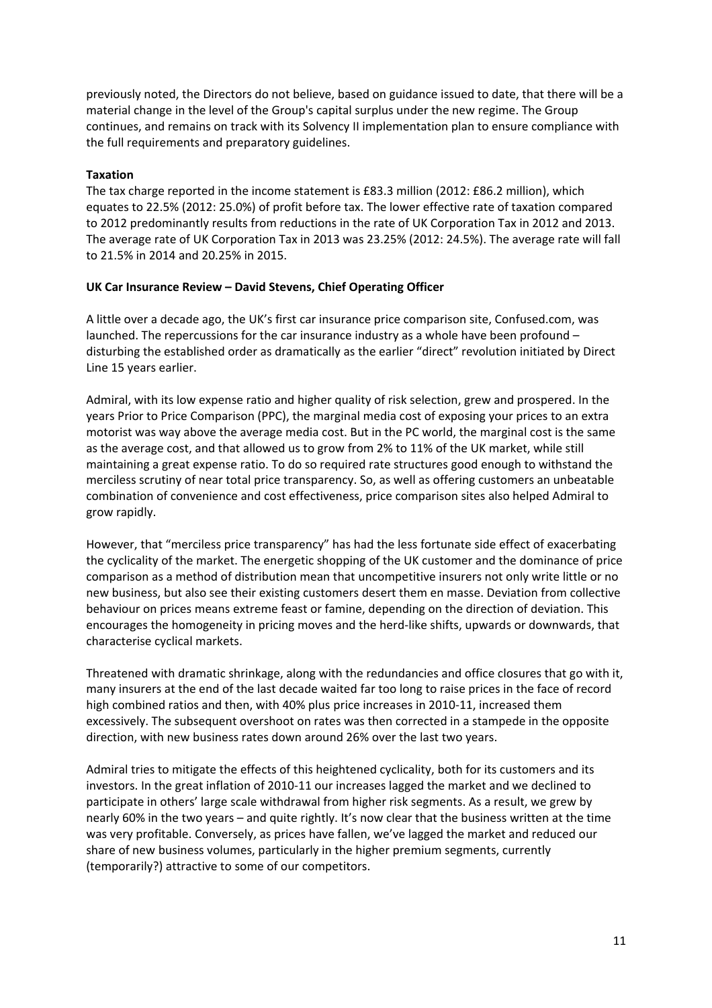previously noted, the Directors do not believe, based on guidance issued to date, that there will be a material change in the level of the Group's capital surplus under the new regime. The Group continues, and remains on track with its Solvency II implementation plan to ensure compliance with the full requirements and preparatory guidelines.

## **Taxation**

The tax charge reported in the income statement is £83.3 million (2012: £86.2 million), which equates to 22.5% (2012: 25.0%) of profit before tax. The lower effective rate of taxation compared to 2012 predominantly results from reductions in the rate of UK Corporation Tax in 2012 and 2013. The average rate of UK Corporation Tax in 2013 was 23.25% (2012: 24.5%). The average rate will fall to 21.5% in 2014 and 20.25% in 2015.

#### **UK Car Insurance Review – David Stevens, Chief Operating Officer**

A little over a decade ago, the UK's first car insurance price comparison site, Confused.com, was launched. The repercussions for the car insurance industry as a whole have been profound – disturbing the established order as dramatically as the earlier "direct" revolution initiated by Direct Line 15 years earlier.

Admiral, with its low expense ratio and higher quality of risk selection, grew and prospered. In the years Prior to Price Comparison (PPC), the marginal media cost of exposing your prices to an extra motorist was way above the average media cost. But in the PC world, the marginal cost is the same as the average cost, and that allowed us to grow from 2% to 11% of the UK market, while still maintaining a great expense ratio. To do so required rate structures good enough to withstand the merciless scrutiny of near total price transparency. So, as well as offering customers an unbeatable combination of convenience and cost effectiveness, price comparison sites also helped Admiral to grow rapidly.

However, that "merciless price transparency" has had the less fortunate side effect of exacerbating the cyclicality of the market. The energetic shopping of the UK customer and the dominance of price comparison as a method of distribution mean that uncompetitive insurers not only write little or no new business, but also see their existing customers desert them en masse. Deviation from collective behaviour on prices means extreme feast or famine, depending on the direction of deviation. This encourages the homogeneity in pricing moves and the herd-like shifts, upwards or downwards, that characterise cyclical markets.

Threatened with dramatic shrinkage, along with the redundancies and office closures that go with it, many insurers at the end of the last decade waited far too long to raise prices in the face of record high combined ratios and then, with 40% plus price increases in 2010-11, increased them excessively. The subsequent overshoot on rates was then corrected in a stampede in the opposite direction, with new business rates down around 26% over the last two years.

Admiral tries to mitigate the effects of this heightened cyclicality, both for its customers and its investors. In the great inflation of 2010-11 our increases lagged the market and we declined to participate in others' large scale withdrawal from higher risk segments. As a result, we grew by nearly 60% in the two years – and quite rightly. It's now clear that the business written at the time was very profitable. Conversely, as prices have fallen, we've lagged the market and reduced our share of new business volumes, particularly in the higher premium segments, currently (temporarily?) attractive to some of our competitors.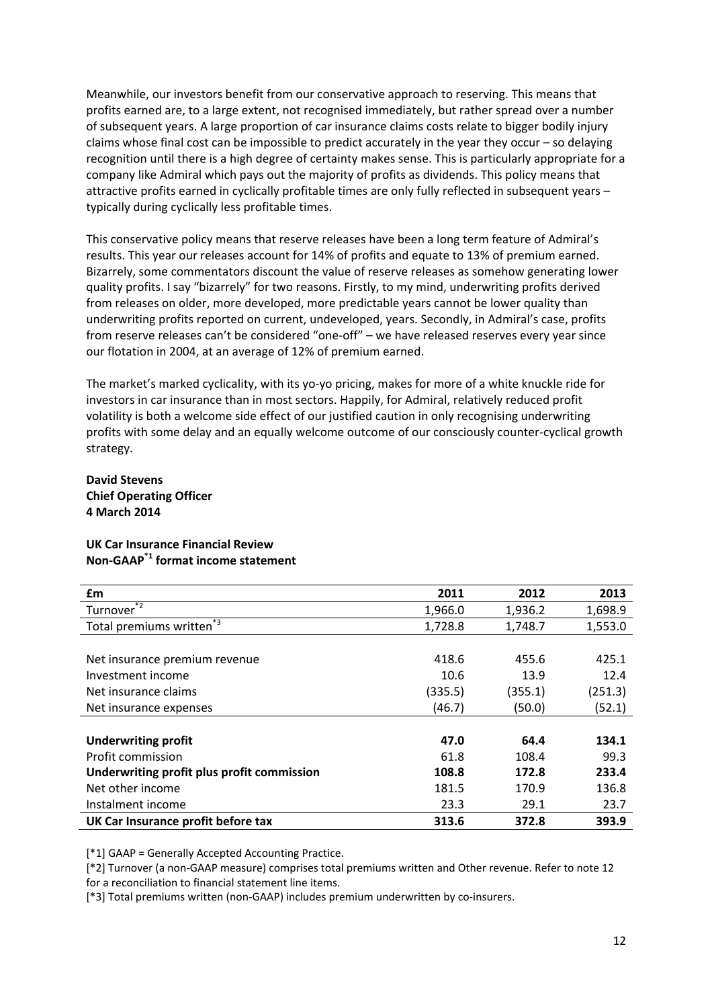Meanwhile, our investors benefit from our conservative approach to reserving. This means that profits earned are, to a large extent, not recognised immediately, but rather spread over a number of subsequent years. A large proportion of car insurance claims costs relate to bigger bodily injury claims whose final cost can be impossible to predict accurately in the year they occur – so delaying recognition until there is a high degree of certainty makes sense. This is particularly appropriate for a company like Admiral which pays out the majority of profits as dividends. This policy means that attractive profits earned in cyclically profitable times are only fully reflected in subsequent years – typically during cyclically less profitable times.

This conservative policy means that reserve releases have been a long term feature of Admiral's results. This year our releases account for 14% of profits and equate to 13% of premium earned. Bizarrely, some commentators discount the value of reserve releases as somehow generating lower quality profits. I say "bizarrely" for two reasons. Firstly, to my mind, underwriting profits derived from releases on older, more developed, more predictable years cannot be lower quality than underwriting profits reported on current, undeveloped, years. Secondly, in Admiral's case, profits from reserve releases can't be considered "one-off" – we have released reserves every year since our flotation in 2004, at an average of 12% of premium earned.

The market's marked cyclicality, with its yo-yo pricing, makes for more of a white knuckle ride for investors in car insurance than in most sectors. Happily, for Admiral, relatively reduced profit volatility is both a welcome side effect of our justified caution in only recognising underwriting profits with some delay and an equally welcome outcome of our consciously counter-cyclical growth strategy.

## **David Stevens Chief Operating Officer 4 March 2014**

## **UK Car Insurance Financial Review Non-GAAP\*1 format income statement**

| £m                                         | 2011    | 2012    | 2013    |
|--------------------------------------------|---------|---------|---------|
| $*_{2}$<br>Turnover                        | 1,966.0 | 1,936.2 | 1,698.9 |
| Total premiums written <sup>*3</sup>       | 1,728.8 | 1,748.7 | 1,553.0 |
|                                            |         |         |         |
| Net insurance premium revenue              | 418.6   | 455.6   | 425.1   |
| Investment income                          | 10.6    | 13.9    | 12.4    |
| Net insurance claims                       | (335.5) | (355.1) | (251.3) |
| Net insurance expenses                     | (46.7)  | (50.0)  | (52.1)  |
|                                            |         |         |         |
| <b>Underwriting profit</b>                 | 47.0    | 64.4    | 134.1   |
| Profit commission                          | 61.8    | 108.4   | 99.3    |
| Underwriting profit plus profit commission | 108.8   | 172.8   | 233.4   |
| Net other income                           | 181.5   | 170.9   | 136.8   |
| Instalment income                          | 23.3    | 29.1    | 23.7    |
| UK Car Insurance profit before tax         | 313.6   | 372.8   | 393.9   |

[\*1] GAAP = Generally Accepted Accounting Practice.

[\*2] Turnover (a non-GAAP measure) comprises total premiums written and Other revenue. Refer to note 12 for a reconciliation to financial statement line items.

[\*3] Total premiums written (non-GAAP) includes premium underwritten by co-insurers.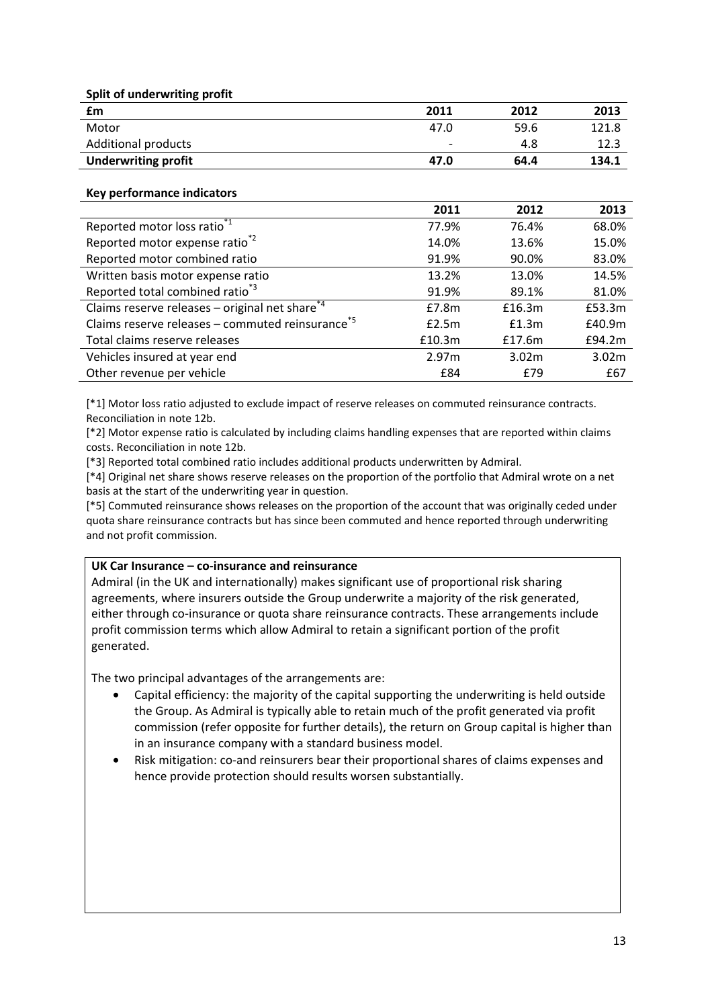| Split of underwriting profit |                          |      |       |
|------------------------------|--------------------------|------|-------|
| £m                           | 2011                     | 2012 | 2013  |
| Motor                        | 47.0                     | 59.6 | 121.8 |
| <b>Additional products</b>   | $\overline{\phantom{a}}$ | 4.8  | 12.3  |
| <b>Underwriting profit</b>   | 47.0                     | 64.4 | 134.1 |

## **Key performance indicators**

|                                                                           | 2011   | 2012   | 2013   |
|---------------------------------------------------------------------------|--------|--------|--------|
| Reported motor loss ratio <sup>*1</sup>                                   | 77.9%  | 76.4%  | 68.0%  |
| Reported motor expense ratio <sup>*2</sup>                                | 14.0%  | 13.6%  | 15.0%  |
| Reported motor combined ratio                                             | 91.9%  | 90.0%  | 83.0%  |
| Written basis motor expense ratio                                         | 13.2%  | 13.0%  | 14.5%  |
| Reported total combined ratio <sup>*3</sup>                               | 91.9%  | 89.1%  | 81.0%  |
| Claims reserve releases – original net share <sup><math>*4</math></sup>   | £7.8m  | £16.3m | £53.3m |
| Claims reserve releases – commuted reinsurance <sup><math>*5</math></sup> | £2.5m  | £1.3m  | £40.9m |
| Total claims reserve releases                                             | £10.3m | £17.6m | £94.2m |
| Vehicles insured at year end                                              | 2.97m  | 3.02m  | 3.02m  |
| Other revenue per vehicle                                                 | £84    | £79    | £67    |

[\*1] Motor loss ratio adjusted to exclude impact of reserve releases on commuted reinsurance contracts. Reconciliation in note 12b.

[\*2] Motor expense ratio is calculated by including claims handling expenses that are reported within claims costs. Reconciliation in note 12b.

[\*3] Reported total combined ratio includes additional products underwritten by Admiral.

[\*4] Original net share shows reserve releases on the proportion of the portfolio that Admiral wrote on a net basis at the start of the underwriting year in question.

[\*5] Commuted reinsurance shows releases on the proportion of the account that was originally ceded under quota share reinsurance contracts but has since been commuted and hence reported through underwriting and not profit commission.

#### **UK Car Insurance – co-insurance and reinsurance**

Admiral (in the UK and internationally) makes significant use of proportional risk sharing agreements, where insurers outside the Group underwrite a majority of the risk generated, either through co-insurance or quota share reinsurance contracts. These arrangements include profit commission terms which allow Admiral to retain a significant portion of the profit generated.

The two principal advantages of the arrangements are:

- Capital efficiency: the majority of the capital supporting the underwriting is held outside the Group. As Admiral is typically able to retain much of the profit generated via profit commission (refer opposite for further details), the return on Group capital is higher than in an insurance company with a standard business model.
- Risk mitigation: co-and reinsurers bear their proportional shares of claims expenses and hence provide protection should results worsen substantially.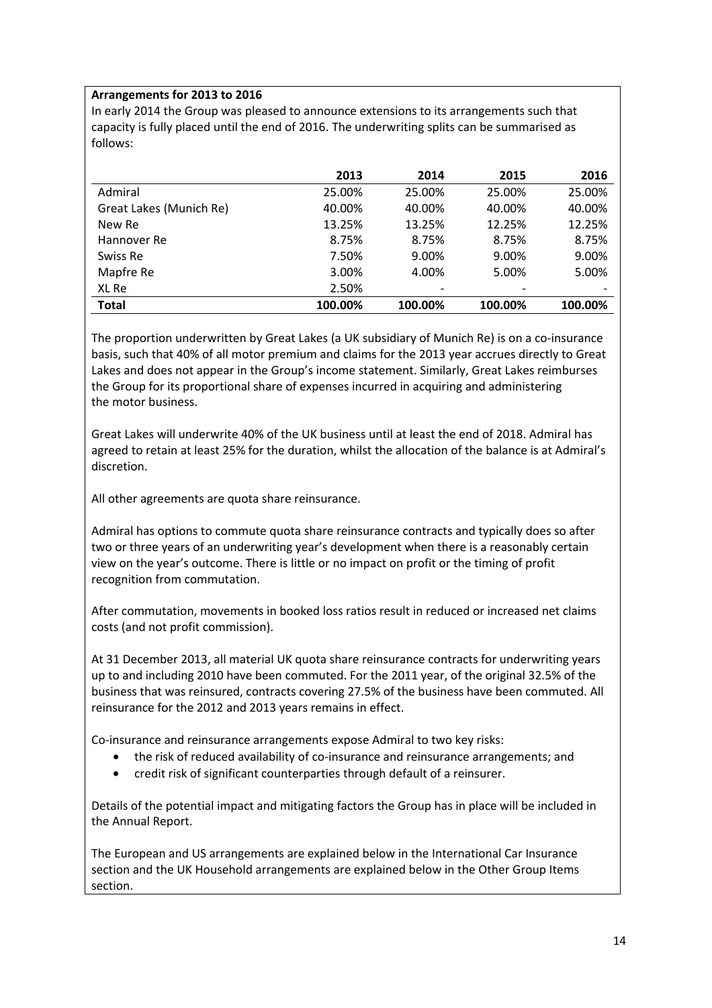## **Arrangements for 2013 to 2016**

In early 2014 the Group was pleased to announce extensions to its arrangements such that capacity is fully placed until the end of 2016. The underwriting splits can be summarised as follows:

|                         | 2013    | 2014    | 2015    | 2016    |
|-------------------------|---------|---------|---------|---------|
| Admiral                 | 25.00%  | 25.00%  | 25.00%  | 25.00%  |
| Great Lakes (Munich Re) | 40.00%  | 40.00%  | 40.00%  | 40.00%  |
| New Re                  | 13.25%  | 13.25%  | 12.25%  | 12.25%  |
| Hannover Re             | 8.75%   | 8.75%   | 8.75%   | 8.75%   |
| Swiss Re                | 7.50%   | 9.00%   | 9.00%   | 9.00%   |
| Mapfre Re               | 3.00%   | 4.00%   | 5.00%   | 5.00%   |
| XL Re                   | 2.50%   |         |         |         |
| <b>Total</b>            | 100.00% | 100.00% | 100.00% | 100.00% |

The proportion underwritten by Great Lakes (a UK subsidiary of Munich Re) is on a co-insurance basis, such that 40% of all motor premium and claims for the 2013 year accrues directly to Great Lakes and does not appear in the Group's income statement. Similarly, Great Lakes reimburses the Group for its proportional share of expenses incurred in acquiring and administering the motor business.

Great Lakes will underwrite 40% of the UK business until at least the end of 2018. Admiral has agreed to retain at least 25% for the duration, whilst the allocation of the balance is at Admiral's discretion.

All other agreements are quota share reinsurance.

Admiral has options to commute quota share reinsurance contracts and typically does so after two or three years of an underwriting year's development when there is a reasonably certain view on the year's outcome. There is little or no impact on profit or the timing of profit recognition from commutation.

After commutation, movements in booked loss ratios result in reduced or increased net claims costs (and not profit commission).

At 31 December 2013, all material UK quota share reinsurance contracts for underwriting years up to and including 2010 have been commuted. For the 2011 year, of the original 32.5% of the business that was reinsured, contracts covering 27.5% of the business have been commuted. All reinsurance for the 2012 and 2013 years remains in effect.

Co-insurance and reinsurance arrangements expose Admiral to two key risks:

- the risk of reduced availability of co-insurance and reinsurance arrangements; and
- credit risk of significant counterparties through default of a reinsurer.

Details of the potential impact and mitigating factors the Group has in place will be included in the Annual Report.

The European and US arrangements are explained below in the International Car Insurance section and the UK Household arrangements are explained below in the Other Group Items section.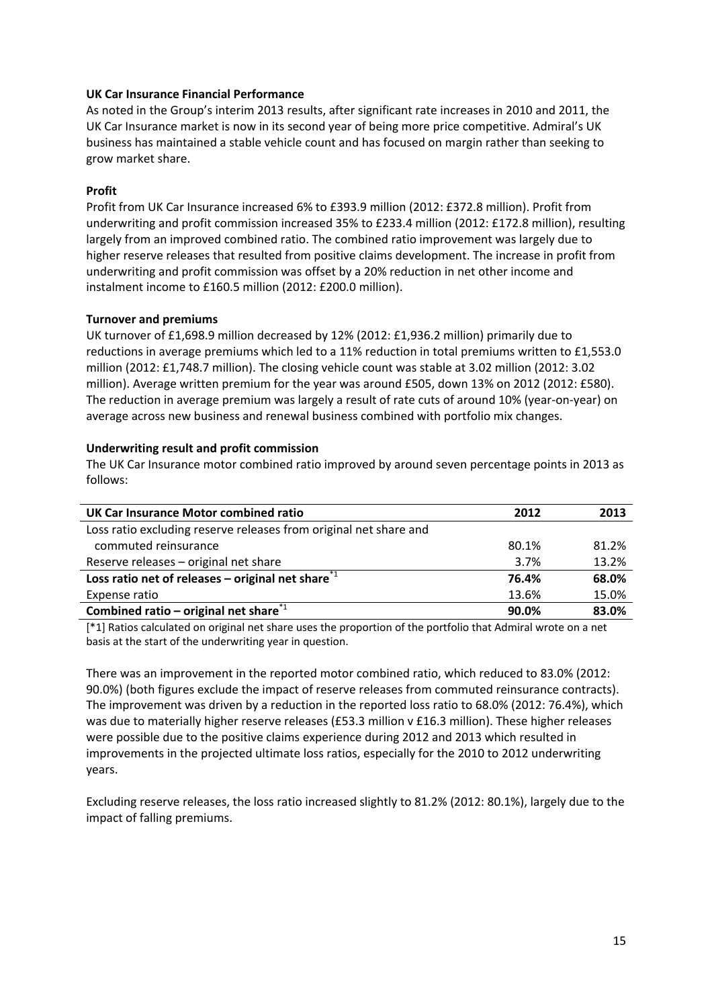## **UK Car Insurance Financial Performance**

As noted in the Group's interim 2013 results, after significant rate increases in 2010 and 2011, the UK Car Insurance market is now in its second year of being more price competitive. Admiral's UK business has maintained a stable vehicle count and has focused on margin rather than seeking to grow market share.

## **Profit**

Profit from UK Car Insurance increased 6% to £393.9 million (2012: £372.8 million). Profit from underwriting and profit commission increased 35% to £233.4 million (2012: £172.8 million), resulting largely from an improved combined ratio. The combined ratio improvement was largely due to higher reserve releases that resulted from positive claims development. The increase in profit from underwriting and profit commission was offset by a 20% reduction in net other income and instalment income to £160.5 million (2012: £200.0 million).

## **Turnover and premiums**

UK turnover of £1,698.9 million decreased by 12% (2012: £1,936.2 million) primarily due to reductions in average premiums which led to a 11% reduction in total premiums written to £1,553.0 million (2012: £1,748.7 million). The closing vehicle count was stable at 3.02 million (2012: 3.02 million). Average written premium for the year was around £505, down 13% on 2012 (2012: £580). The reduction in average premium was largely a result of rate cuts of around 10% (year-on-year) on average across new business and renewal business combined with portfolio mix changes.

## **Underwriting result and profit commission**

The UK Car Insurance motor combined ratio improved by around seven percentage points in 2013 as follows:

| UK Car Insurance Motor combined ratio                                     | 2012  | 2013  |
|---------------------------------------------------------------------------|-------|-------|
| Loss ratio excluding reserve releases from original net share and         |       |       |
| commuted reinsurance                                                      | 80.1% | 81.2% |
| Reserve releases - original net share                                     | 3.7%  | 13.2% |
| Loss ratio net of releases – original net share <sup><math>1</math></sup> | 76.4% | 68.0% |
| Expense ratio                                                             | 13.6% | 15.0% |
| Combined ratio – original net share $i1$                                  | 90.0% | 83.0% |
|                                                                           |       |       |

[\*1] Ratios calculated on original net share uses the proportion of the portfolio that Admiral wrote on a net basis at the start of the underwriting year in question.

There was an improvement in the reported motor combined ratio, which reduced to 83.0% (2012: 90.0%) (both figures exclude the impact of reserve releases from commuted reinsurance contracts). The improvement was driven by a reduction in the reported loss ratio to 68.0% (2012: 76.4%), which was due to materially higher reserve releases (£53.3 million v £16.3 million). These higher releases were possible due to the positive claims experience during 2012 and 2013 which resulted in improvements in the projected ultimate loss ratios, especially for the 2010 to 2012 underwriting years.

Excluding reserve releases, the loss ratio increased slightly to 81.2% (2012: 80.1%), largely due to the impact of falling premiums.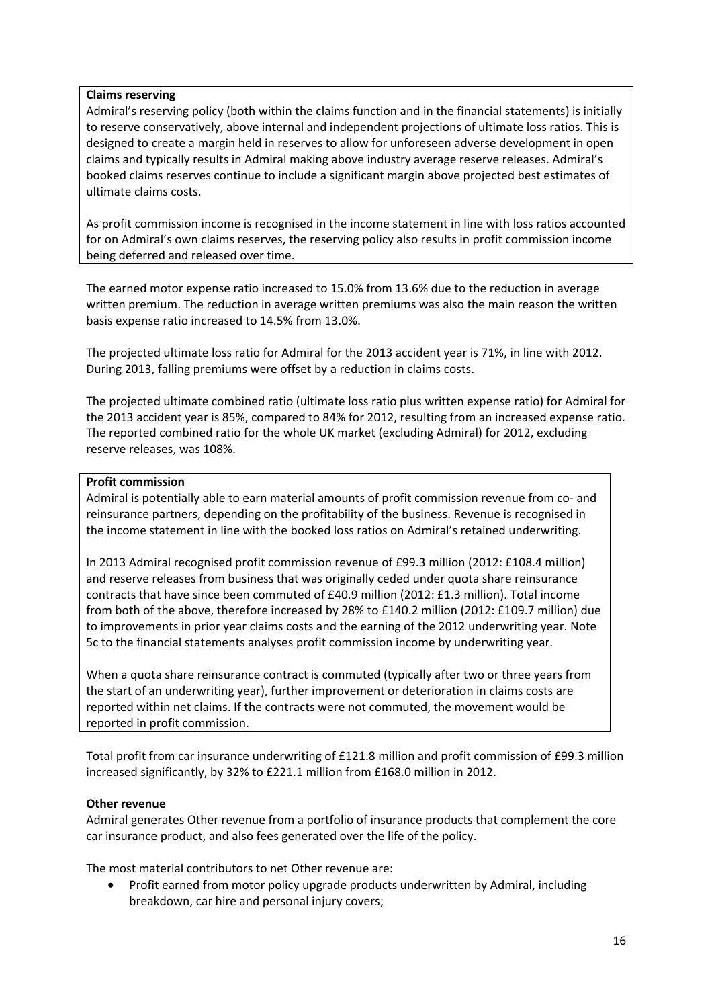## **Claims reserving**

Admiral's reserving policy (both within the claims function and in the financial statements) is initially to reserve conservatively, above internal and independent projections of ultimate loss ratios. This is designed to create a margin held in reserves to allow for unforeseen adverse development in open claims and typically results in Admiral making above industry average reserve releases. Admiral's booked claims reserves continue to include a significant margin above projected best estimates of ultimate claims costs.

As profit commission income is recognised in the income statement in line with loss ratios accounted for on Admiral's own claims reserves, the reserving policy also results in profit commission income being deferred and released over time.

The earned motor expense ratio increased to 15.0% from 13.6% due to the reduction in average written premium. The reduction in average written premiums was also the main reason the written basis expense ratio increased to 14.5% from 13.0%.

The projected ultimate loss ratio for Admiral for the 2013 accident year is 71%, in line with 2012. During 2013, falling premiums were offset by a reduction in claims costs.

The projected ultimate combined ratio (ultimate loss ratio plus written expense ratio) for Admiral for the 2013 accident year is 85%, compared to 84% for 2012, resulting from an increased expense ratio. The reported combined ratio for the whole UK market (excluding Admiral) for 2012, excluding reserve releases, was 108%.

## **Profit commission**

Admiral is potentially able to earn material amounts of profit commission revenue from co- and reinsurance partners, depending on the profitability of the business. Revenue is recognised in the income statement in line with the booked loss ratios on Admiral's retained underwriting.

In 2013 Admiral recognised profit commission revenue of £99.3 million (2012: £108.4 million) and reserve releases from business that was originally ceded under quota share reinsurance contracts that have since been commuted of £40.9 million (2012: £1.3 million). Total income from both of the above, therefore increased by 28% to £140.2 million (2012: £109.7 million) due to improvements in prior year claims costs and the earning of the 2012 underwriting year. Note 5c to the financial statements analyses profit commission income by underwriting year.

When a quota share reinsurance contract is commuted (typically after two or three years from the start of an underwriting year), further improvement or deterioration in claims costs are reported within net claims. If the contracts were not commuted, the movement would be reported in profit commission.

Total profit from car insurance underwriting of £121.8 million and profit commission of £99.3 million increased significantly, by 32% to £221.1 million from £168.0 million in 2012.

## **Other revenue**

Admiral generates Other revenue from a portfolio of insurance products that complement the core car insurance product, and also fees generated over the life of the policy.

The most material contributors to net Other revenue are:

• Profit earned from motor policy upgrade products underwritten by Admiral, including breakdown, car hire and personal injury covers;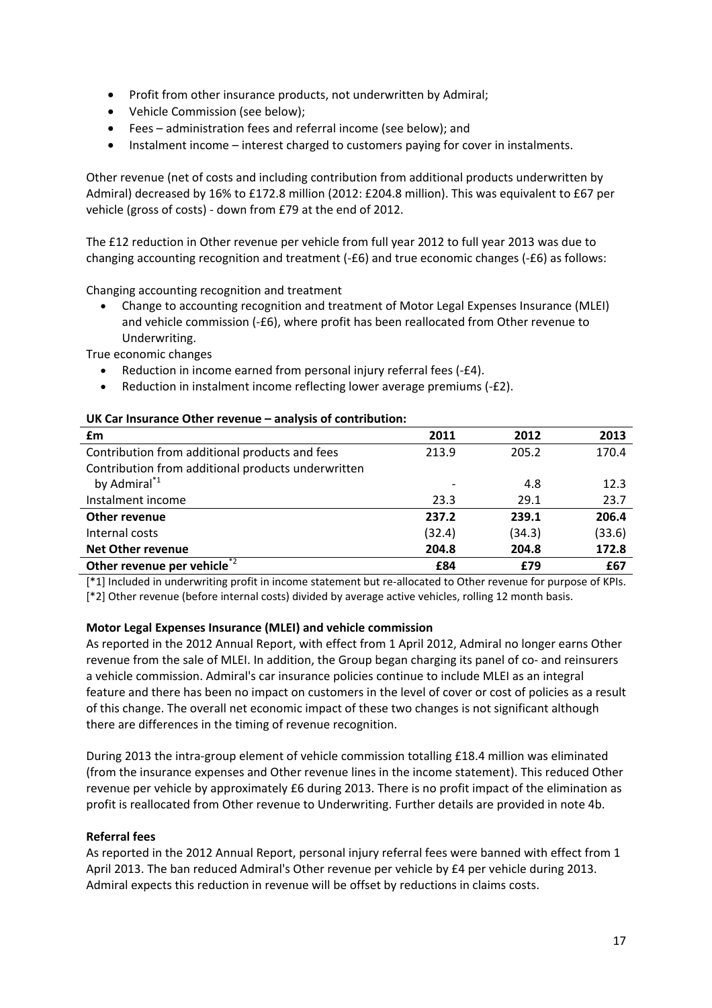- Profit from other insurance products, not underwritten by Admiral;
- Vehicle Commission (see below);
- Fees administration fees and referral income (see below); and
- Instalment income interest charged to customers paying for cover in instalments.

Other revenue (net of costs and including contribution from additional products underwritten by Admiral) decreased by 16% to £172.8 million (2012: £204.8 million). This was equivalent to £67 per vehicle (gross of costs) - down from £79 at the end of 2012.

The £12 reduction in Other revenue per vehicle from full year 2012 to full year 2013 was due to changing accounting recognition and treatment (-£6) and true economic changes (-£6) as follows:

Changing accounting recognition and treatment

• Change to accounting recognition and treatment of Motor Legal Expenses Insurance (MLEI) and vehicle commission (-£6), where profit has been reallocated from Other revenue to Underwriting.

True economic changes

- Reduction in income earned from personal injury referral fees (-£4).
- Reduction in instalment income reflecting lower average premiums (-£2).

## **UK Car Insurance Other revenue – analysis of contribution:**

| £m                                                 | 2011              | 2012   | 2013   |
|----------------------------------------------------|-------------------|--------|--------|
| Contribution from additional products and fees     | 213.9             | 205.2  | 170.4  |
| Contribution from additional products underwritten |                   |        |        |
| by Admiral <sup>*1</sup>                           | $\qquad \qquad -$ | 4.8    | 12.3   |
| Instalment income                                  | 23.3              | 29.1   | 23.7   |
| Other revenue                                      | 237.2             | 239.1  | 206.4  |
| Internal costs                                     | (32.4)            | (34.3) | (33.6) |
| <b>Net Other revenue</b>                           | 204.8             | 204.8  | 172.8  |
| Other revenue per vehicle <sup>*2</sup>            | £84               | £79    | £67    |

[\*1] Included in underwriting profit in income statement but re-allocated to Other revenue for purpose of KPIs. [\*2] Other revenue (before internal costs) divided by average active vehicles, rolling 12 month basis.

## **Motor Legal Expenses Insurance (MLEI) and vehicle commission**

As reported in the 2012 Annual Report, with effect from 1 April 2012, Admiral no longer earns Other revenue from the sale of MLEI. In addition, the Group began charging its panel of co- and reinsurers a vehicle commission. Admiral's car insurance policies continue to include MLEI as an integral feature and there has been no impact on customers in the level of cover or cost of policies as a result of this change. The overall net economic impact of these two changes is not significant although there are differences in the timing of revenue recognition.

During 2013 the intra-group element of vehicle commission totalling £18.4 million was eliminated (from the insurance expenses and Other revenue lines in the income statement). This reduced Other revenue per vehicle by approximately £6 during 2013. There is no profit impact of the elimination as profit is reallocated from Other revenue to Underwriting. Further details are provided in note 4b.

# **Referral fees**

As reported in the 2012 Annual Report, personal injury referral fees were banned with effect from 1 April 2013. The ban reduced Admiral's Other revenue per vehicle by £4 per vehicle during 2013. Admiral expects this reduction in revenue will be offset by reductions in claims costs.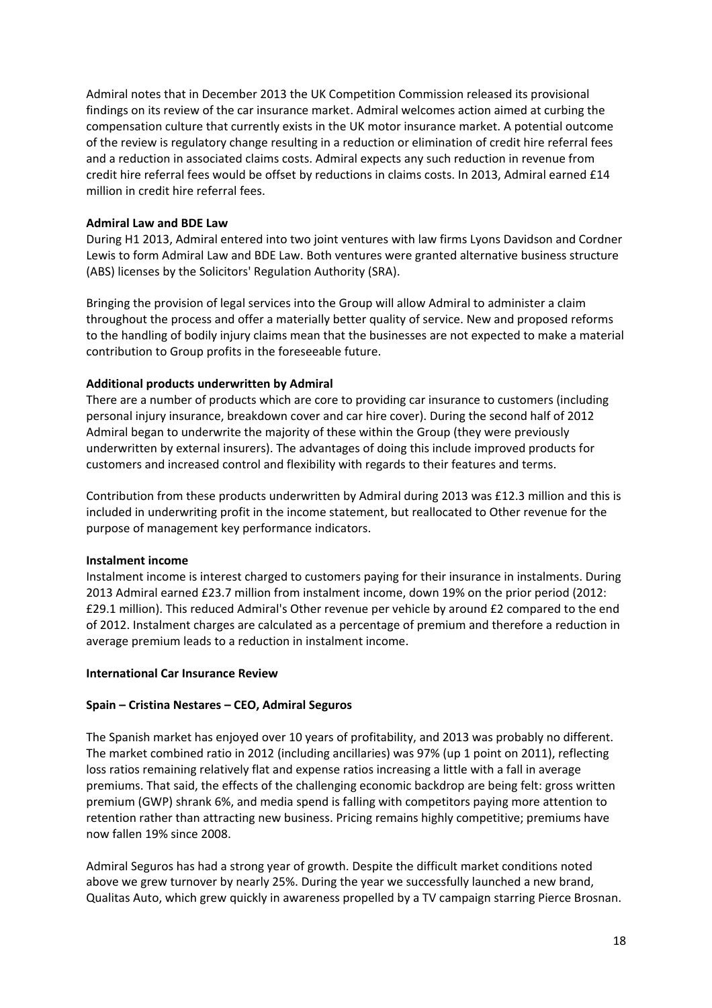Admiral notes that in December 2013 the UK Competition Commission released its provisional findings on its review of the car insurance market. Admiral welcomes action aimed at curbing the compensation culture that currently exists in the UK motor insurance market. A potential outcome of the review is regulatory change resulting in a reduction or elimination of credit hire referral fees and a reduction in associated claims costs. Admiral expects any such reduction in revenue from credit hire referral fees would be offset by reductions in claims costs. In 2013, Admiral earned £14 million in credit hire referral fees.

## **Admiral Law and BDE Law**

During H1 2013, Admiral entered into two joint ventures with law firms Lyons Davidson and Cordner Lewis to form Admiral Law and BDE Law. Both ventures were granted alternative business structure (ABS) licenses by the Solicitors' Regulation Authority (SRA).

Bringing the provision of legal services into the Group will allow Admiral to administer a claim throughout the process and offer a materially better quality of service. New and proposed reforms to the handling of bodily injury claims mean that the businesses are not expected to make a material contribution to Group profits in the foreseeable future.

## **Additional products underwritten by Admiral**

There are a number of products which are core to providing car insurance to customers (including personal injury insurance, breakdown cover and car hire cover). During the second half of 2012 Admiral began to underwrite the majority of these within the Group (they were previously underwritten by external insurers). The advantages of doing this include improved products for customers and increased control and flexibility with regards to their features and terms.

Contribution from these products underwritten by Admiral during 2013 was £12.3 million and this is included in underwriting profit in the income statement, but reallocated to Other revenue for the purpose of management key performance indicators.

## **Instalment income**

Instalment income is interest charged to customers paying for their insurance in instalments. During 2013 Admiral earned £23.7 million from instalment income, down 19% on the prior period (2012: £29.1 million). This reduced Admiral's Other revenue per vehicle by around £2 compared to the end of 2012. Instalment charges are calculated as a percentage of premium and therefore a reduction in average premium leads to a reduction in instalment income.

## **International Car Insurance Review**

# **Spain – Cristina Nestares – CEO, Admiral Seguros**

The Spanish market has enjoyed over 10 years of profitability, and 2013 was probably no different. The market combined ratio in 2012 (including ancillaries) was 97% (up 1 point on 2011), reflecting loss ratios remaining relatively flat and expense ratios increasing a little with a fall in average premiums. That said, the effects of the challenging economic backdrop are being felt: gross written premium (GWP) shrank 6%, and media spend is falling with competitors paying more attention to retention rather than attracting new business. Pricing remains highly competitive; premiums have now fallen 19% since 2008.

Admiral Seguros has had a strong year of growth. Despite the difficult market conditions noted above we grew turnover by nearly 25%. During the year we successfully launched a new brand, Qualitas Auto, which grew quickly in awareness propelled by a TV campaign starring Pierce Brosnan.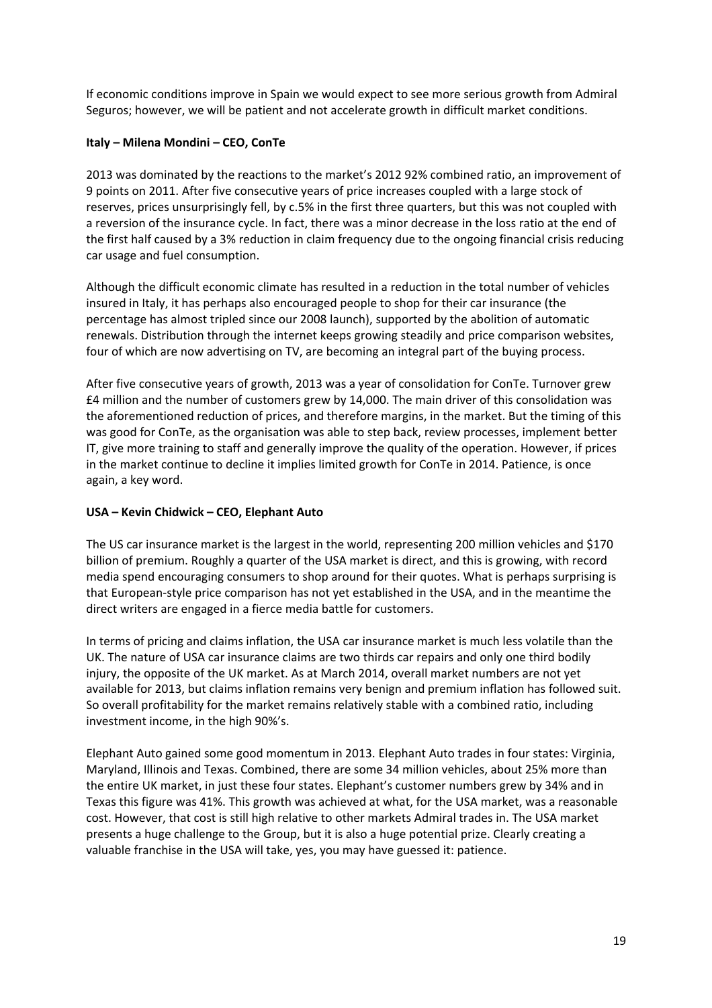If economic conditions improve in Spain we would expect to see more serious growth from Admiral Seguros; however, we will be patient and not accelerate growth in difficult market conditions.

# **Italy – Milena Mondini – CEO, ConTe**

2013 was dominated by the reactions to the market's 2012 92% combined ratio, an improvement of 9 points on 2011. After five consecutive years of price increases coupled with a large stock of reserves, prices unsurprisingly fell, by c.5% in the first three quarters, but this was not coupled with a reversion of the insurance cycle. In fact, there was a minor decrease in the loss ratio at the end of the first half caused by a 3% reduction in claim frequency due to the ongoing financial crisis reducing car usage and fuel consumption.

Although the difficult economic climate has resulted in a reduction in the total number of vehicles insured in Italy, it has perhaps also encouraged people to shop for their car insurance (the percentage has almost tripled since our 2008 launch), supported by the abolition of automatic renewals. Distribution through the internet keeps growing steadily and price comparison websites, four of which are now advertising on TV, are becoming an integral part of the buying process.

After five consecutive years of growth, 2013 was a year of consolidation for ConTe. Turnover grew £4 million and the number of customers grew by 14,000. The main driver of this consolidation was the aforementioned reduction of prices, and therefore margins, in the market. But the timing of this was good for ConTe, as the organisation was able to step back, review processes, implement better IT, give more training to staff and generally improve the quality of the operation. However, if prices in the market continue to decline it implies limited growth for ConTe in 2014. Patience, is once again, a key word.

# **USA – Kevin Chidwick – CEO, Elephant Auto**

The US car insurance market is the largest in the world, representing 200 million vehicles and \$170 billion of premium. Roughly a quarter of the USA market is direct, and this is growing, with record media spend encouraging consumers to shop around for their quotes. What is perhaps surprising is that European-style price comparison has not yet established in the USA, and in the meantime the direct writers are engaged in a fierce media battle for customers.

In terms of pricing and claims inflation, the USA car insurance market is much less volatile than the UK. The nature of USA car insurance claims are two thirds car repairs and only one third bodily injury, the opposite of the UK market. As at March 2014, overall market numbers are not yet available for 2013, but claims inflation remains very benign and premium inflation has followed suit. So overall profitability for the market remains relatively stable with a combined ratio, including investment income, in the high 90%'s.

Elephant Auto gained some good momentum in 2013. Elephant Auto trades in four states: Virginia, Maryland, Illinois and Texas. Combined, there are some 34 million vehicles, about 25% more than the entire UK market, in just these four states. Elephant's customer numbers grew by 34% and in Texas this figure was 41%. This growth was achieved at what, for the USA market, was a reasonable cost. However, that cost is still high relative to other markets Admiral trades in. The USA market presents a huge challenge to the Group, but it is also a huge potential prize. Clearly creating a valuable franchise in the USA will take, yes, you may have guessed it: patience.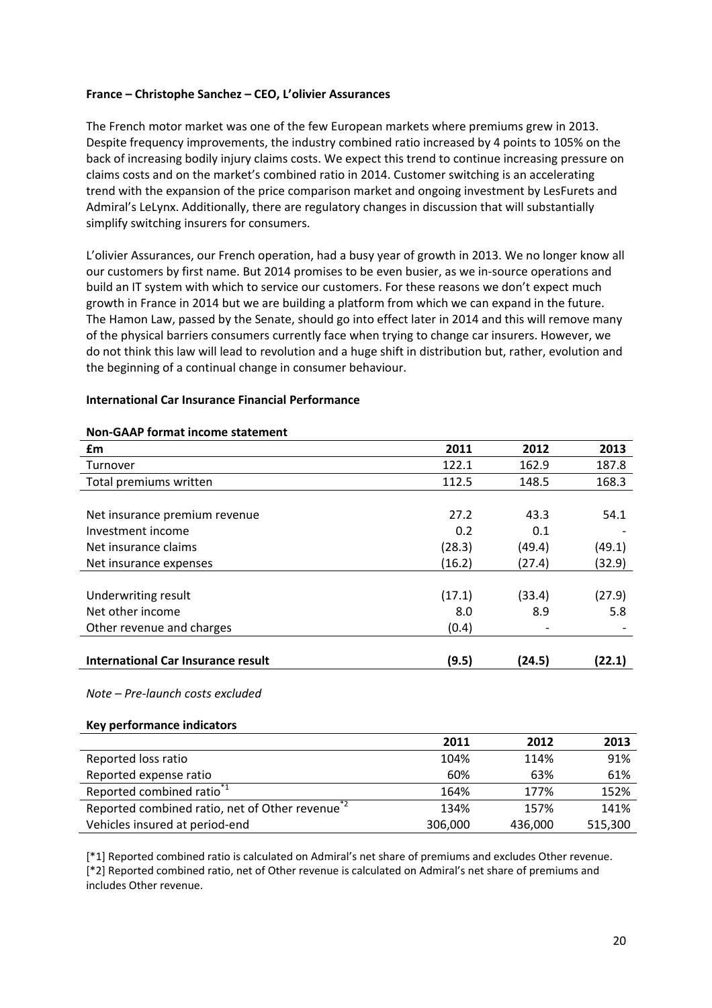## **France – Christophe Sanchez – CEO, L'olivier Assurances**

The French motor market was one of the few European markets where premiums grew in 2013. Despite frequency improvements, the industry combined ratio increased by 4 points to 105% on the back of increasing bodily injury claims costs. We expect this trend to continue increasing pressure on claims costs and on the market's combined ratio in 2014. Customer switching is an accelerating trend with the expansion of the price comparison market and ongoing investment by LesFurets and Admiral's LeLynx. Additionally, there are regulatory changes in discussion that will substantially simplify switching insurers for consumers.

L'olivier Assurances, our French operation, had a busy year of growth in 2013. We no longer know all our customers by first name. But 2014 promises to be even busier, as we in-source operations and build an IT system with which to service our customers. For these reasons we don't expect much growth in France in 2014 but we are building a platform from which we can expand in the future. The Hamon Law, passed by the Senate, should go into effect later in 2014 and this will remove many of the physical barriers consumers currently face when trying to change car insurers. However, we do not think this law will lead to revolution and a huge shift in distribution but, rather, evolution and the beginning of a continual change in consumer behaviour.

#### **International Car Insurance Financial Performance**

| £m                                        | 2011   | 2012   | 2013   |
|-------------------------------------------|--------|--------|--------|
| Turnover                                  | 122.1  | 162.9  | 187.8  |
| Total premiums written                    | 112.5  | 148.5  | 168.3  |
|                                           |        |        |        |
| Net insurance premium revenue             | 27.2   | 43.3   | 54.1   |
| Investment income                         | 0.2    | 0.1    |        |
| Net insurance claims                      | (28.3) | (49.4) | (49.1) |
| Net insurance expenses                    | (16.2) | (27.4) | (32.9) |
|                                           |        |        |        |
| Underwriting result                       | (17.1) | (33.4) | (27.9) |
| Net other income                          | 8.0    | 8.9    | 5.8    |
| Other revenue and charges                 | (0.4)  |        |        |
| <b>International Car Insurance result</b> | (9.5)  | (24.5) | (22.1) |

#### **Non-GAAP format income statement**

#### *Note – Pre-launch costs excluded*

#### **Key performance indicators**

|                                                            | 2011    | 2012    | 2013    |
|------------------------------------------------------------|---------|---------|---------|
| Reported loss ratio                                        | 104%    | 114%    | 91%     |
| Reported expense ratio                                     | 60%     | 63%     | 61%     |
| Reported combined ratio <sup>*1</sup>                      | 164%    | 177%    | 152%    |
| Reported combined ratio, net of Other revenue <sup>2</sup> | 134%    | 157%    | 141%    |
| Vehicles insured at period-end                             | 306,000 | 436,000 | 515,300 |

[\*1] Reported combined ratio is calculated on Admiral's net share of premiums and excludes Other revenue. [\*2] Reported combined ratio, net of Other revenue is calculated on Admiral's net share of premiums and includes Other revenue.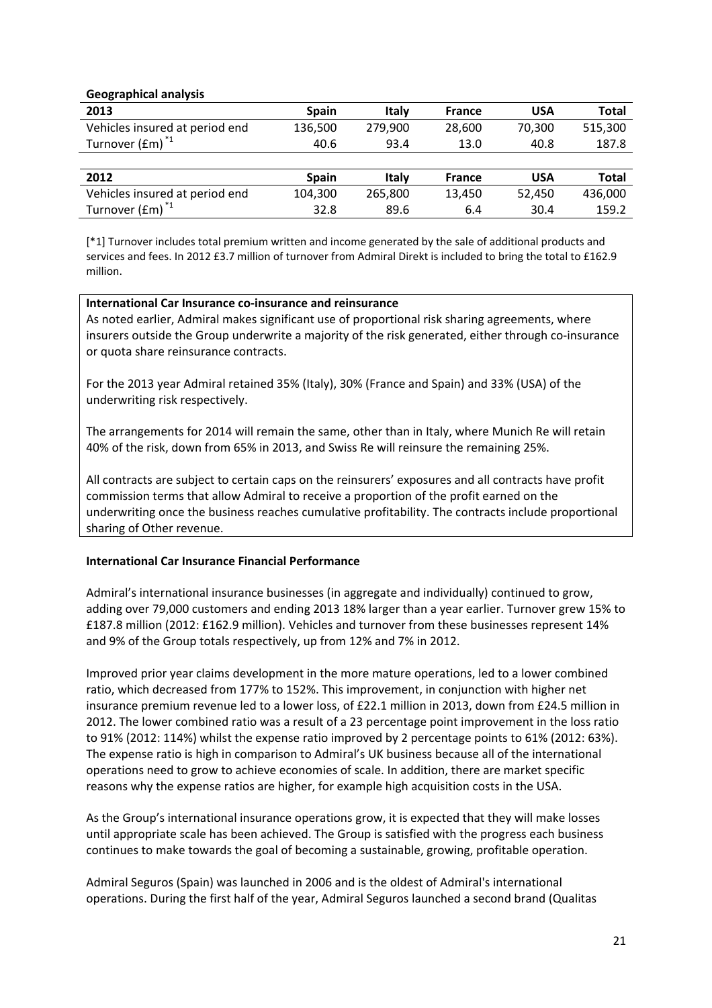| <b>Geographical analysis</b>   |              |              |               |            |         |
|--------------------------------|--------------|--------------|---------------|------------|---------|
| 2013                           | <b>Spain</b> | <b>Italy</b> | <b>France</b> | <b>USA</b> | Total   |
| Vehicles insured at period end | 136,500      | 279,900      | 28,600        | 70,300     | 515,300 |
| Turnover (£m) <sup>*1</sup>    | 40.6         | 93.4         | 13.0          | 40.8       | 187.8   |
|                                |              |              |               |            |         |
| 2012                           | <b>Spain</b> | <b>Italy</b> | <b>France</b> | <b>USA</b> | Total   |
| Vehicles insured at period end | 104,300      | 265,800      | 13,450        | 52,450     | 436,000 |
| Turnover (£m) <sup>*1</sup>    | 32.8         | 89.6         | 6.4           | 30.4       | 159.2   |

[\*1] Turnover includes total premium written and income generated by the sale of additional products and services and fees. In 2012 £3.7 million of turnover from Admiral Direkt is included to bring the total to £162.9 million.

## **International Car Insurance co-insurance and reinsurance**

As noted earlier, Admiral makes significant use of proportional risk sharing agreements, where insurers outside the Group underwrite a majority of the risk generated, either through co-insurance or quota share reinsurance contracts.

For the 2013 year Admiral retained 35% (Italy), 30% (France and Spain) and 33% (USA) of the underwriting risk respectively.

The arrangements for 2014 will remain the same, other than in Italy, where Munich Re will retain 40% of the risk, down from 65% in 2013, and Swiss Re will reinsure the remaining 25%.

All contracts are subject to certain caps on the reinsurers' exposures and all contracts have profit commission terms that allow Admiral to receive a proportion of the profit earned on the underwriting once the business reaches cumulative profitability. The contracts include proportional sharing of Other revenue.

# **International Car Insurance Financial Performance**

Admiral's international insurance businesses (in aggregate and individually) continued to grow, adding over 79,000 customers and ending 2013 18% larger than a year earlier. Turnover grew 15% to £187.8 million (2012: £162.9 million). Vehicles and turnover from these businesses represent 14% and 9% of the Group totals respectively, up from 12% and 7% in 2012.

Improved prior year claims development in the more mature operations, led to a lower combined ratio, which decreased from 177% to 152%. This improvement, in conjunction with higher net insurance premium revenue led to a lower loss, of £22.1 million in 2013, down from £24.5 million in 2012. The lower combined ratio was a result of a 23 percentage point improvement in the loss ratio to 91% (2012: 114%) whilst the expense ratio improved by 2 percentage points to 61% (2012: 63%). The expense ratio is high in comparison to Admiral's UK business because all of the international operations need to grow to achieve economies of scale. In addition, there are market specific reasons why the expense ratios are higher, for example high acquisition costs in the USA.

As the Group's international insurance operations grow, it is expected that they will make losses until appropriate scale has been achieved. The Group is satisfied with the progress each business continues to make towards the goal of becoming a sustainable, growing, profitable operation.

Admiral Seguros (Spain) was launched in 2006 and is the oldest of Admiral's international operations. During the first half of the year, Admiral Seguros launched a second brand (Qualitas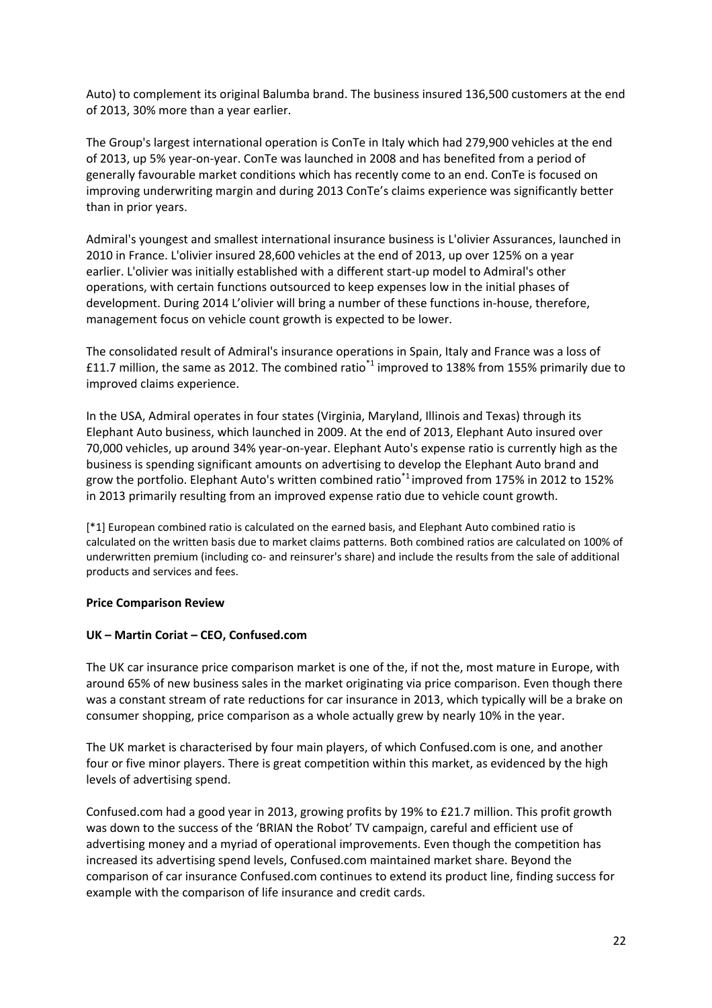Auto) to complement its original Balumba brand. The business insured 136,500 customers at the end of 2013, 30% more than a year earlier.

The Group's largest international operation is ConTe in Italy which had 279,900 vehicles at the end of 2013, up 5% year-on-year. ConTe was launched in 2008 and has benefited from a period of generally favourable market conditions which has recently come to an end. ConTe is focused on improving underwriting margin and during 2013 ConTe's claims experience was significantly better than in prior years.

Admiral's youngest and smallest international insurance business is L'olivier Assurances, launched in 2010 in France. L'olivier insured 28,600 vehicles at the end of 2013, up over 125% on a year earlier. L'olivier was initially established with a different start-up model to Admiral's other operations, with certain functions outsourced to keep expenses low in the initial phases of development. During 2014 L'olivier will bring a number of these functions in-house, therefore, management focus on vehicle count growth is expected to be lower.

The consolidated result of Admiral's insurance operations in Spain, Italy and France was a loss of £11.7 million, the same as 2012. The combined ratio\*1 improved to 138% from 155% primarily due to improved claims experience.

In the USA, Admiral operates in four states (Virginia, Maryland, Illinois and Texas) through its Elephant Auto business, which launched in 2009. At the end of 2013, Elephant Auto insured over 70,000 vehicles, up around 34% year-on-year. Elephant Auto's expense ratio is currently high as the business is spending significant amounts on advertising to develop the Elephant Auto brand and grow the portfolio. Elephant Auto's written combined ratio\*1 improved from 175% in 2012 to 152% in 2013 primarily resulting from an improved expense ratio due to vehicle count growth.

[\*1] European combined ratio is calculated on the earned basis, and Elephant Auto combined ratio is calculated on the written basis due to market claims patterns. Both combined ratios are calculated on 100% of underwritten premium (including co- and reinsurer's share) and include the results from the sale of additional products and services and fees.

## **Price Comparison Review**

## **UK – Martin Coriat – CEO, Confused.com**

The UK car insurance price comparison market is one of the, if not the, most mature in Europe, with around 65% of new business sales in the market originating via price comparison. Even though there was a constant stream of rate reductions for car insurance in 2013, which typically will be a brake on consumer shopping, price comparison as a whole actually grew by nearly 10% in the year.

The UK market is characterised by four main players, of which Confused.com is one, and another four or five minor players. There is great competition within this market, as evidenced by the high levels of advertising spend.

Confused.com had a good year in 2013, growing profits by 19% to £21.7 million. This profit growth was down to the success of the 'BRIAN the Robot' TV campaign, careful and efficient use of advertising money and a myriad of operational improvements. Even though the competition has increased its advertising spend levels, Confused.com maintained market share. Beyond the comparison of car insurance Confused.com continues to extend its product line, finding success for example with the comparison of life insurance and credit cards.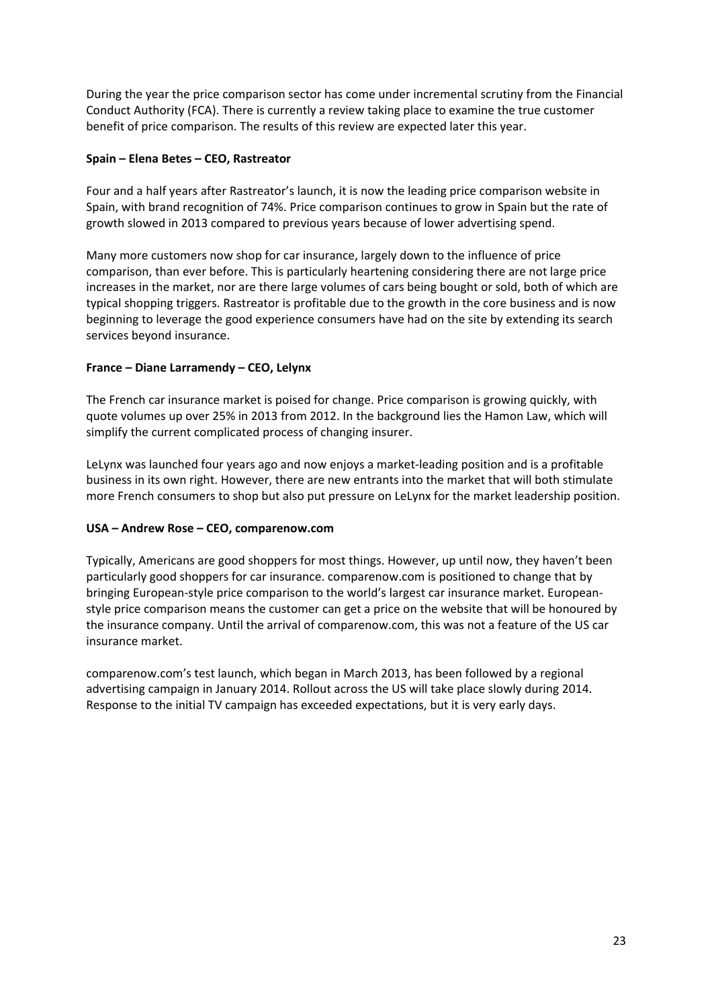During the year the price comparison sector has come under incremental scrutiny from the Financial Conduct Authority (FCA). There is currently a review taking place to examine the true customer benefit of price comparison. The results of this review are expected later this year.

## **Spain – Elena Betes – CEO, Rastreator**

Four and a half years after Rastreator's launch, it is now the leading price comparison website in Spain, with brand recognition of 74%. Price comparison continues to grow in Spain but the rate of growth slowed in 2013 compared to previous years because of lower advertising spend.

Many more customers now shop for car insurance, largely down to the influence of price comparison, than ever before. This is particularly heartening considering there are not large price increases in the market, nor are there large volumes of cars being bought or sold, both of which are typical shopping triggers. Rastreator is profitable due to the growth in the core business and is now beginning to leverage the good experience consumers have had on the site by extending its search services beyond insurance.

## **France – Diane Larramendy – CEO, Lelynx**

The French car insurance market is poised for change. Price comparison is growing quickly, with quote volumes up over 25% in 2013 from 2012. In the background lies the Hamon Law, which will simplify the current complicated process of changing insurer.

LeLynx was launched four years ago and now enjoys a market-leading position and is a profitable business in its own right. However, there are new entrants into the market that will both stimulate more French consumers to shop but also put pressure on LeLynx for the market leadership position.

# **USA – Andrew Rose – CEO, comparenow.com**

Typically, Americans are good shoppers for most things. However, up until now, they haven't been particularly good shoppers for car insurance. comparenow.com is positioned to change that by bringing European-style price comparison to the world's largest car insurance market. Europeanstyle price comparison means the customer can get a price on the website that will be honoured by the insurance company. Until the arrival of comparenow.com, this was not a feature of the US car insurance market.

comparenow.com's test launch, which began in March 2013, has been followed by a regional advertising campaign in January 2014. Rollout across the US will take place slowly during 2014. Response to the initial TV campaign has exceeded expectations, but it is very early days.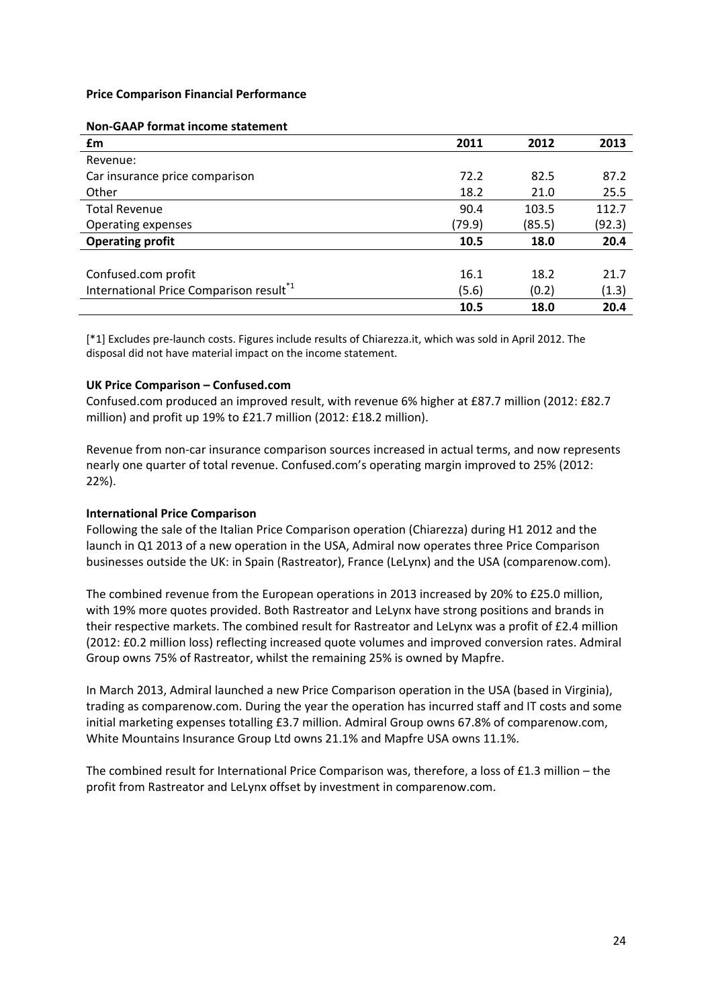#### **Price Comparison Financial Performance**

| <u>NUIL-GAAF TULITIAL IIILUITIE SLALEITIEITL</u>    |        |        |        |
|-----------------------------------------------------|--------|--------|--------|
| £m                                                  | 2011   | 2012   | 2013   |
| Revenue:                                            |        |        |        |
| Car insurance price comparison                      | 72.2   | 82.5   | 87.2   |
| Other                                               | 18.2   | 21.0   | 25.5   |
| <b>Total Revenue</b>                                | 90.4   | 103.5  | 112.7  |
| Operating expenses                                  | (79.9) | (85.5) | (92.3) |
| <b>Operating profit</b>                             | 10.5   | 18.0   | 20.4   |
|                                                     |        |        |        |
| Confused.com profit                                 | 16.1   | 18.2   | 21.7   |
| International Price Comparison result <sup>*1</sup> | (5.6)  | (0.2)  | (1.3)  |
|                                                     | 10.5   | 18.0   | 20.4   |

#### **Non-GAAP format income statement**

[\*1] Excludes pre-launch costs. Figures include results of Chiarezza.it, which was sold in April 2012. The disposal did not have material impact on the income statement.

#### **UK Price Comparison – Confused.com**

Confused.com produced an improved result, with revenue 6% higher at £87.7 million (2012: £82.7 million) and profit up 19% to £21.7 million (2012: £18.2 million).

Revenue from non-car insurance comparison sources increased in actual terms, and now represents nearly one quarter of total revenue. Confused.com's operating margin improved to 25% (2012: 22%).

## **International Price Comparison**

Following the sale of the Italian Price Comparison operation (Chiarezza) during H1 2012 and the launch in Q1 2013 of a new operation in the USA, Admiral now operates three Price Comparison businesses outside the UK: in Spain (Rastreator), France (LeLynx) and the USA (comparenow.com).

The combined revenue from the European operations in 2013 increased by 20% to £25.0 million, with 19% more quotes provided. Both Rastreator and LeLynx have strong positions and brands in their respective markets. The combined result for Rastreator and LeLynx was a profit of £2.4 million (2012: £0.2 million loss) reflecting increased quote volumes and improved conversion rates. Admiral Group owns 75% of Rastreator, whilst the remaining 25% is owned by Mapfre.

In March 2013, Admiral launched a new Price Comparison operation in the USA (based in Virginia), trading as comparenow.com. During the year the operation has incurred staff and IT costs and some initial marketing expenses totalling £3.7 million. Admiral Group owns 67.8% of comparenow.com, White Mountains Insurance Group Ltd owns 21.1% and Mapfre USA owns 11.1%.

The combined result for International Price Comparison was, therefore, a loss of £1.3 million – the profit from Rastreator and LeLynx offset by investment in comparenow.com.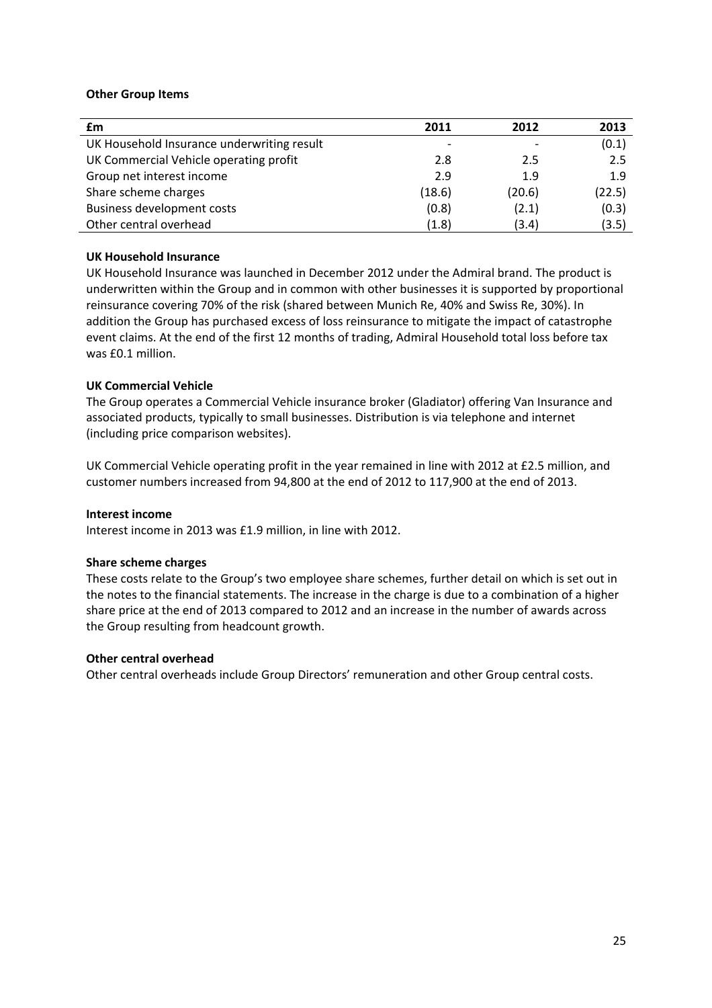## **Other Group Items**

| £m                                         | 2011   | 2012   | 2013   |
|--------------------------------------------|--------|--------|--------|
| UK Household Insurance underwriting result | -      |        | (0.1)  |
| UK Commercial Vehicle operating profit     | 2.8    | 2.5    | 2.5    |
| Group net interest income                  | 2.9    | 1.9    | 1.9    |
| Share scheme charges                       | (18.6) | (20.6) | (22.5) |
| <b>Business development costs</b>          | (0.8)  | (2.1)  | (0.3)  |
| Other central overhead                     | (1.8)  | (3.4)  | (3.5)  |

## **UK Household Insurance**

UK Household Insurance was launched in December 2012 under the Admiral brand. The product is underwritten within the Group and in common with other businesses it is supported by proportional reinsurance covering 70% of the risk (shared between Munich Re, 40% and Swiss Re, 30%). In addition the Group has purchased excess of loss reinsurance to mitigate the impact of catastrophe event claims. At the end of the first 12 months of trading, Admiral Household total loss before tax was £0.1 million.

## **UK Commercial Vehicle**

The Group operates a Commercial Vehicle insurance broker (Gladiator) offering Van Insurance and associated products, typically to small businesses. Distribution is via telephone and internet (including price comparison websites).

UK Commercial Vehicle operating profit in the year remained in line with 2012 at £2.5 million, and customer numbers increased from 94,800 at the end of 2012 to 117,900 at the end of 2013.

## **Interest income**

Interest income in 2013 was £1.9 million, in line with 2012.

## **Share scheme charges**

These costs relate to the Group's two employee share schemes, further detail on which is set out in the notes to the financial statements. The increase in the charge is due to a combination of a higher share price at the end of 2013 compared to 2012 and an increase in the number of awards across the Group resulting from headcount growth.

## **Other central overhead**

Other central overheads include Group Directors' remuneration and other Group central costs.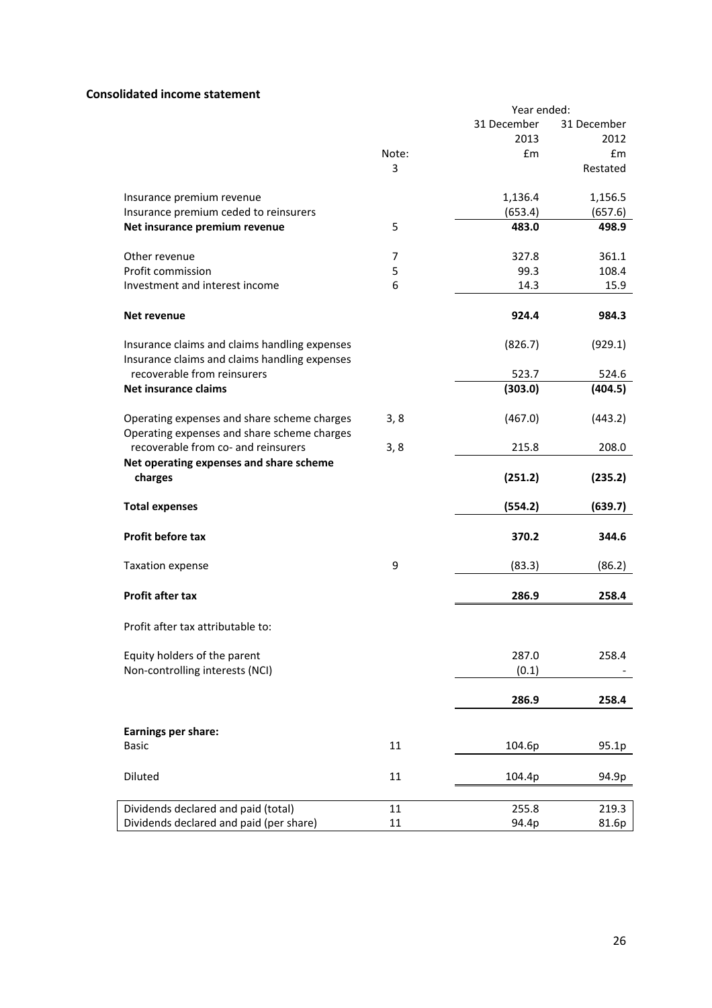## **Consolidated income statement**

|                                               |        | Year ended:   |             |
|-----------------------------------------------|--------|---------------|-------------|
|                                               |        | 31 December   | 31 December |
|                                               |        | 2013          | 2012        |
|                                               | Note:  | $\mathsf{fm}$ | £m          |
|                                               | 3      |               | Restated    |
|                                               |        |               |             |
|                                               |        |               |             |
| Insurance premium revenue                     |        | 1,136.4       | 1,156.5     |
| Insurance premium ceded to reinsurers         |        | (653.4)       | (657.6)     |
| Net insurance premium revenue                 | 5      | 483.0         | 498.9       |
|                                               |        |               |             |
| Other revenue                                 | 7      | 327.8         | 361.1       |
| Profit commission                             | 5      | 99.3          | 108.4       |
| Investment and interest income                | 6      | 14.3          | 15.9        |
|                                               |        |               |             |
| Net revenue                                   |        | 924.4         | 984.3       |
|                                               |        |               |             |
| Insurance claims and claims handling expenses |        | (826.7)       | (929.1)     |
| Insurance claims and claims handling expenses |        |               |             |
| recoverable from reinsurers                   |        | 523.7         | 524.6       |
|                                               |        |               |             |
| <b>Net insurance claims</b>                   |        | (303.0)       | (404.5)     |
|                                               |        |               |             |
| Operating expenses and share scheme charges   | 3, 8   | (467.0)       | (443.2)     |
| Operating expenses and share scheme charges   |        |               |             |
| recoverable from co- and reinsurers           | 3, 8   | 215.8         | 208.0       |
| Net operating expenses and share scheme       |        |               |             |
| charges                                       |        | (251.2)       | (235.2)     |
|                                               |        |               |             |
| <b>Total expenses</b>                         |        | (554.2)       | (639.7)     |
|                                               |        |               |             |
| Profit before tax                             |        | 370.2         | 344.6       |
|                                               |        |               |             |
| <b>Taxation expense</b>                       | 9      | (83.3)        | (86.2)      |
|                                               |        |               |             |
| Profit after tax                              |        |               |             |
|                                               |        | 286.9         | 258.4       |
|                                               |        |               |             |
| Profit after tax attributable to:             |        |               |             |
|                                               |        |               |             |
| Equity holders of the parent                  |        | 287.0         | 258.4       |
| Non-controlling interests (NCI)               |        | (0.1)         |             |
|                                               |        |               |             |
|                                               |        | 286.9         | 258.4       |
|                                               |        |               |             |
| Earnings per share:                           |        |               |             |
| <b>Basic</b>                                  | 11     | 104.6p        | 95.1p       |
|                                               |        |               |             |
|                                               |        |               |             |
| Diluted                                       | 11     | 104.4p        | 94.9p       |
|                                               |        |               |             |
| Dividends declared and paid (total)           | 11     | 255.8         | 219.3       |
| Dividends declared and paid (per share)       | $11\,$ | 94.4p         | 81.6p       |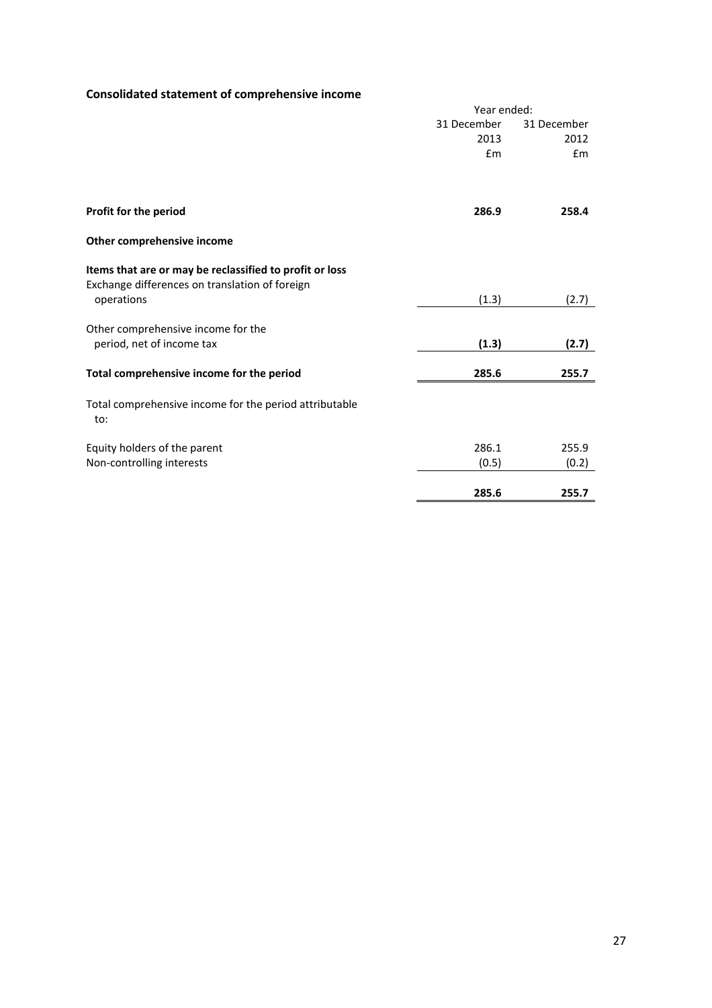# **Consolidated statement of comprehensive income**

|                                                               | Year ended: |             |  |  |
|---------------------------------------------------------------|-------------|-------------|--|--|
|                                                               | 31 December | 31 December |  |  |
|                                                               | 2013        | 2012        |  |  |
|                                                               | Em          | £m          |  |  |
|                                                               |             |             |  |  |
| Profit for the period                                         | 286.9       | 258.4       |  |  |
| Other comprehensive income                                    |             |             |  |  |
| Items that are or may be reclassified to profit or loss       |             |             |  |  |
| Exchange differences on translation of foreign                |             |             |  |  |
| operations                                                    | (1.3)       | (2.7)       |  |  |
| Other comprehensive income for the                            |             |             |  |  |
| period, net of income tax                                     | (1.3)       | (2.7)       |  |  |
|                                                               |             |             |  |  |
| Total comprehensive income for the period                     | 285.6       | 255.7       |  |  |
| Total comprehensive income for the period attributable<br>to: |             |             |  |  |
| Equity holders of the parent                                  | 286.1       | 255.9       |  |  |
| Non-controlling interests                                     | (0.5)       | (0.2)       |  |  |
|                                                               | 285.6       | 255.7       |  |  |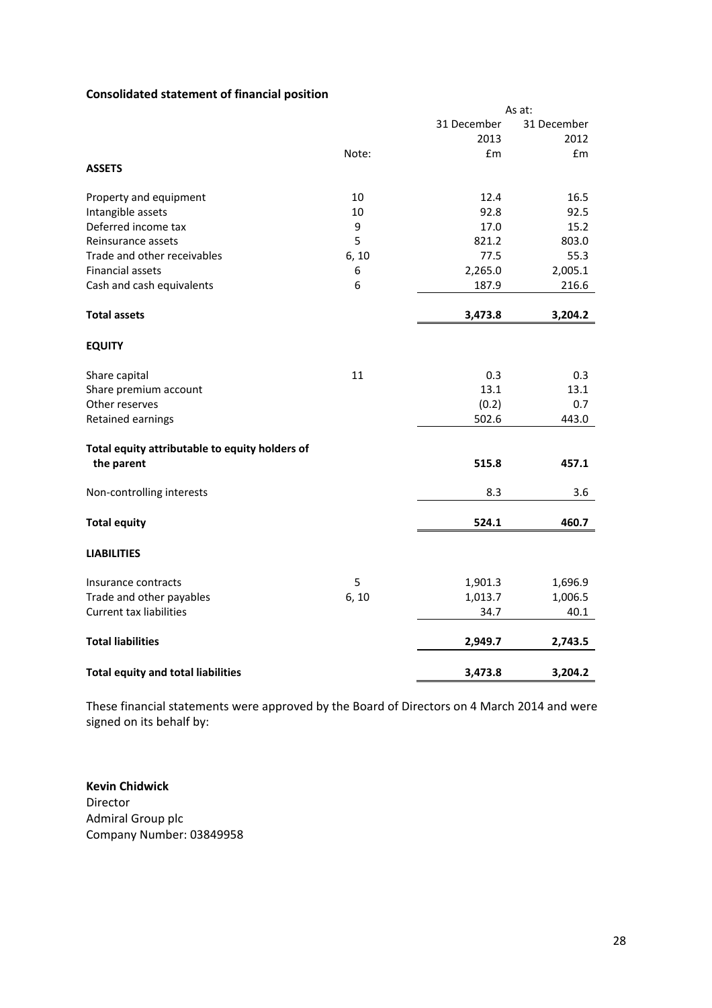# **Consolidated statement of financial position**

|                                                |       | As at:      |             |  |  |
|------------------------------------------------|-------|-------------|-------------|--|--|
|                                                |       | 31 December | 31 December |  |  |
|                                                |       | 2013        | 2012        |  |  |
|                                                | Note: | £m          | £m          |  |  |
| <b>ASSETS</b>                                  |       |             |             |  |  |
| Property and equipment                         | 10    | 12.4        | 16.5        |  |  |
| Intangible assets                              | 10    | 92.8        | 92.5        |  |  |
| Deferred income tax                            | 9     | 17.0        | 15.2        |  |  |
| Reinsurance assets                             | 5     | 821.2       | 803.0       |  |  |
| Trade and other receivables                    | 6, 10 | 77.5        | 55.3        |  |  |
| <b>Financial assets</b>                        | 6     | 2,265.0     | 2,005.1     |  |  |
| Cash and cash equivalents                      | 6     | 187.9       | 216.6       |  |  |
| <b>Total assets</b>                            |       | 3,473.8     | 3,204.2     |  |  |
| <b>EQUITY</b>                                  |       |             |             |  |  |
| Share capital                                  | 11    | 0.3         | 0.3         |  |  |
| Share premium account                          |       | 13.1        | 13.1        |  |  |
| Other reserves                                 |       | (0.2)       | 0.7         |  |  |
| Retained earnings                              |       | 502.6       | 443.0       |  |  |
| Total equity attributable to equity holders of |       |             |             |  |  |
| the parent                                     |       | 515.8       | 457.1       |  |  |
| Non-controlling interests                      |       | 8.3         | 3.6         |  |  |
| <b>Total equity</b>                            |       | 524.1       | 460.7       |  |  |
| <b>LIABILITIES</b>                             |       |             |             |  |  |
| Insurance contracts                            | 5     | 1,901.3     | 1,696.9     |  |  |
| Trade and other payables                       | 6, 10 | 1,013.7     | 1,006.5     |  |  |
| <b>Current tax liabilities</b>                 |       | 34.7        | 40.1        |  |  |
| <b>Total liabilities</b>                       |       | 2,949.7     | 2,743.5     |  |  |
| <b>Total equity and total liabilities</b>      |       | 3,473.8     | 3,204.2     |  |  |

These financial statements were approved by the Board of Directors on 4 March 2014 and were signed on its behalf by:

**Kevin Chidwick**  Director Admiral Group plc Company Number: 03849958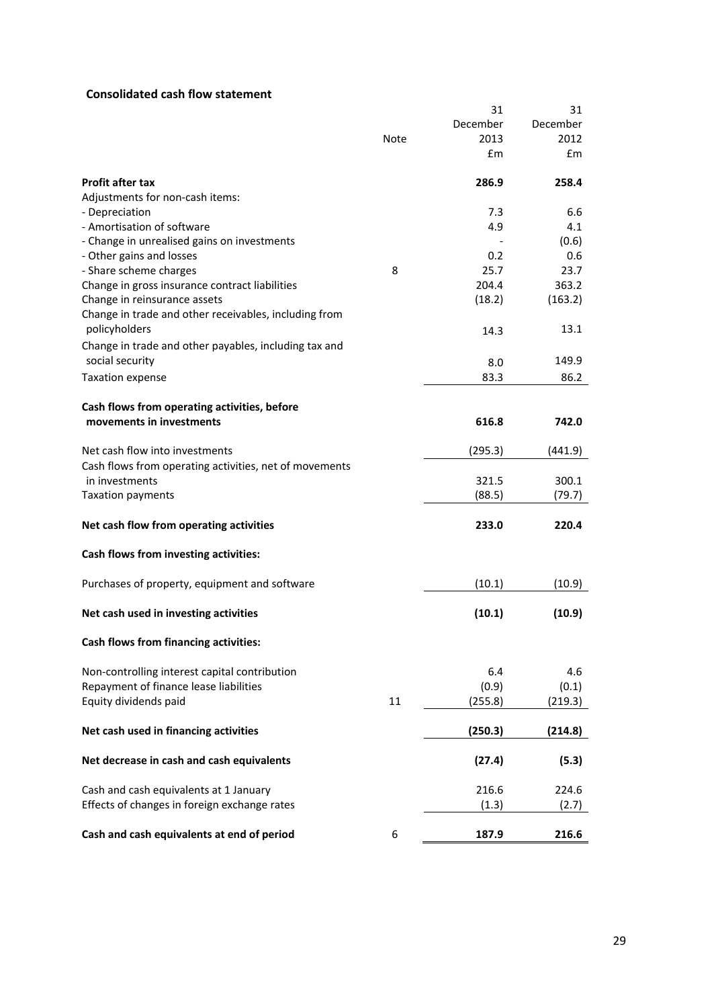## **Consolidated cash flow statement**

|                                                        |      | 31       | 31       |
|--------------------------------------------------------|------|----------|----------|
|                                                        |      | December | December |
|                                                        | Note | 2013     | 2012     |
|                                                        |      | £m       | £m       |
| <b>Profit after tax</b>                                |      | 286.9    | 258.4    |
| Adjustments for non-cash items:                        |      |          |          |
| - Depreciation                                         |      | 7.3      | 6.6      |
| - Amortisation of software                             |      | 4.9      | 4.1      |
| - Change in unrealised gains on investments            |      |          | (0.6)    |
| - Other gains and losses                               |      | 0.2      | 0.6      |
| - Share scheme charges                                 | 8    | 25.7     | 23.7     |
| Change in gross insurance contract liabilities         |      | 204.4    | 363.2    |
| Change in reinsurance assets                           |      | (18.2)   | (163.2)  |
| Change in trade and other receivables, including from  |      |          |          |
| policyholders                                          |      | 14.3     | 13.1     |
| Change in trade and other payables, including tax and  |      |          |          |
| social security                                        |      | 8.0      | 149.9    |
| <b>Taxation expense</b>                                |      | 83.3     | 86.2     |
| Cash flows from operating activities, before           |      |          |          |
| movements in investments                               |      | 616.8    | 742.0    |
| Net cash flow into investments                         |      | (295.3)  | (441.9)  |
| Cash flows from operating activities, net of movements |      |          |          |
| in investments                                         |      | 321.5    | 300.1    |
| <b>Taxation payments</b>                               |      | (88.5)   | (79.7)   |
| Net cash flow from operating activities                |      | 233.0    | 220.4    |
| Cash flows from investing activities:                  |      |          |          |
| Purchases of property, equipment and software          |      | (10.1)   | (10.9)   |
|                                                        |      |          |          |
| Net cash used in investing activities                  |      | (10.1)   | (10.9)   |
| Cash flows from financing activities:                  |      |          |          |
| Non-controlling interest capital contribution          |      | 6.4      | 4.6      |
| Repayment of finance lease liabilities                 |      | (0.9)    | (0.1)    |
| Equity dividends paid                                  | 11   | (255.8)  | (219.3)  |
| Net cash used in financing activities                  |      | (250.3)  | (214.8)  |
|                                                        |      |          |          |
| Net decrease in cash and cash equivalents              |      | (27.4)   | (5.3)    |
| Cash and cash equivalents at 1 January                 |      | 216.6    | 224.6    |
| Effects of changes in foreign exchange rates           |      | (1.3)    | (2.7)    |
| Cash and cash equivalents at end of period             | 6    | 187.9    | 216.6    |
|                                                        |      |          |          |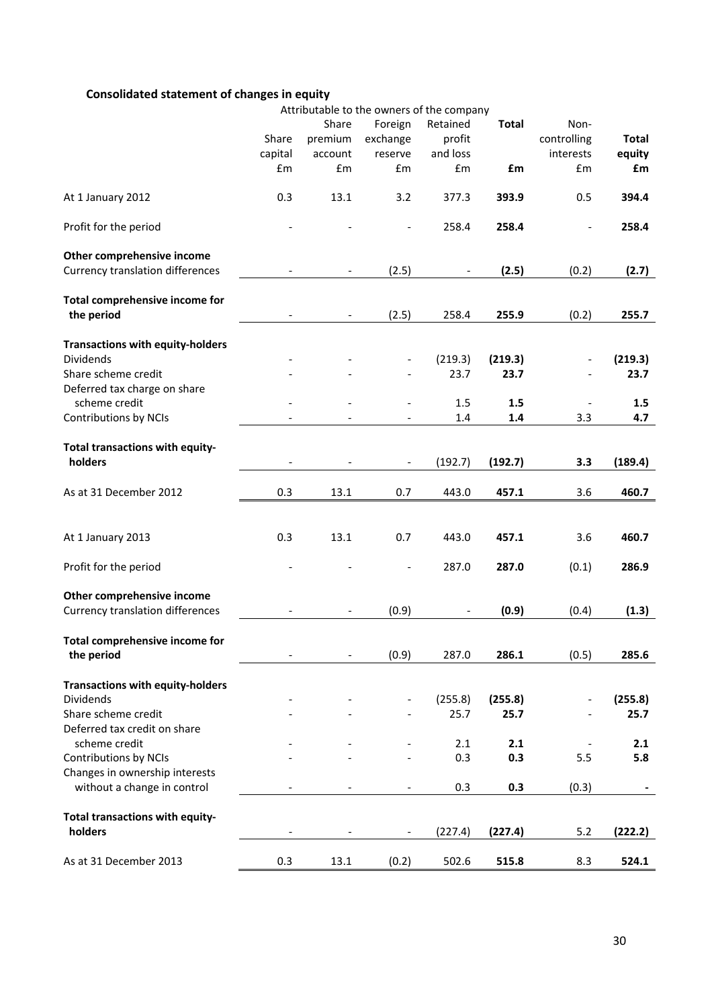# **Consolidated statement of changes in equity**

|                                              |         |         | Attributable to the owners of the company |          |              |             |              |
|----------------------------------------------|---------|---------|-------------------------------------------|----------|--------------|-------------|--------------|
|                                              |         | Share   | Foreign                                   | Retained | <b>Total</b> | Non-        |              |
|                                              | Share   | premium | exchange                                  | profit   |              | controlling | <b>Total</b> |
|                                              | capital | account | reserve                                   | and loss |              | interests   | equity       |
|                                              | £m      | £m      | Em                                        | £m       | £m           | £m          | £m           |
| At 1 January 2012                            | 0.3     | 13.1    | 3.2                                       | 377.3    | 393.9        | 0.5         | 394.4        |
| Profit for the period                        |         |         |                                           | 258.4    | 258.4        |             | 258.4        |
| Other comprehensive income                   |         |         |                                           |          |              |             |              |
| <b>Currency translation differences</b>      |         |         | (2.5)                                     |          | (2.5)        | (0.2)       | (2.7)        |
| Total comprehensive income for<br>the period |         |         | (2.5)                                     | 258.4    | 255.9        | (0.2)       | 255.7        |
| <b>Transactions with equity-holders</b>      |         |         |                                           |          |              |             |              |
| <b>Dividends</b>                             |         |         |                                           | (219.3)  | (219.3)      |             | (219.3)      |
| Share scheme credit                          |         |         |                                           | 23.7     | 23.7         |             | 23.7         |
| Deferred tax charge on share                 |         |         |                                           |          |              |             |              |
| scheme credit                                |         |         |                                           | 1.5      | 1.5          |             | 1.5          |
| Contributions by NCIs                        |         |         |                                           | 1.4      | 1.4          | 3.3         | 4.7          |
| Total transactions with equity-              |         |         |                                           |          |              |             |              |
| holders                                      |         |         |                                           | (192.7)  | (192.7)      | 3.3         | (189.4)      |
| As at 31 December 2012                       | 0.3     | 13.1    | 0.7                                       | 443.0    | 457.1        | 3.6         | 460.7        |
|                                              |         |         |                                           |          |              |             |              |
| At 1 January 2013                            | 0.3     | 13.1    | 0.7                                       | 443.0    | 457.1        | 3.6         | 460.7        |
| Profit for the period                        |         |         |                                           | 287.0    | 287.0        | (0.1)       | 286.9        |
| Other comprehensive income                   |         |         |                                           |          |              |             |              |
| <b>Currency translation differences</b>      |         |         | (0.9)                                     |          | (0.9)        | (0.4)       | (1.3)        |
| Total comprehensive income for               |         |         |                                           |          |              |             |              |
| the period                                   |         |         | (0.9)                                     | 287.0    | 286.1        | (0.5)       | 285.6        |
| <b>Transactions with equity-holders</b>      |         |         |                                           |          |              |             |              |
| Dividends                                    |         |         |                                           | (255.8)  | (255.8)      |             | (255.8)      |
| Share scheme credit                          |         |         |                                           | 25.7     | 25.7         |             | 25.7         |
| Deferred tax credit on share                 |         |         |                                           |          |              |             |              |
| scheme credit                                |         |         |                                           | 2.1      | 2.1          |             | 2.1          |
| Contributions by NCIs                        |         |         |                                           | 0.3      | 0.3          | 5.5         | 5.8          |
| Changes in ownership interests               |         |         |                                           |          |              |             |              |
| without a change in control                  |         |         |                                           | 0.3      | 0.3          | (0.3)       |              |
| Total transactions with equity-              |         |         |                                           |          |              |             |              |
| holders                                      |         |         |                                           | (227.4)  | (227.4)      | 5.2         | (222.2)      |
| As at 31 December 2013                       | 0.3     | 13.1    | (0.2)                                     | 502.6    | 515.8        | 8.3         | 524.1        |
|                                              |         |         |                                           |          |              |             |              |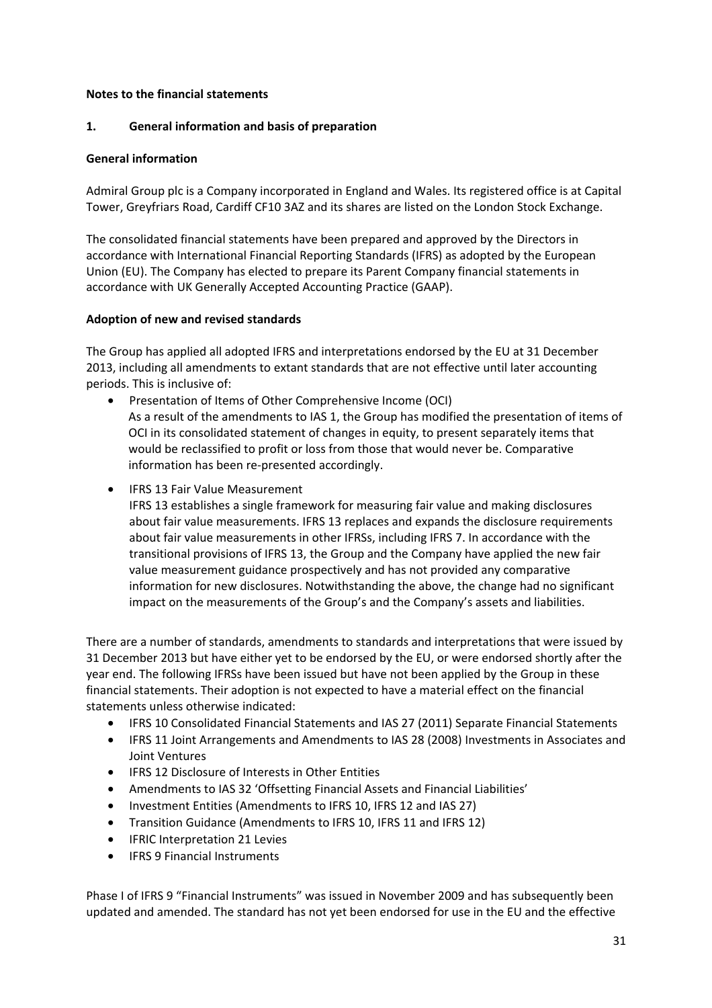## **Notes to the financial statements**

## **1. General information and basis of preparation**

## **General information**

Admiral Group plc is a Company incorporated in England and Wales. Its registered office is at Capital Tower, Greyfriars Road, Cardiff CF10 3AZ and its shares are listed on the London Stock Exchange.

The consolidated financial statements have been prepared and approved by the Directors in accordance with International Financial Reporting Standards (IFRS) as adopted by the European Union (EU). The Company has elected to prepare its Parent Company financial statements in accordance with UK Generally Accepted Accounting Practice (GAAP).

## **Adoption of new and revised standards**

The Group has applied all adopted IFRS and interpretations endorsed by the EU at 31 December 2013, including all amendments to extant standards that are not effective until later accounting periods. This is inclusive of:

- Presentation of Items of Other Comprehensive Income (OCI) As a result of the amendments to IAS 1, the Group has modified the presentation of items of OCI in its consolidated statement of changes in equity, to present separately items that would be reclassified to profit or loss from those that would never be. Comparative information has been re-presented accordingly.
- IFRS 13 Fair Value Measurement

IFRS 13 establishes a single framework for measuring fair value and making disclosures about fair value measurements. IFRS 13 replaces and expands the disclosure requirements about fair value measurements in other IFRSs, including IFRS 7. In accordance with the transitional provisions of IFRS 13, the Group and the Company have applied the new fair value measurement guidance prospectively and has not provided any comparative information for new disclosures. Notwithstanding the above, the change had no significant impact on the measurements of the Group's and the Company's assets and liabilities.

There are a number of standards, amendments to standards and interpretations that were issued by 31 December 2013 but have either yet to be endorsed by the EU, or were endorsed shortly after the year end. The following IFRSs have been issued but have not been applied by the Group in these financial statements. Their adoption is not expected to have a material effect on the financial statements unless otherwise indicated:

- IFRS 10 Consolidated Financial Statements and IAS 27 (2011) Separate Financial Statements
- IFRS 11 Joint Arrangements and Amendments to IAS 28 (2008) Investments in Associates and Joint Ventures
- IFRS 12 Disclosure of Interests in Other Entities
- Amendments to IAS 32 'Offsetting Financial Assets and Financial Liabilities'
- Investment Entities (Amendments to IFRS 10, IFRS 12 and IAS 27)
- Transition Guidance (Amendments to IFRS 10, IFRS 11 and IFRS 12)
- IFRIC Interpretation 21 Levies
- IFRS 9 Financial Instruments

Phase I of IFRS 9 "Financial Instruments" was issued in November 2009 and has subsequently been updated and amended. The standard has not yet been endorsed for use in the EU and the effective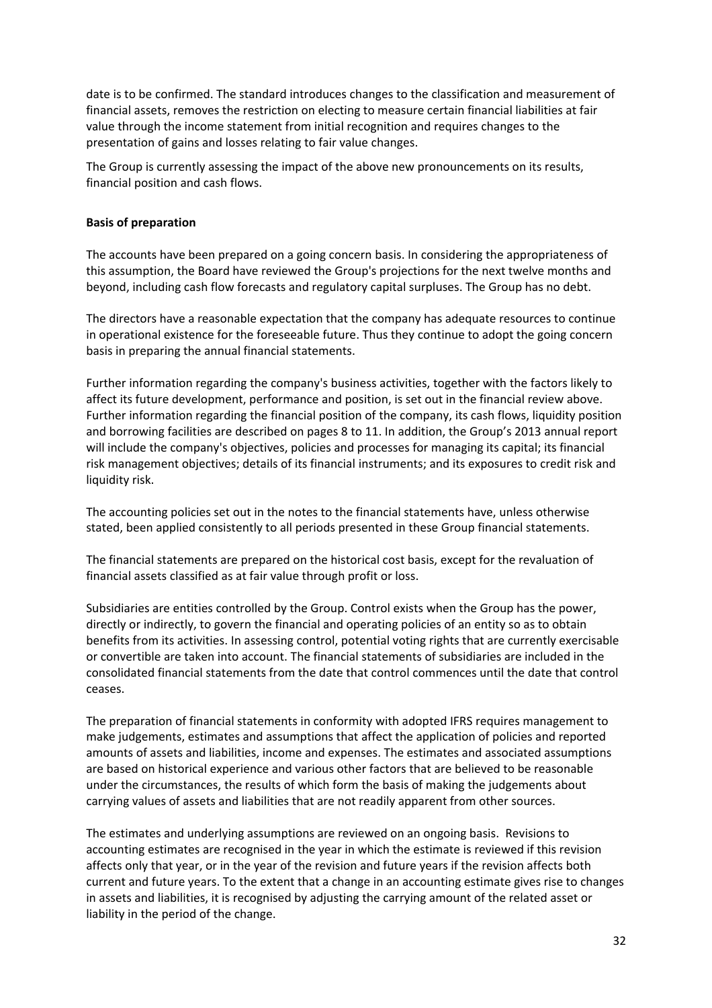date is to be confirmed. The standard introduces changes to the classification and measurement of financial assets, removes the restriction on electing to measure certain financial liabilities at fair value through the income statement from initial recognition and requires changes to the presentation of gains and losses relating to fair value changes.

The Group is currently assessing the impact of the above new pronouncements on its results, financial position and cash flows.

#### **Basis of preparation**

The accounts have been prepared on a going concern basis. In considering the appropriateness of this assumption, the Board have reviewed the Group's projections for the next twelve months and beyond, including cash flow forecasts and regulatory capital surpluses. The Group has no debt.

The directors have a reasonable expectation that the company has adequate resources to continue in operational existence for the foreseeable future. Thus they continue to adopt the going concern basis in preparing the annual financial statements.

Further information regarding the company's business activities, together with the factors likely to affect its future development, performance and position, is set out in the financial review above. Further information regarding the financial position of the company, its cash flows, liquidity position and borrowing facilities are described on pages 8 to 11. In addition, the Group's 2013 annual report will include the company's objectives, policies and processes for managing its capital; its financial risk management objectives; details of its financial instruments; and its exposures to credit risk and liquidity risk.

The accounting policies set out in the notes to the financial statements have, unless otherwise stated, been applied consistently to all periods presented in these Group financial statements.

The financial statements are prepared on the historical cost basis, except for the revaluation of financial assets classified as at fair value through profit or loss.

Subsidiaries are entities controlled by the Group. Control exists when the Group has the power, directly or indirectly, to govern the financial and operating policies of an entity so as to obtain benefits from its activities. In assessing control, potential voting rights that are currently exercisable or convertible are taken into account. The financial statements of subsidiaries are included in the consolidated financial statements from the date that control commences until the date that control ceases.

The preparation of financial statements in conformity with adopted IFRS requires management to make judgements, estimates and assumptions that affect the application of policies and reported amounts of assets and liabilities, income and expenses. The estimates and associated assumptions are based on historical experience and various other factors that are believed to be reasonable under the circumstances, the results of which form the basis of making the judgements about carrying values of assets and liabilities that are not readily apparent from other sources.

The estimates and underlying assumptions are reviewed on an ongoing basis. Revisions to accounting estimates are recognised in the year in which the estimate is reviewed if this revision affects only that year, or in the year of the revision and future years if the revision affects both current and future years. To the extent that a change in an accounting estimate gives rise to changes in assets and liabilities, it is recognised by adjusting the carrying amount of the related asset or liability in the period of the change.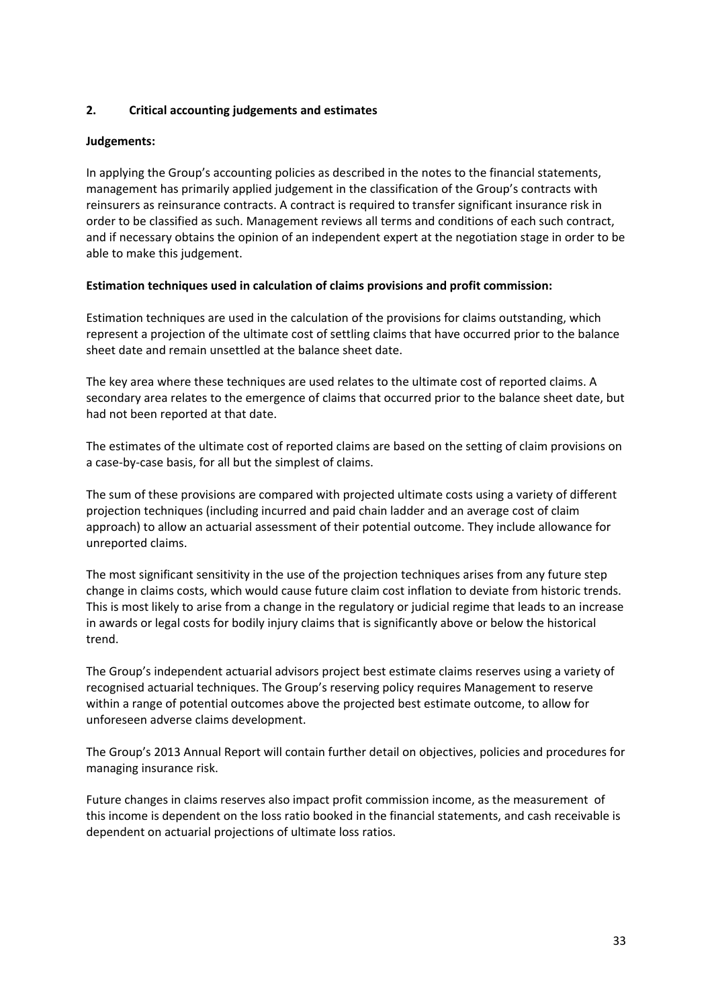# **2. Critical accounting judgements and estimates**

## **Judgements:**

In applying the Group's accounting policies as described in the notes to the financial statements, management has primarily applied judgement in the classification of the Group's contracts with reinsurers as reinsurance contracts. A contract is required to transfer significant insurance risk in order to be classified as such. Management reviews all terms and conditions of each such contract, and if necessary obtains the opinion of an independent expert at the negotiation stage in order to be able to make this judgement.

## **Estimation techniques used in calculation of claims provisions and profit commission:**

Estimation techniques are used in the calculation of the provisions for claims outstanding, which represent a projection of the ultimate cost of settling claims that have occurred prior to the balance sheet date and remain unsettled at the balance sheet date.

The key area where these techniques are used relates to the ultimate cost of reported claims. A secondary area relates to the emergence of claims that occurred prior to the balance sheet date, but had not been reported at that date.

The estimates of the ultimate cost of reported claims are based on the setting of claim provisions on a case-by-case basis, for all but the simplest of claims.

The sum of these provisions are compared with projected ultimate costs using a variety of different projection techniques (including incurred and paid chain ladder and an average cost of claim approach) to allow an actuarial assessment of their potential outcome. They include allowance for unreported claims.

The most significant sensitivity in the use of the projection techniques arises from any future step change in claims costs, which would cause future claim cost inflation to deviate from historic trends. This is most likely to arise from a change in the regulatory or judicial regime that leads to an increase in awards or legal costs for bodily injury claims that is significantly above or below the historical trend.

The Group's independent actuarial advisors project best estimate claims reserves using a variety of recognised actuarial techniques. The Group's reserving policy requires Management to reserve within a range of potential outcomes above the projected best estimate outcome, to allow for unforeseen adverse claims development.

The Group's 2013 Annual Report will contain further detail on objectives, policies and procedures for managing insurance risk.

Future changes in claims reserves also impact profit commission income, as the measurement of this income is dependent on the loss ratio booked in the financial statements, and cash receivable is dependent on actuarial projections of ultimate loss ratios.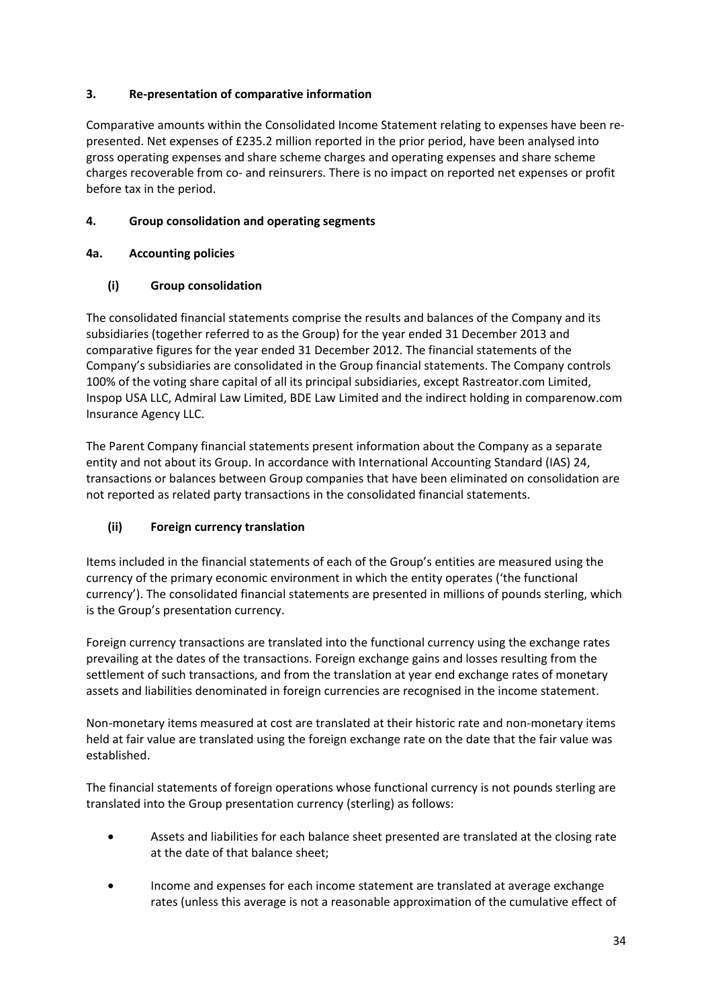# **3. Re-presentation of comparative information**

Comparative amounts within the Consolidated Income Statement relating to expenses have been represented. Net expenses of £235.2 million reported in the prior period, have been analysed into gross operating expenses and share scheme charges and operating expenses and share scheme charges recoverable from co- and reinsurers. There is no impact on reported net expenses or profit before tax in the period.

# **4. Group consolidation and operating segments**

# **4a. Accounting policies**

# **(i) Group consolidation**

The consolidated financial statements comprise the results and balances of the Company and its subsidiaries (together referred to as the Group) for the year ended 31 December 2013 and comparative figures for the year ended 31 December 2012. The financial statements of the Company's subsidiaries are consolidated in the Group financial statements. The Company controls 100% of the voting share capital of all its principal subsidiaries, except Rastreator.com Limited, Inspop USA LLC, Admiral Law Limited, BDE Law Limited and the indirect holding in comparenow.com Insurance Agency LLC.

The Parent Company financial statements present information about the Company as a separate entity and not about its Group. In accordance with International Accounting Standard (IAS) 24, transactions or balances between Group companies that have been eliminated on consolidation are not reported as related party transactions in the consolidated financial statements.

# **(ii) Foreign currency translation**

Items included in the financial statements of each of the Group's entities are measured using the currency of the primary economic environment in which the entity operates ('the functional currency'). The consolidated financial statements are presented in millions of pounds sterling, which is the Group's presentation currency.

Foreign currency transactions are translated into the functional currency using the exchange rates prevailing at the dates of the transactions. Foreign exchange gains and losses resulting from the settlement of such transactions, and from the translation at year end exchange rates of monetary assets and liabilities denominated in foreign currencies are recognised in the income statement.

Non-monetary items measured at cost are translated at their historic rate and non-monetary items held at fair value are translated using the foreign exchange rate on the date that the fair value was established.

The financial statements of foreign operations whose functional currency is not pounds sterling are translated into the Group presentation currency (sterling) as follows:

- Assets and liabilities for each balance sheet presented are translated at the closing rate at the date of that balance sheet;
- Income and expenses for each income statement are translated at average exchange rates (unless this average is not a reasonable approximation of the cumulative effect of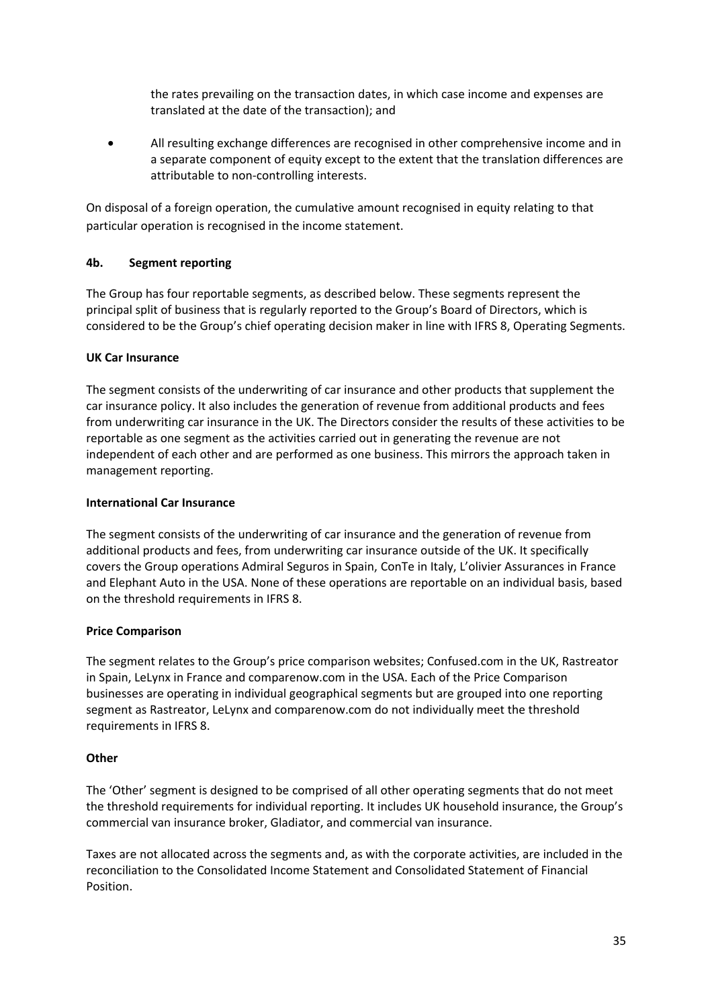the rates prevailing on the transaction dates, in which case income and expenses are translated at the date of the transaction); and

• All resulting exchange differences are recognised in other comprehensive income and in a separate component of equity except to the extent that the translation differences are attributable to non-controlling interests.

On disposal of a foreign operation, the cumulative amount recognised in equity relating to that particular operation is recognised in the income statement.

# **4b. Segment reporting**

The Group has four reportable segments, as described below. These segments represent the principal split of business that is regularly reported to the Group's Board of Directors, which is considered to be the Group's chief operating decision maker in line with IFRS 8, Operating Segments.

## **UK Car Insurance**

The segment consists of the underwriting of car insurance and other products that supplement the car insurance policy. It also includes the generation of revenue from additional products and fees from underwriting car insurance in the UK. The Directors consider the results of these activities to be reportable as one segment as the activities carried out in generating the revenue are not independent of each other and are performed as one business. This mirrors the approach taken in management reporting.

## **International Car Insurance**

The segment consists of the underwriting of car insurance and the generation of revenue from additional products and fees, from underwriting car insurance outside of the UK. It specifically covers the Group operations Admiral Seguros in Spain, ConTe in Italy, L'olivier Assurances in France and Elephant Auto in the USA. None of these operations are reportable on an individual basis, based on the threshold requirements in IFRS 8.

## **Price Comparison**

The segment relates to the Group's price comparison websites; Confused.com in the UK, Rastreator in Spain, LeLynx in France and comparenow.com in the USA. Each of the Price Comparison businesses are operating in individual geographical segments but are grouped into one reporting segment as Rastreator, LeLynx and comparenow.com do not individually meet the threshold requirements in IFRS 8.

## **Other**

The 'Other' segment is designed to be comprised of all other operating segments that do not meet the threshold requirements for individual reporting. It includes UK household insurance, the Group's commercial van insurance broker, Gladiator, and commercial van insurance.

Taxes are not allocated across the segments and, as with the corporate activities, are included in the reconciliation to the Consolidated Income Statement and Consolidated Statement of Financial Position.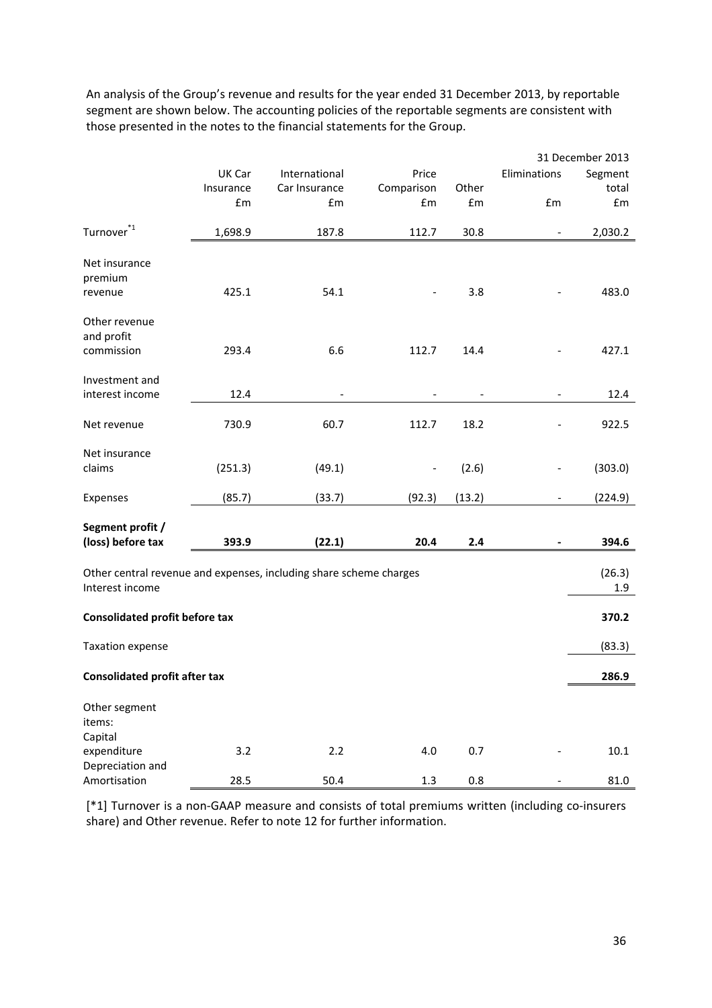An analysis of the Group's revenue and results for the year ended 31 December 2013, by reportable segment are shown below. The accounting policies of the reportable segments are consistent with those presented in the notes to the financial statements for the Group.

|                                                                    |           |               |            |         |              | 31 December 2013 |
|--------------------------------------------------------------------|-----------|---------------|------------|---------|--------------|------------------|
|                                                                    | UK Car    | International | Price      |         | Eliminations | Segment          |
|                                                                    | Insurance | Car Insurance | Comparison | Other   |              | total            |
|                                                                    | £m        | £m            | £m         | £m      | £m           | £m               |
| Turnover <sup>*1</sup>                                             | 1,698.9   | 187.8         | 112.7      | 30.8    |              | 2,030.2          |
| Net insurance                                                      |           |               |            |         |              |                  |
| premium                                                            |           |               |            |         |              |                  |
| revenue                                                            | 425.1     | 54.1          |            | 3.8     |              | 483.0            |
| Other revenue                                                      |           |               |            |         |              |                  |
| and profit                                                         |           |               |            |         |              |                  |
| commission                                                         | 293.4     | 6.6           | 112.7      | 14.4    |              | 427.1            |
| Investment and                                                     |           |               |            |         |              |                  |
| interest income                                                    | 12.4      |               |            |         |              | 12.4             |
| Net revenue                                                        | 730.9     | 60.7          | 112.7      | 18.2    |              | 922.5            |
|                                                                    |           |               |            |         |              |                  |
| Net insurance                                                      |           |               |            |         |              |                  |
| claims                                                             | (251.3)   | (49.1)        |            | (2.6)   |              | (303.0)          |
| Expenses                                                           | (85.7)    | (33.7)        | (92.3)     | (13.2)  |              | (224.9)          |
|                                                                    |           |               |            |         |              |                  |
| Segment profit /<br>(loss) before tax                              | 393.9     | (22.1)        | 20.4       | 2.4     |              | 394.6            |
|                                                                    |           |               |            |         |              |                  |
| Other central revenue and expenses, including share scheme charges |           |               |            |         |              | (26.3)           |
| Interest income                                                    |           |               |            |         |              | 1.9              |
| <b>Consolidated profit before tax</b>                              |           |               |            |         |              | 370.2            |
| Taxation expense                                                   |           |               |            |         |              | (83.3)           |
| <b>Consolidated profit after tax</b>                               |           |               |            |         |              | 286.9            |
|                                                                    |           |               |            |         |              |                  |
| Other segment                                                      |           |               |            |         |              |                  |
| items:                                                             |           |               |            |         |              |                  |
| Capital                                                            |           |               |            |         |              |                  |
| expenditure<br>Depreciation and                                    | 3.2       | 2.2           | 4.0        | 0.7     |              | 10.1             |
| Amortisation                                                       | 28.5      | 50.4          | 1.3        | $0.8\,$ |              | 81.0             |

[\*1] Turnover is a non-GAAP measure and consists of total premiums written (including co-insurers share) and Other revenue. Refer to note 12 for further information.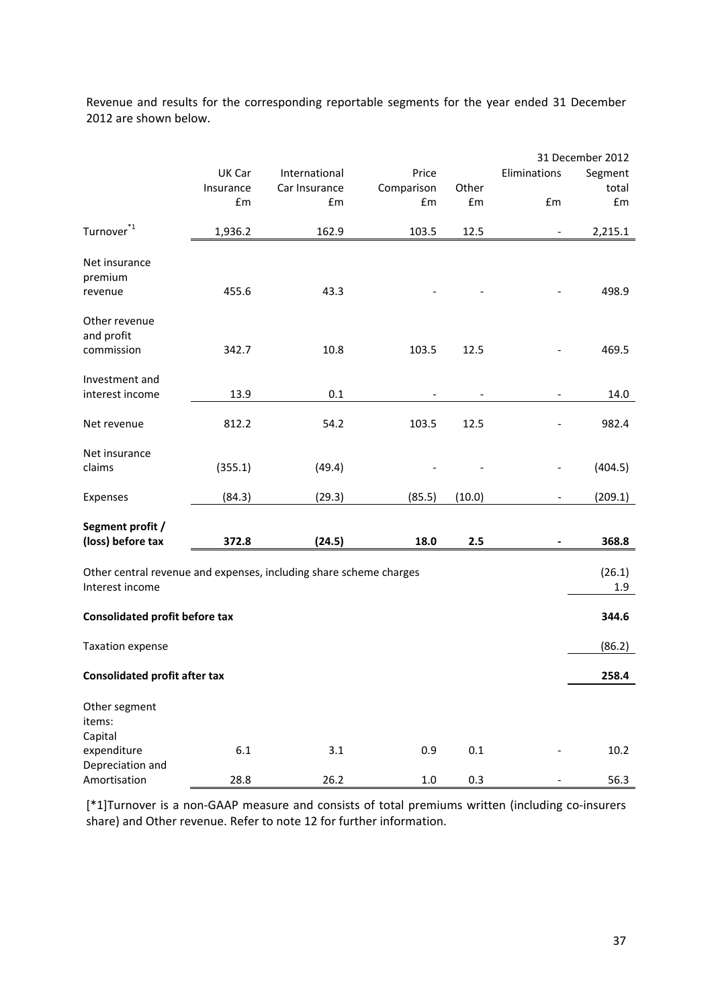Revenue and results for the corresponding reportable segments for the year ended 31 December 2012 are shown below.

|                                                                                       |           |               |            |         |              | 31 December 2012 |
|---------------------------------------------------------------------------------------|-----------|---------------|------------|---------|--------------|------------------|
|                                                                                       | UK Car    | International | Price      |         | Eliminations | Segment          |
|                                                                                       | Insurance | Car Insurance | Comparison | Other   |              | total            |
|                                                                                       | £m        | £m            | £m         | £m      | £m           | £m               |
| Turnover <sup>*1</sup>                                                                | 1,936.2   | 162.9         | 103.5      | 12.5    |              | 2,215.1          |
| Net insurance                                                                         |           |               |            |         |              |                  |
| premium                                                                               |           |               |            |         |              |                  |
| revenue                                                                               | 455.6     | 43.3          |            |         |              | 498.9            |
| Other revenue                                                                         |           |               |            |         |              |                  |
| and profit                                                                            |           |               |            |         |              |                  |
| commission                                                                            | 342.7     | 10.8          | 103.5      | 12.5    |              | 469.5            |
| Investment and                                                                        |           |               |            |         |              |                  |
| interest income                                                                       | 13.9      | 0.1           |            |         |              | 14.0             |
| Net revenue                                                                           | 812.2     | 54.2          | 103.5      | 12.5    |              | 982.4            |
| Net insurance                                                                         |           |               |            |         |              |                  |
| claims                                                                                | (355.1)   | (49.4)        |            |         |              | (404.5)          |
| Expenses                                                                              | (84.3)    | (29.3)        | (85.5)     | (10.0)  |              | (209.1)          |
| Segment profit /                                                                      |           |               |            |         |              |                  |
| (loss) before tax                                                                     | 372.8     | (24.5)        | 18.0       | 2.5     |              | 368.8            |
|                                                                                       |           |               |            |         |              |                  |
| Other central revenue and expenses, including share scheme charges<br>Interest income |           |               |            |         |              | (26.1)<br>1.9    |
|                                                                                       |           |               |            |         |              |                  |
| <b>Consolidated profit before tax</b>                                                 |           |               |            |         |              | 344.6            |
| Taxation expense                                                                      |           |               |            |         |              | (86.2)           |
| <b>Consolidated profit after tax</b>                                                  |           |               |            |         |              | 258.4            |
| Other segment                                                                         |           |               |            |         |              |                  |
| items:                                                                                |           |               |            |         |              |                  |
| Capital                                                                               |           |               |            |         |              |                  |
| expenditure                                                                           | $6.1\,$   | 3.1           | 0.9        | $0.1\,$ |              | 10.2             |
| Depreciation and                                                                      |           |               |            |         |              |                  |
| Amortisation                                                                          | 28.8      | 26.2          | $1.0\,$    | 0.3     |              | 56.3             |

[\*1]Turnover is a non-GAAP measure and consists of total premiums written (including co-insurers share) and Other revenue. Refer to note 12 for further information.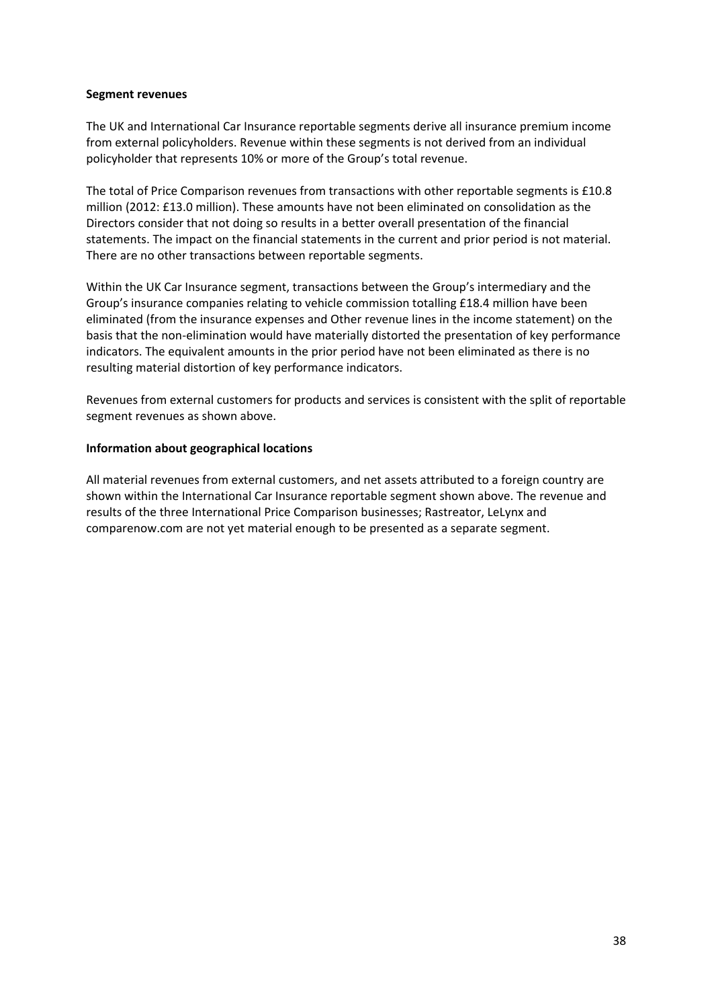#### **Segment revenues**

The UK and International Car Insurance reportable segments derive all insurance premium income from external policyholders. Revenue within these segments is not derived from an individual policyholder that represents 10% or more of the Group's total revenue.

The total of Price Comparison revenues from transactions with other reportable segments is £10.8 million (2012: £13.0 million). These amounts have not been eliminated on consolidation as the Directors consider that not doing so results in a better overall presentation of the financial statements. The impact on the financial statements in the current and prior period is not material. There are no other transactions between reportable segments.

Within the UK Car Insurance segment, transactions between the Group's intermediary and the Group's insurance companies relating to vehicle commission totalling £18.4 million have been eliminated (from the insurance expenses and Other revenue lines in the income statement) on the basis that the non-elimination would have materially distorted the presentation of key performance indicators. The equivalent amounts in the prior period have not been eliminated as there is no resulting material distortion of key performance indicators.

Revenues from external customers for products and services is consistent with the split of reportable segment revenues as shown above.

#### **Information about geographical locations**

All material revenues from external customers, and net assets attributed to a foreign country are shown within the International Car Insurance reportable segment shown above. The revenue and results of the three International Price Comparison businesses; Rastreator, LeLynx and comparenow.com are not yet material enough to be presented as a separate segment.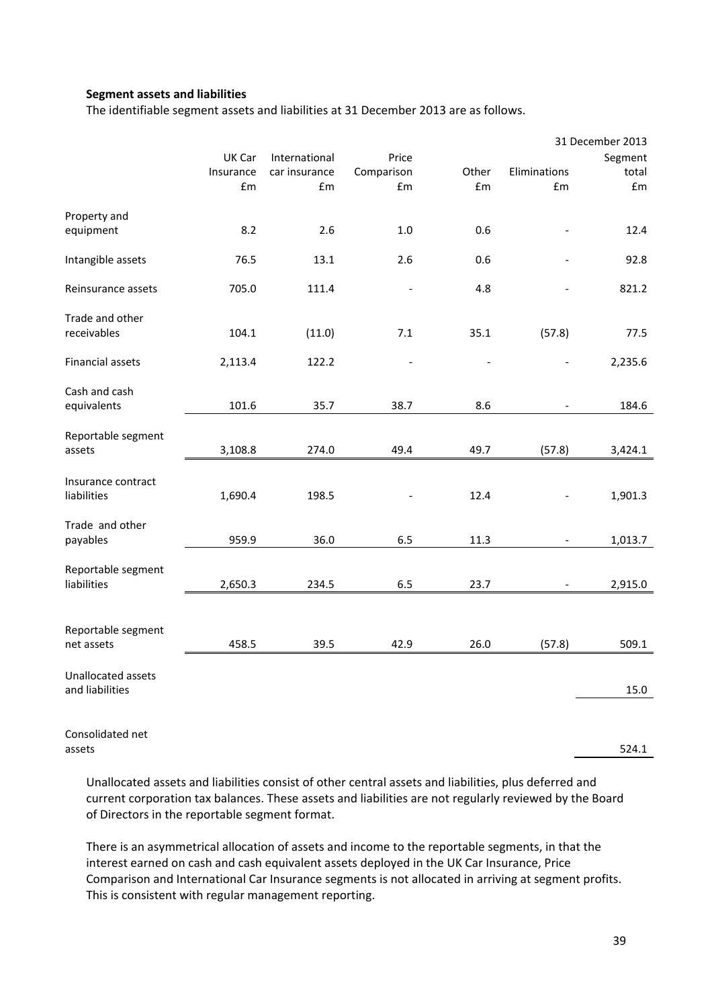#### **Segment assets and liabilities**

The identifiable segment assets and liabilities at 31 December 2013 are as follows.

|                                       |                     |                                |                     |       |              | 31 December 2013 |
|---------------------------------------|---------------------|--------------------------------|---------------------|-------|--------------|------------------|
|                                       | UK Car<br>Insurance | International<br>car insurance | Price<br>Comparison | Other | Eliminations | Segment<br>total |
|                                       | £m                  | Em                             | £m                  | Em    | £m           | Em               |
|                                       |                     |                                |                     |       |              |                  |
| Property and<br>equipment             | 8.2                 | 2.6                            | 1.0                 | 0.6   |              | 12.4             |
| Intangible assets                     | 76.5                | 13.1                           | 2.6                 | 0.6   |              | 92.8             |
| Reinsurance assets                    | 705.0               | 111.4                          |                     | 4.8   |              | 821.2            |
| Trade and other<br>receivables        | 104.1               | (11.0)                         | 7.1                 | 35.1  | (57.8)       | 77.5             |
| <b>Financial assets</b>               | 2,113.4             | 122.2                          |                     |       |              | 2,235.6          |
| Cash and cash<br>equivalents          | 101.6               | 35.7                           | 38.7                | 8.6   |              | 184.6            |
|                                       |                     |                                |                     |       |              |                  |
| Reportable segment<br>assets          | 3,108.8             | 274.0                          | 49.4                | 49.7  | (57.8)       | 3,424.1          |
|                                       |                     |                                |                     |       |              |                  |
| Insurance contract<br>liabilities     | 1,690.4             | 198.5                          |                     | 12.4  |              | 1,901.3          |
| Trade and other<br>payables           | 959.9               | 36.0                           | 6.5                 | 11.3  |              | 1,013.7          |
|                                       |                     |                                |                     |       |              |                  |
| Reportable segment<br>liabilities     | 2,650.3             | 234.5                          | 6.5                 | 23.7  |              | 2,915.0          |
|                                       |                     |                                |                     |       |              |                  |
| Reportable segment<br>net assets      | 458.5               | 39.5                           | 42.9                | 26.0  | (57.8)       | 509.1            |
|                                       |                     |                                |                     |       |              |                  |
| Unallocated assets<br>and liabilities |                     |                                |                     |       |              | 15.0             |
| Consolidated net                      |                     |                                |                     |       |              |                  |
|                                       |                     |                                |                     |       |              |                  |

assets 524.1

Unallocated assets and liabilities consist of other central assets and liabilities, plus deferred and current corporation tax balances. These assets and liabilities are not regularly reviewed by the Board of Directors in the reportable segment format.

There is an asymmetrical allocation of assets and income to the reportable segments, in that the interest earned on cash and cash equivalent assets deployed in the UK Car Insurance, Price Comparison and International Car Insurance segments is not allocated in arriving at segment profits. This is consistent with regular management reporting.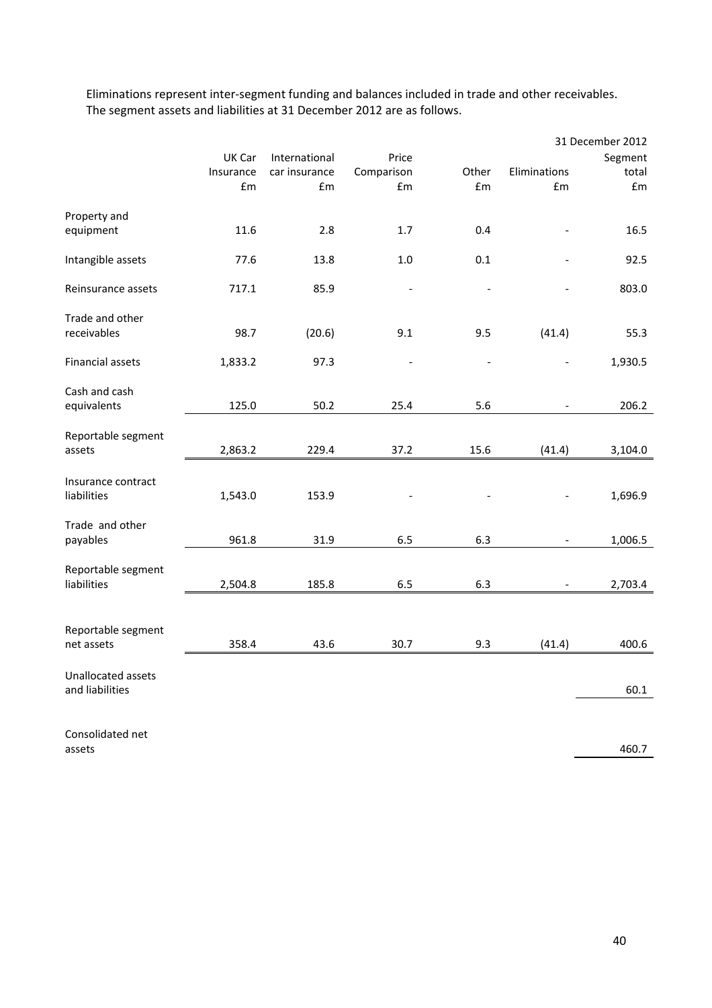Eliminations represent inter-segment funding and balances included in trade and other receivables. The segment assets and liabilities at 31 December 2012 are as follows.

|                              |                     |                                |                     |       |              | 31 December 2012 |
|------------------------------|---------------------|--------------------------------|---------------------|-------|--------------|------------------|
|                              | UK Car<br>Insurance | International<br>car insurance | Price<br>Comparison | Other | Eliminations | Segment<br>total |
|                              | £m                  | £m                             | £m                  | £m    | £m           | £m               |
|                              |                     |                                |                     |       |              |                  |
| Property and                 |                     |                                |                     |       |              |                  |
| equipment                    | 11.6                | 2.8                            | 1.7                 | 0.4   |              | 16.5             |
|                              |                     |                                |                     |       |              |                  |
| Intangible assets            | 77.6                | 13.8                           | $1.0$               | 0.1   |              | 92.5             |
| Reinsurance assets           | 717.1               | 85.9                           |                     |       |              | 803.0            |
|                              |                     |                                |                     |       |              |                  |
| Trade and other              |                     |                                |                     |       |              |                  |
| receivables                  | 98.7                | (20.6)                         | 9.1                 | 9.5   | (41.4)       | 55.3             |
|                              |                     |                                |                     |       |              |                  |
| <b>Financial assets</b>      | 1,833.2             | 97.3                           |                     |       |              | 1,930.5          |
|                              |                     |                                |                     |       |              |                  |
| Cash and cash<br>equivalents | 125.0               | 50.2                           | 25.4                | 5.6   |              | 206.2            |
|                              |                     |                                |                     |       |              |                  |
| Reportable segment           |                     |                                |                     |       |              |                  |
| assets                       | 2,863.2             | 229.4                          | 37.2                | 15.6  | (41.4)       | 3,104.0          |
|                              |                     |                                |                     |       |              |                  |
| Insurance contract           |                     |                                |                     |       |              |                  |
| liabilities                  | 1,543.0             | 153.9                          |                     |       |              | 1,696.9          |
|                              |                     |                                |                     |       |              |                  |
| Trade and other              |                     |                                |                     |       |              |                  |
| payables                     | 961.8               | 31.9                           | 6.5                 | 6.3   |              | 1,006.5          |
| Reportable segment           |                     |                                |                     |       |              |                  |
| liabilities                  | 2,504.8             | 185.8                          | 6.5                 | 6.3   |              | 2,703.4          |
|                              |                     |                                |                     |       |              |                  |
|                              |                     |                                |                     |       |              |                  |
| Reportable segment           |                     |                                |                     |       |              |                  |
| net assets                   | 358.4               | 43.6                           | 30.7                | 9.3   | (41.4)       | 400.6            |
|                              |                     |                                |                     |       |              |                  |
| Unallocated assets           |                     |                                |                     |       |              |                  |
| and liabilities              |                     |                                |                     |       |              | 60.1             |
|                              |                     |                                |                     |       |              |                  |
| Consolidated net             |                     |                                |                     |       |              |                  |
|                              |                     |                                |                     |       |              |                  |

assets 460.7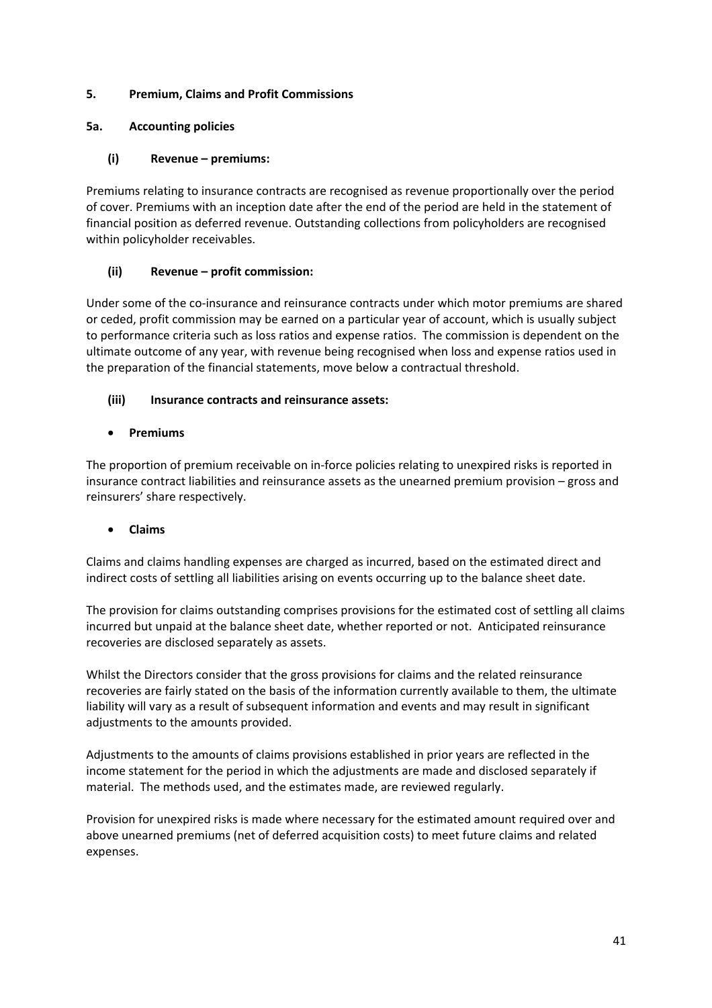# **5. Premium, Claims and Profit Commissions**

# **5a. Accounting policies**

# **(i) Revenue – premiums:**

Premiums relating to insurance contracts are recognised as revenue proportionally over the period of cover. Premiums with an inception date after the end of the period are held in the statement of financial position as deferred revenue. Outstanding collections from policyholders are recognised within policyholder receivables.

# **(ii) Revenue – profit commission:**

Under some of the co-insurance and reinsurance contracts under which motor premiums are shared or ceded, profit commission may be earned on a particular year of account, which is usually subject to performance criteria such as loss ratios and expense ratios. The commission is dependent on the ultimate outcome of any year, with revenue being recognised when loss and expense ratios used in the preparation of the financial statements, move below a contractual threshold.

# **(iii) Insurance contracts and reinsurance assets:**

# • **Premiums**

The proportion of premium receivable on in-force policies relating to unexpired risks is reported in insurance contract liabilities and reinsurance assets as the unearned premium provision – gross and reinsurers' share respectively.

# • **Claims**

Claims and claims handling expenses are charged as incurred, based on the estimated direct and indirect costs of settling all liabilities arising on events occurring up to the balance sheet date.

The provision for claims outstanding comprises provisions for the estimated cost of settling all claims incurred but unpaid at the balance sheet date, whether reported or not. Anticipated reinsurance recoveries are disclosed separately as assets.

Whilst the Directors consider that the gross provisions for claims and the related reinsurance recoveries are fairly stated on the basis of the information currently available to them, the ultimate liability will vary as a result of subsequent information and events and may result in significant adjustments to the amounts provided.

Adjustments to the amounts of claims provisions established in prior years are reflected in the income statement for the period in which the adjustments are made and disclosed separately if material. The methods used, and the estimates made, are reviewed regularly.

Provision for unexpired risks is made where necessary for the estimated amount required over and above unearned premiums (net of deferred acquisition costs) to meet future claims and related expenses.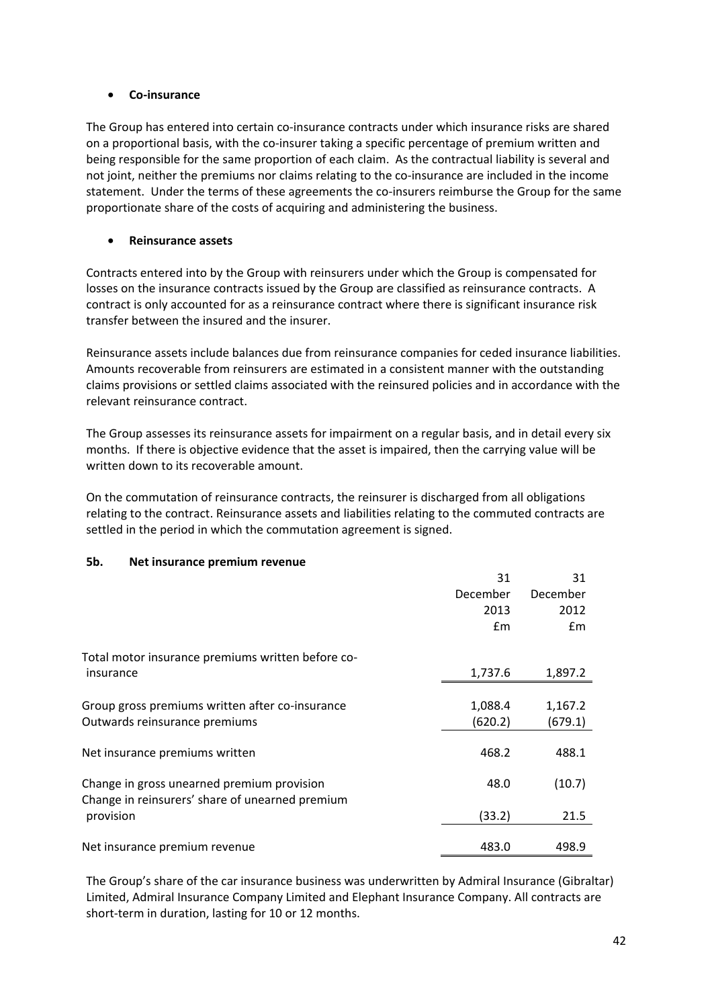# • **Co-insurance**

The Group has entered into certain co-insurance contracts under which insurance risks are shared on a proportional basis, with the co-insurer taking a specific percentage of premium written and being responsible for the same proportion of each claim. As the contractual liability is several and not joint, neither the premiums nor claims relating to the co-insurance are included in the income statement. Under the terms of these agreements the co-insurers reimburse the Group for the same proportionate share of the costs of acquiring and administering the business.

# • **Reinsurance assets**

Contracts entered into by the Group with reinsurers under which the Group is compensated for losses on the insurance contracts issued by the Group are classified as reinsurance contracts. A contract is only accounted for as a reinsurance contract where there is significant insurance risk transfer between the insured and the insurer.

Reinsurance assets include balances due from reinsurance companies for ceded insurance liabilities. Amounts recoverable from reinsurers are estimated in a consistent manner with the outstanding claims provisions or settled claims associated with the reinsured policies and in accordance with the relevant reinsurance contract.

The Group assesses its reinsurance assets for impairment on a regular basis, and in detail every six months. If there is objective evidence that the asset is impaired, then the carrying value will be written down to its recoverable amount.

On the commutation of reinsurance contracts, the reinsurer is discharged from all obligations relating to the contract. Reinsurance assets and liabilities relating to the commuted contracts are settled in the period in which the commutation agreement is signed.

#### **5b. Net insurance premium revenue**

|                                                   | 31       | 31       |
|---------------------------------------------------|----------|----------|
|                                                   | December | December |
|                                                   | 2013     | 2012     |
|                                                   | Em       | Em       |
| Total motor insurance premiums written before co- |          |          |
| insurance                                         | 1,737.6  | 1,897.2  |
|                                                   |          |          |
| Group gross premiums written after co-insurance   | 1,088.4  | 1,167.2  |
| Outwards reinsurance premiums                     | (620.2)  | (679.1)  |
|                                                   |          |          |
| Net insurance premiums written                    | 468.2    | 488.1    |
|                                                   |          |          |
| Change in gross unearned premium provision        | 48.0     | (10.7)   |
| Change in reinsurers' share of unearned premium   |          |          |
| provision                                         | (33.2)   | 21.5     |
| Net insurance premium revenue                     | 483.0    | 498.9    |
|                                                   |          |          |

The Group's share of the car insurance business was underwritten by Admiral Insurance (Gibraltar) Limited, Admiral Insurance Company Limited and Elephant Insurance Company. All contracts are short-term in duration, lasting for 10 or 12 months.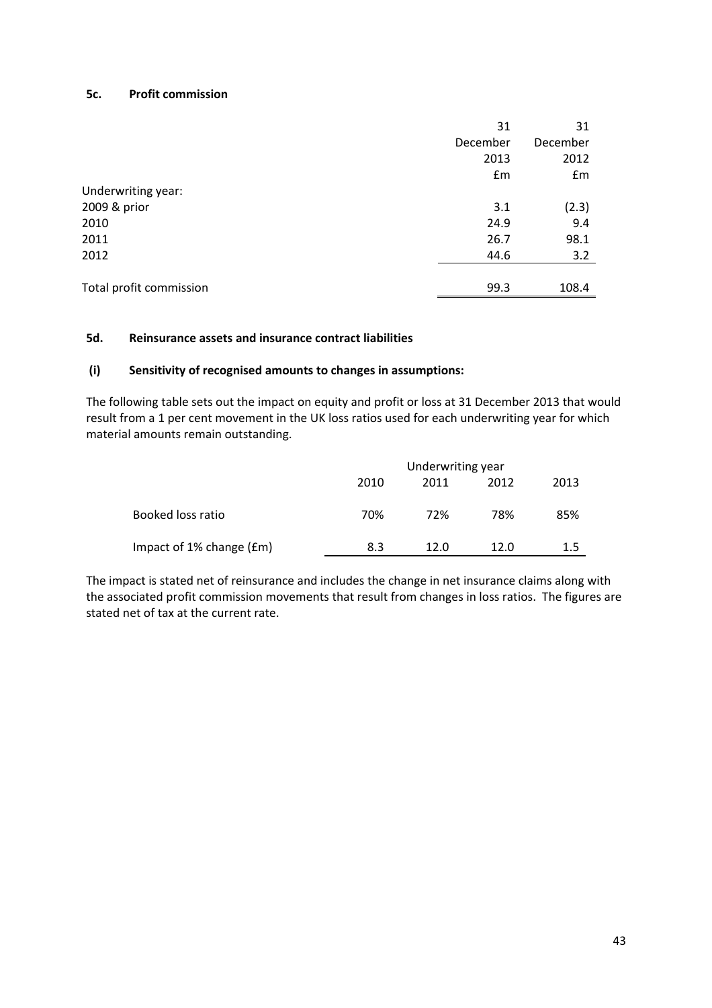### **5c. Profit commission**

|                         | 31       | 31       |
|-------------------------|----------|----------|
|                         | December | December |
|                         | 2013     | 2012     |
|                         | £m       | £m       |
| Underwriting year:      |          |          |
| 2009 & prior            | 3.1      | (2.3)    |
| 2010                    | 24.9     | 9.4      |
| 2011                    | 26.7     | 98.1     |
| 2012                    | 44.6     | 3.2      |
|                         |          |          |
| Total profit commission | 99.3     | 108.4    |

# **5d. Reinsurance assets and insurance contract liabilities**

## **(i) Sensitivity of recognised amounts to changes in assumptions:**

The following table sets out the impact on equity and profit or loss at 31 December 2013 that would result from a 1 per cent movement in the UK loss ratios used for each underwriting year for which material amounts remain outstanding.

|                          | Underwriting year |      |      |      |
|--------------------------|-------------------|------|------|------|
|                          | 2010              | 2011 | 2012 | 2013 |
| Booked loss ratio        | 70%               | 72%  | 78%  | 85%  |
| Impact of 1% change (£m) | 8.3               | 12.0 | 12.0 | 1.5  |

The impact is stated net of reinsurance and includes the change in net insurance claims along with the associated profit commission movements that result from changes in loss ratios. The figures are stated net of tax at the current rate.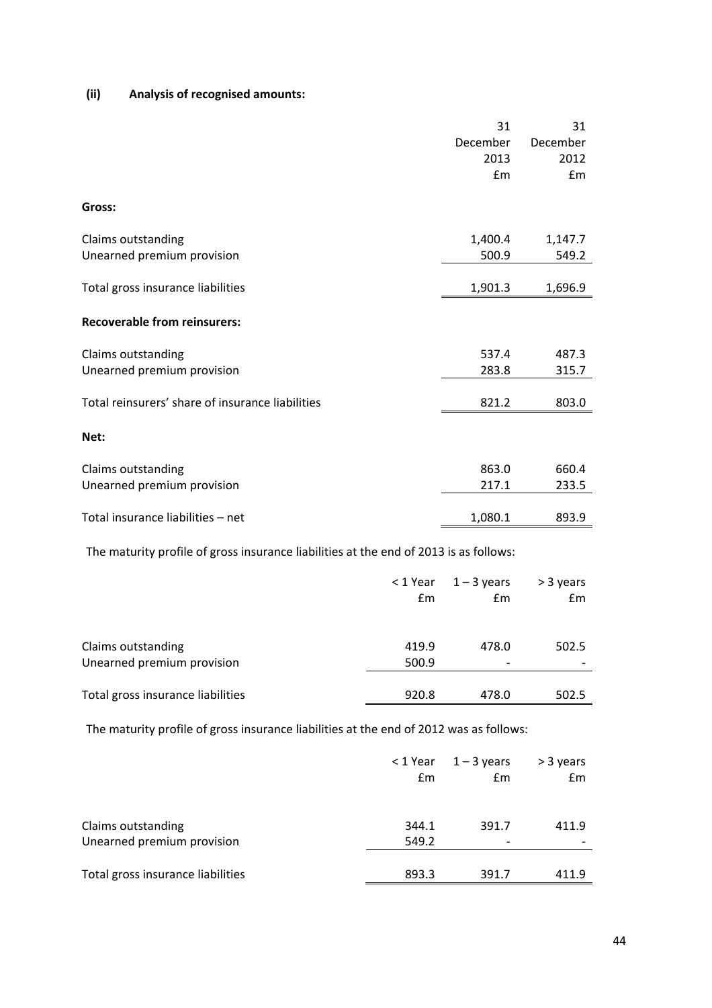# **(ii) Analysis of recognised amounts:**

|                                                                                       | 31       | 31       |
|---------------------------------------------------------------------------------------|----------|----------|
|                                                                                       | December | December |
|                                                                                       | 2013     | 2012     |
|                                                                                       | £m       | £m       |
|                                                                                       |          |          |
| Gross:                                                                                |          |          |
| Claims outstanding                                                                    | 1,400.4  | 1,147.7  |
| Unearned premium provision                                                            | 500.9    | 549.2    |
|                                                                                       |          |          |
| Total gross insurance liabilities                                                     | 1,901.3  | 1,696.9  |
|                                                                                       |          |          |
| <b>Recoverable from reinsurers:</b>                                                   |          |          |
| Claims outstanding                                                                    | 537.4    | 487.3    |
| Unearned premium provision                                                            | 283.8    | 315.7    |
|                                                                                       |          |          |
| Total reinsurers' share of insurance liabilities                                      | 821.2    | 803.0    |
|                                                                                       |          |          |
| Net:                                                                                  |          |          |
|                                                                                       |          |          |
| Claims outstanding                                                                    | 863.0    | 660.4    |
| Unearned premium provision                                                            | 217.1    | 233.5    |
|                                                                                       |          |          |
| Total insurance liabilities - net                                                     | 1,080.1  | 893.9    |
|                                                                                       |          |          |
| The maturity profile of gross insurance liabilities at the end of 2013 is as follows: |          |          |

|                                   | < 1 Year<br>Em | $1 - 3$ years<br>£m | > 3 years<br>Em |
|-----------------------------------|----------------|---------------------|-----------------|
| Claims outstanding                | 419.9          | 478.0               | 502.5           |
| Unearned premium provision        | 500.9          | ٠                   |                 |
| Total gross insurance liabilities | 920.8          | 478.0               | 502.5           |

The maturity profile of gross insurance liabilities at the end of 2012 was as follows:

|                                   | £m    | $<$ 1 Year 1 – 3 years<br>Em | > 3 years<br>Em |
|-----------------------------------|-------|------------------------------|-----------------|
| Claims outstanding                | 344.1 | 391.7                        | 411.9           |
| Unearned premium provision        | 549.2 | $\overline{\phantom{0}}$     |                 |
| Total gross insurance liabilities | 893.3 | 391.7                        | 411.9           |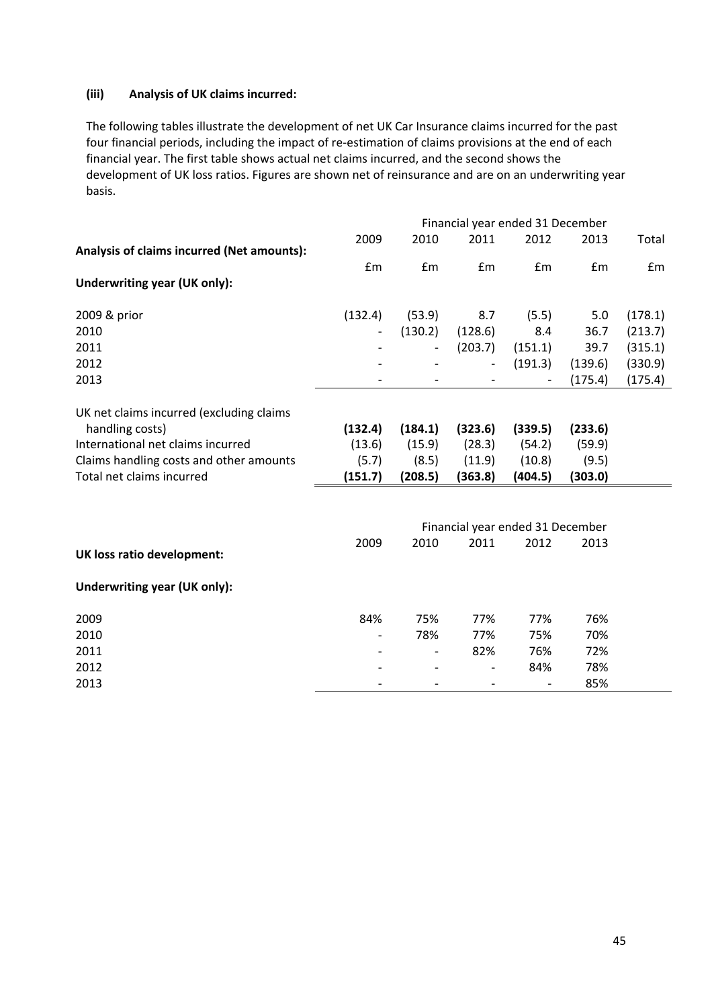### **(iii) Analysis of UK claims incurred:**

The following tables illustrate the development of net UK Car Insurance claims incurred for the past four financial periods, including the impact of re-estimation of claims provisions at the end of each financial year. The first table shows actual net claims incurred, and the second shows the development of UK loss ratios. Figures are shown net of reinsurance and are on an underwriting year basis.

|                                                             | Financial year ended 31 December |                   |                                  |         |         |         |
|-------------------------------------------------------------|----------------------------------|-------------------|----------------------------------|---------|---------|---------|
|                                                             | 2009                             | 2010              | 2011                             | 2012    | 2013    | Total   |
| Analysis of claims incurred (Net amounts):                  |                                  |                   |                                  |         |         |         |
|                                                             | £m                               | £m                | £m                               | £m      | £m      | £m      |
| <b>Underwriting year (UK only):</b>                         |                                  |                   |                                  |         |         |         |
| 2009 & prior                                                | (132.4)                          | (53.9)            | 8.7                              | (5.5)   | 5.0     | (178.1) |
| 2010                                                        |                                  | (130.2)           | (128.6)                          | 8.4     | 36.7    | (213.7) |
| 2011                                                        |                                  |                   | (203.7)                          | (151.1) | 39.7    | (315.1) |
| 2012                                                        |                                  |                   | $\qquad \qquad -$                | (191.3) | (139.6) | (330.9) |
| 2013                                                        |                                  |                   |                                  |         | (175.4) | (175.4) |
|                                                             |                                  |                   |                                  |         |         |         |
| UK net claims incurred (excluding claims<br>handling costs) | (132.4)                          | (184.1)           | (323.6)                          | (339.5) | (233.6) |         |
| International net claims incurred                           | (13.6)                           | (15.9)            | (28.3)                           | (54.2)  | (59.9)  |         |
| Claims handling costs and other amounts                     | (5.7)                            | (8.5)             | (11.9)                           | (10.8)  | (9.5)   |         |
| Total net claims incurred                                   | (151.7)                          | (208.5)           | (363.8)                          | (404.5) | (303.0) |         |
|                                                             |                                  |                   |                                  |         |         |         |
|                                                             |                                  |                   |                                  |         |         |         |
|                                                             |                                  |                   | Financial year ended 31 December |         |         |         |
|                                                             | 2009                             | 2010              | 2011                             | 2012    | 2013    |         |
| <b>UK loss ratio development:</b>                           |                                  |                   |                                  |         |         |         |
| <b>Underwriting year (UK only):</b>                         |                                  |                   |                                  |         |         |         |
| 2009                                                        | 84%                              | 75%               | 77%                              | 77%     | 76%     |         |
| 2010                                                        |                                  | 78%               | 77%                              | 75%     | 70%     |         |
| 2011                                                        |                                  | $\qquad \qquad -$ | 82%                              | 76%     | 72%     |         |
| 2012                                                        |                                  | $\qquad \qquad -$ | $\overline{a}$                   | 84%     | 78%     |         |

2013 - - - - 85%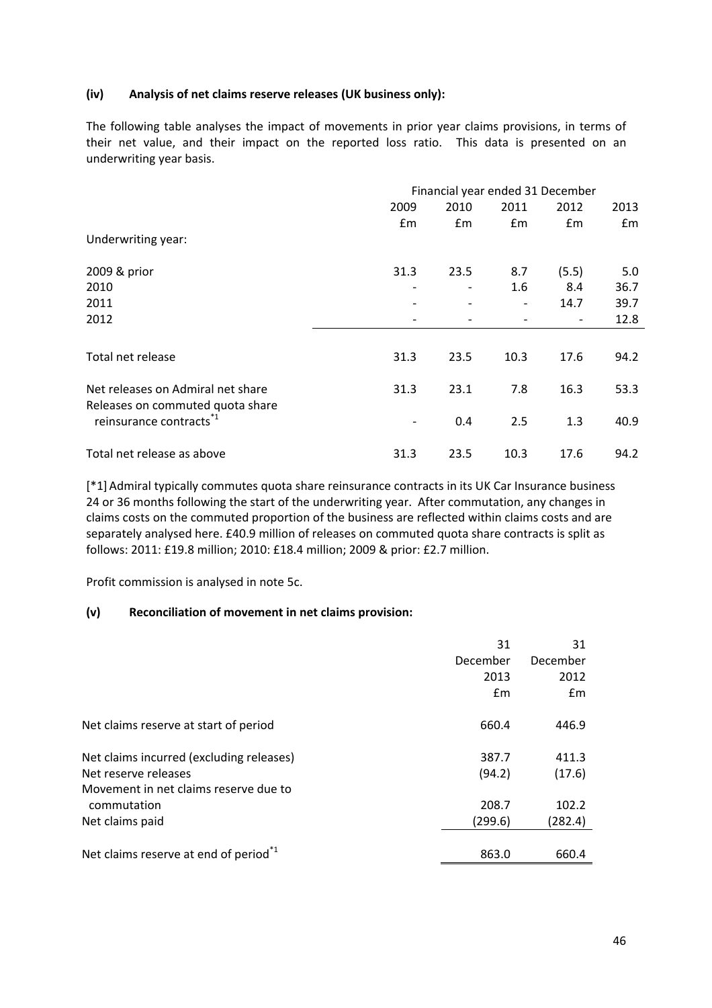## **(iv) Analysis of net claims reserve releases (UK business only):**

The following table analyses the impact of movements in prior year claims provisions, in terms of their net value, and their impact on the reported loss ratio. This data is presented on an underwriting year basis.

|                                                                       | Financial year ended 31 December |      |      |       |      |  |
|-----------------------------------------------------------------------|----------------------------------|------|------|-------|------|--|
|                                                                       | 2009                             | 2010 | 2011 | 2012  | 2013 |  |
|                                                                       | Em                               | Em   | Em   | Em    | £m   |  |
| Underwriting year:                                                    |                                  |      |      |       |      |  |
| 2009 & prior                                                          | 31.3                             | 23.5 | 8.7  | (5.5) | 5.0  |  |
| 2010                                                                  | -                                |      | 1.6  | 8.4   | 36.7 |  |
| 2011                                                                  |                                  |      |      | 14.7  | 39.7 |  |
| 2012                                                                  |                                  |      |      |       | 12.8 |  |
|                                                                       |                                  |      |      |       |      |  |
| Total net release                                                     | 31.3                             | 23.5 | 10.3 | 17.6  | 94.2 |  |
| Net releases on Admiral net share<br>Releases on commuted quota share | 31.3                             | 23.1 | 7.8  | 16.3  | 53.3 |  |
| reinsurance contracts <sup>*1</sup>                                   | -                                | 0.4  | 2.5  | 1.3   | 40.9 |  |
| Total net release as above                                            | 31.3                             | 23.5 | 10.3 | 17.6  | 94.2 |  |

[\*1]Admiral typically commutes quota share reinsurance contracts in its UK Car Insurance business 24 or 36 months following the start of the underwriting year. After commutation, any changes in claims costs on the commuted proportion of the business are reflected within claims costs and are separately analysed here. £40.9 million of releases on commuted quota share contracts is split as follows: 2011: £19.8 million; 2010: £18.4 million; 2009 & prior: £2.7 million.

Profit commission is analysed in note 5c.

# **(v) Reconciliation of movement in net claims provision:**

|                                                   | 31       | 31       |
|---------------------------------------------------|----------|----------|
|                                                   | December | December |
|                                                   | 2013     | 2012     |
|                                                   | £m       | Em       |
| Net claims reserve at start of period             | 660.4    | 446.9    |
| Net claims incurred (excluding releases)          | 387.7    | 411.3    |
| Net reserve releases                              | (94.2)   | (17.6)   |
| Movement in net claims reserve due to             |          |          |
| commutation                                       | 208.7    | 102.2    |
| Net claims paid                                   | (299.6)  | (282.4)  |
|                                                   |          |          |
| Net claims reserve at end of period <sup>*1</sup> | 863.0    | 660.4    |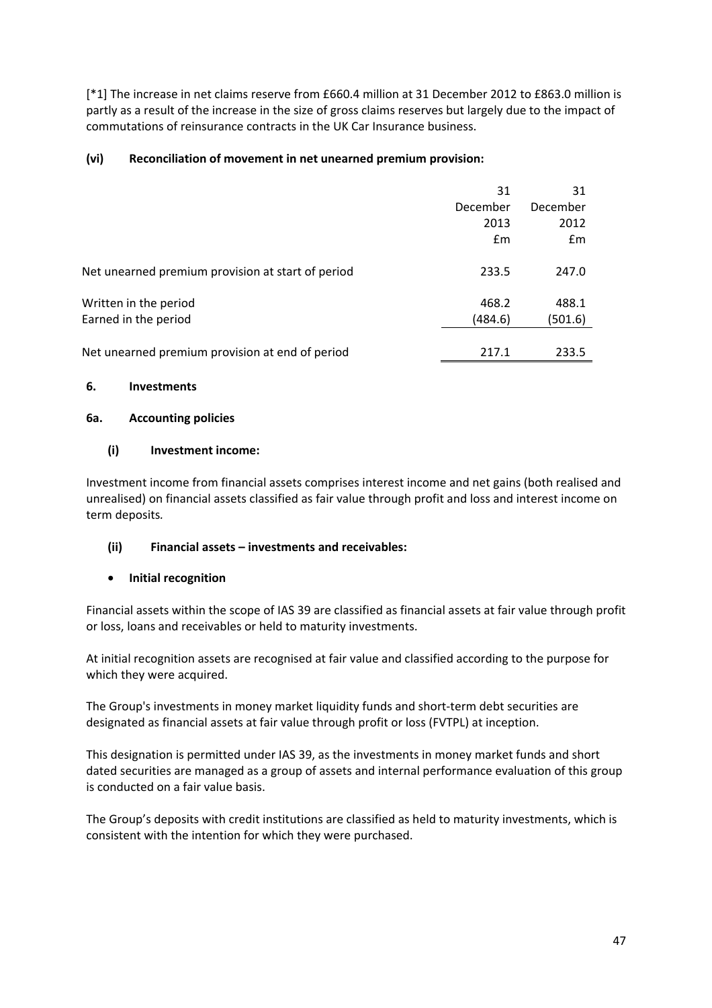[\*1] The increase in net claims reserve from £660.4 million at 31 December 2012 to £863.0 million is partly as a result of the increase in the size of gross claims reserves but largely due to the impact of commutations of reinsurance contracts in the UK Car Insurance business.

# **(vi) Reconciliation of movement in net unearned premium provision:**

|                                                   | 31       | 31       |
|---------------------------------------------------|----------|----------|
|                                                   | December | December |
|                                                   | 2013     | 2012     |
|                                                   | £m       | £m       |
| Net unearned premium provision at start of period | 233.5    | 247.0    |
| Written in the period                             | 468.2    | 488.1    |
| Earned in the period                              | (484.6)  | (501.6)  |
|                                                   |          |          |
| Net unearned premium provision at end of period   | 217.1    | 233.5    |

# **6. Investments**

# **6a. Accounting policies**

# **(i) Investment income:**

Investment income from financial assets comprises interest income and net gains (both realised and unrealised) on financial assets classified as fair value through profit and loss and interest income on term deposits*.* 

# **(ii) Financial assets – investments and receivables:**

# • **Initial recognition**

Financial assets within the scope of IAS 39 are classified as financial assets at fair value through profit or loss, loans and receivables or held to maturity investments.

At initial recognition assets are recognised at fair value and classified according to the purpose for which they were acquired.

The Group's investments in money market liquidity funds and short-term debt securities are designated as financial assets at fair value through profit or loss (FVTPL) at inception.

This designation is permitted under IAS 39, as the investments in money market funds and short dated securities are managed as a group of assets and internal performance evaluation of this group is conducted on a fair value basis.

The Group's deposits with credit institutions are classified as held to maturity investments, which is consistent with the intention for which they were purchased.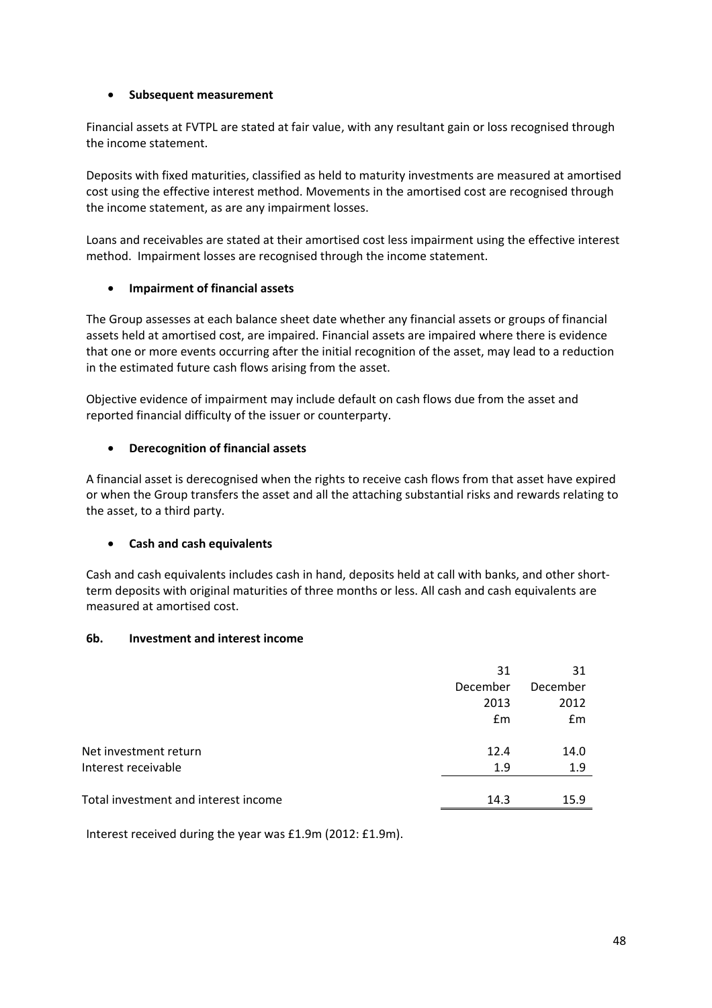# • **Subsequent measurement**

Financial assets at FVTPL are stated at fair value, with any resultant gain or loss recognised through the income statement.

Deposits with fixed maturities, classified as held to maturity investments are measured at amortised cost using the effective interest method. Movements in the amortised cost are recognised through the income statement, as are any impairment losses.

Loans and receivables are stated at their amortised cost less impairment using the effective interest method. Impairment losses are recognised through the income statement.

## • **Impairment of financial assets**

The Group assesses at each balance sheet date whether any financial assets or groups of financial assets held at amortised cost, are impaired. Financial assets are impaired where there is evidence that one or more events occurring after the initial recognition of the asset, may lead to a reduction in the estimated future cash flows arising from the asset.

Objective evidence of impairment may include default on cash flows due from the asset and reported financial difficulty of the issuer or counterparty.

## • **Derecognition of financial assets**

A financial asset is derecognised when the rights to receive cash flows from that asset have expired or when the Group transfers the asset and all the attaching substantial risks and rewards relating to the asset, to a third party.

# • **Cash and cash equivalents**

Cash and cash equivalents includes cash in hand, deposits held at call with banks, and other shortterm deposits with original maturities of three months or less. All cash and cash equivalents are measured at amortised cost.

#### **6b. Investment and interest income**

|                                      | 31       | 31       |
|--------------------------------------|----------|----------|
|                                      | December | December |
|                                      | 2013     | 2012     |
|                                      | £m       | Em       |
|                                      |          |          |
| Net investment return                | 12.4     | 14.0     |
| Interest receivable                  | 1.9      | 1.9      |
|                                      |          |          |
| Total investment and interest income | 14.3     | 15.9     |

Interest received during the year was £1.9m (2012: £1.9m).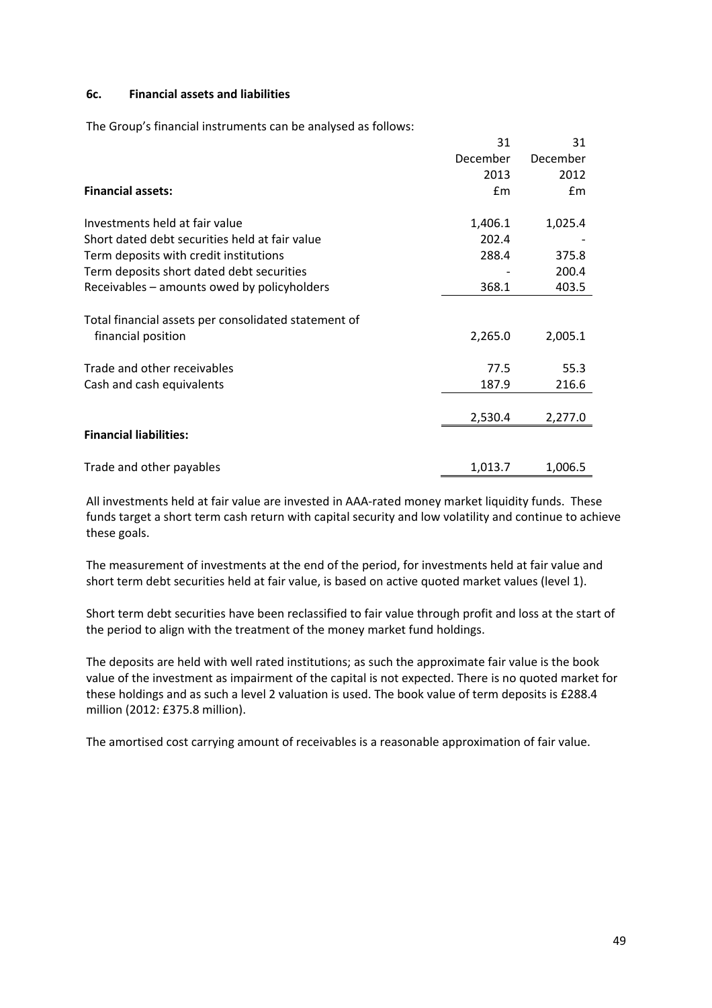#### **6c. Financial assets and liabilities**

The Group's financial instruments can be analysed as follows:

|                                                      | 31             | 31       |
|------------------------------------------------------|----------------|----------|
|                                                      | December       | December |
|                                                      | 2013           | 2012     |
| <b>Financial assets:</b>                             | $\mathbf{f}$ m | Em       |
| Investments held at fair value                       | 1,406.1        | 1,025.4  |
| Short dated debt securities held at fair value       | 202.4          |          |
| Term deposits with credit institutions               | 288.4          | 375.8    |
| Term deposits short dated debt securities            |                | 200.4    |
| Receivables – amounts owed by policyholders          | 368.1          | 403.5    |
| Total financial assets per consolidated statement of |                |          |
| financial position                                   | 2,265.0        | 2,005.1  |
| Trade and other receivables                          | 77.5           | 55.3     |
| Cash and cash equivalents                            | 187.9          | 216.6    |
|                                                      |                |          |
|                                                      | 2,530.4        | 2,277.0  |
| <b>Financial liabilities:</b>                        |                |          |
| Trade and other payables                             | 1,013.7        | 1,006.5  |

All investments held at fair value are invested in AAA-rated money market liquidity funds. These funds target a short term cash return with capital security and low volatility and continue to achieve these goals.

The measurement of investments at the end of the period, for investments held at fair value and short term debt securities held at fair value, is based on active quoted market values (level 1).

Short term debt securities have been reclassified to fair value through profit and loss at the start of the period to align with the treatment of the money market fund holdings.

The deposits are held with well rated institutions; as such the approximate fair value is the book value of the investment as impairment of the capital is not expected. There is no quoted market for these holdings and as such a level 2 valuation is used. The book value of term deposits is £288.4 million (2012: £375.8 million).

The amortised cost carrying amount of receivables is a reasonable approximation of fair value.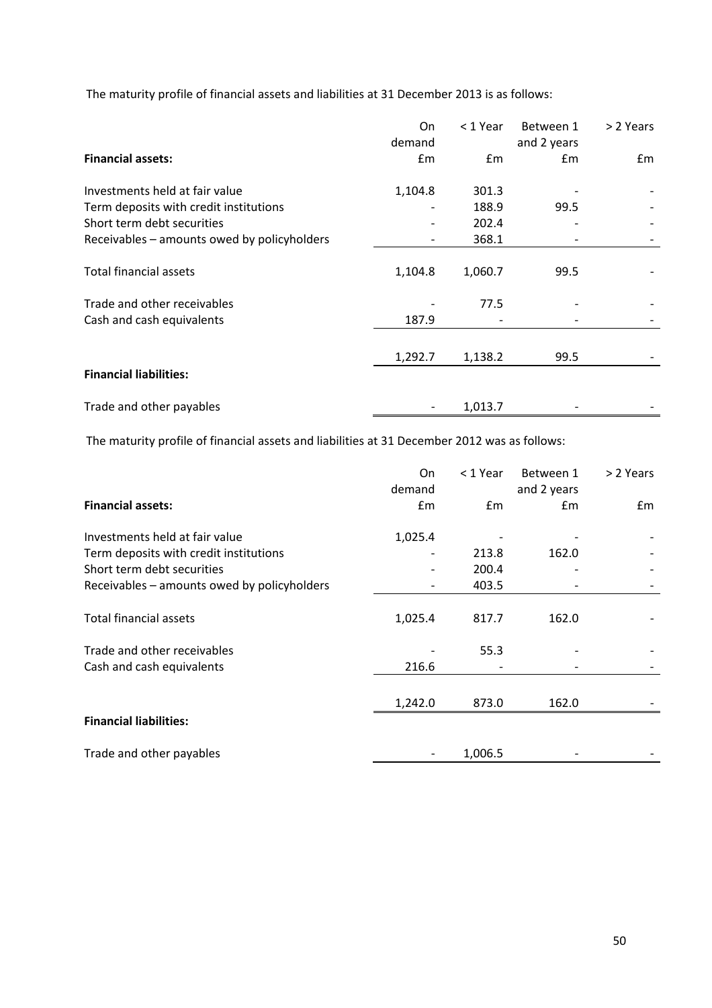|                                             | On<br>demand | $<$ 1 Year | Between 1<br>and 2 years | > 2 Years |
|---------------------------------------------|--------------|------------|--------------------------|-----------|
| <b>Financial assets:</b>                    | £m           | Em         | Em                       | £m        |
| Investments held at fair value              | 1,104.8      | 301.3      |                          |           |
| Term deposits with credit institutions      |              | 188.9      | 99.5                     |           |
| Short term debt securities                  |              | 202.4      |                          |           |
| Receivables - amounts owed by policyholders |              | 368.1      |                          |           |
| <b>Total financial assets</b>               | 1,104.8      | 1,060.7    | 99.5                     |           |
| Trade and other receivables                 |              | 77.5       |                          |           |
| Cash and cash equivalents                   | 187.9        |            |                          |           |
|                                             | 1,292.7      | 1,138.2    | 99.5                     |           |
| <b>Financial liabilities:</b>               |              |            |                          |           |
| Trade and other payables                    |              | 1,013.7    |                          |           |

The maturity profile of financial assets and liabilities at 31 December 2013 is as follows:

The maturity profile of financial assets and liabilities at 31 December 2012 was as follows:

|                                             | On<br>demand | $<$ 1 Year | Between 1<br>and 2 years | > 2 Years |
|---------------------------------------------|--------------|------------|--------------------------|-----------|
| <b>Financial assets:</b>                    | Em           | Em         | £m                       | Em        |
| Investments held at fair value              | 1,025.4      |            |                          |           |
| Term deposits with credit institutions      |              | 213.8      | 162.0                    |           |
| Short term debt securities                  |              | 200.4      |                          |           |
| Receivables - amounts owed by policyholders |              | 403.5      |                          |           |
| <b>Total financial assets</b>               | 1,025.4      | 817.7      | 162.0                    |           |
| Trade and other receivables                 |              | 55.3       |                          |           |
| Cash and cash equivalents                   | 216.6        |            |                          |           |
|                                             | 1,242.0      | 873.0      | 162.0                    |           |
| <b>Financial liabilities:</b>               |              |            |                          |           |
| Trade and other payables                    |              | 1,006.5    |                          |           |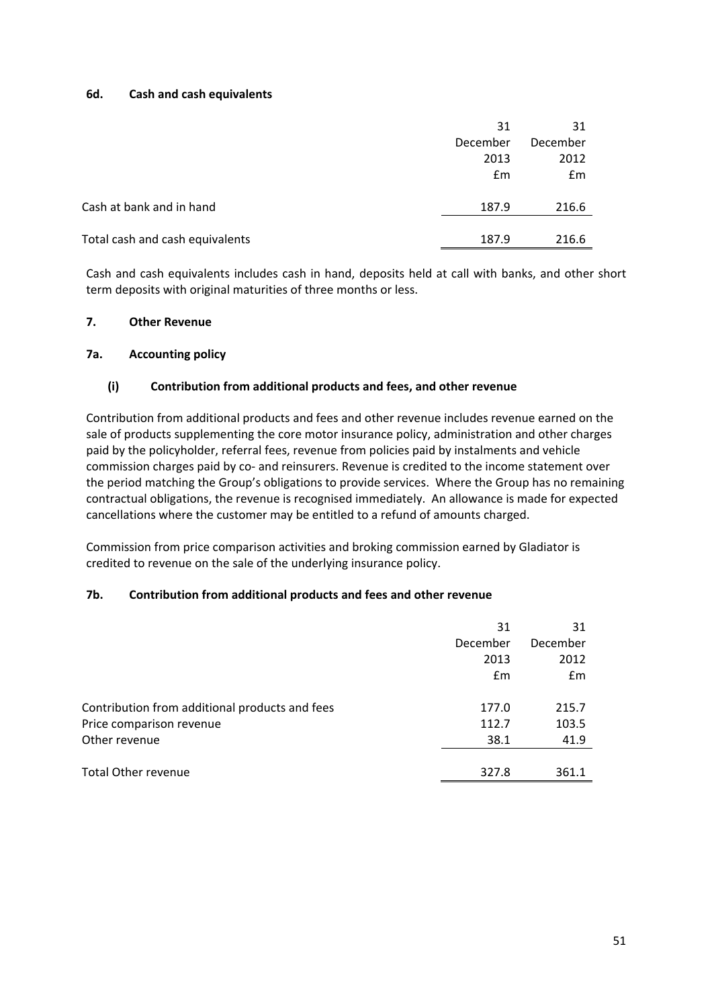### **6d. Cash and cash equivalents**

|                                 | 31       | 31       |
|---------------------------------|----------|----------|
|                                 | December | December |
|                                 | 2013     | 2012     |
|                                 | £m       | £m       |
| Cash at bank and in hand        | 187.9    | 216.6    |
| Total cash and cash equivalents | 187.9    | 216.6    |

Cash and cash equivalents includes cash in hand, deposits held at call with banks, and other short term deposits with original maturities of three months or less.

# **7. Other Revenue**

## **7a. Accounting policy**

## **(i) Contribution from additional products and fees, and other revenue**

Contribution from additional products and fees and other revenue includes revenue earned on the sale of products supplementing the core motor insurance policy, administration and other charges paid by the policyholder, referral fees, revenue from policies paid by instalments and vehicle commission charges paid by co- and reinsurers. Revenue is credited to the income statement over the period matching the Group's obligations to provide services. Where the Group has no remaining contractual obligations, the revenue is recognised immediately. An allowance is made for expected cancellations where the customer may be entitled to a refund of amounts charged.

Commission from price comparison activities and broking commission earned by Gladiator is credited to revenue on the sale of the underlying insurance policy.

### **7b. Contribution from additional products and fees and other revenue**

|                                                | 31       | 31       |
|------------------------------------------------|----------|----------|
|                                                | December | December |
|                                                | 2013     | 2012     |
|                                                | £m       | £m       |
| Contribution from additional products and fees | 177.0    | 215.7    |
| Price comparison revenue                       | 112.7    | 103.5    |
| Other revenue                                  | 38.1     | 41.9     |
|                                                |          |          |
| <b>Total Other revenue</b>                     | 327.8    | 361.1    |
|                                                |          |          |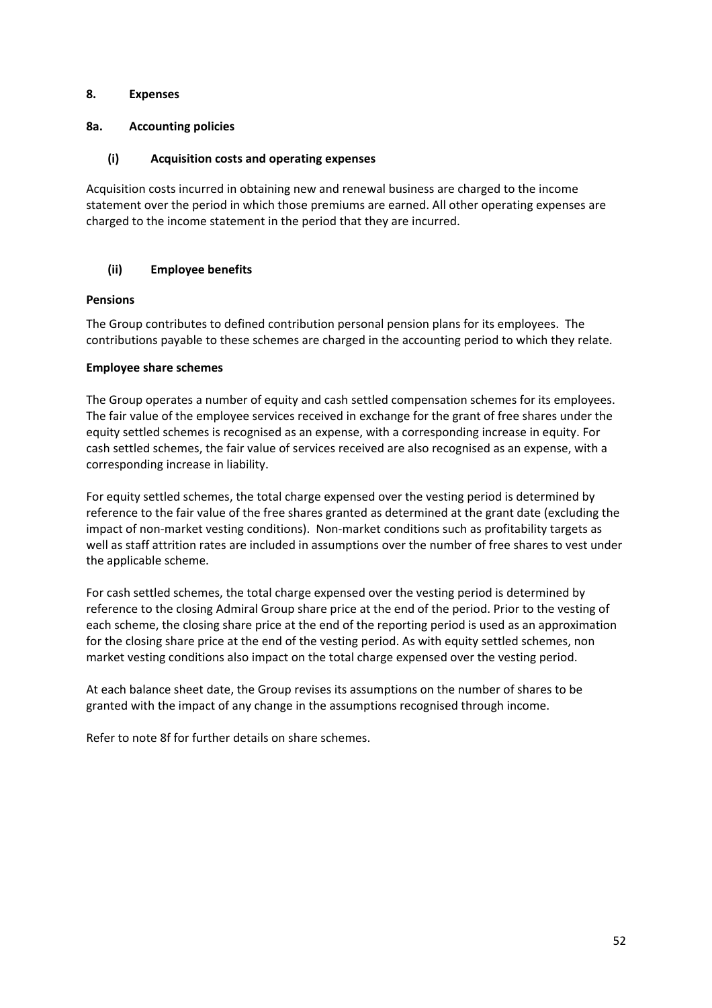### **8. Expenses**

## **8a. Accounting policies**

## **(i) Acquisition costs and operating expenses**

Acquisition costs incurred in obtaining new and renewal business are charged to the income statement over the period in which those premiums are earned. All other operating expenses are charged to the income statement in the period that they are incurred.

## **(ii) Employee benefits**

#### **Pensions**

The Group contributes to defined contribution personal pension plans for its employees. The contributions payable to these schemes are charged in the accounting period to which they relate.

## **Employee share schemes**

The Group operates a number of equity and cash settled compensation schemes for its employees. The fair value of the employee services received in exchange for the grant of free shares under the equity settled schemes is recognised as an expense, with a corresponding increase in equity. For cash settled schemes, the fair value of services received are also recognised as an expense, with a corresponding increase in liability.

For equity settled schemes, the total charge expensed over the vesting period is determined by reference to the fair value of the free shares granted as determined at the grant date (excluding the impact of non-market vesting conditions). Non-market conditions such as profitability targets as well as staff attrition rates are included in assumptions over the number of free shares to vest under the applicable scheme.

For cash settled schemes, the total charge expensed over the vesting period is determined by reference to the closing Admiral Group share price at the end of the period. Prior to the vesting of each scheme, the closing share price at the end of the reporting period is used as an approximation for the closing share price at the end of the vesting period. As with equity settled schemes, non market vesting conditions also impact on the total charge expensed over the vesting period.

At each balance sheet date, the Group revises its assumptions on the number of shares to be granted with the impact of any change in the assumptions recognised through income.

Refer to note 8f for further details on share schemes.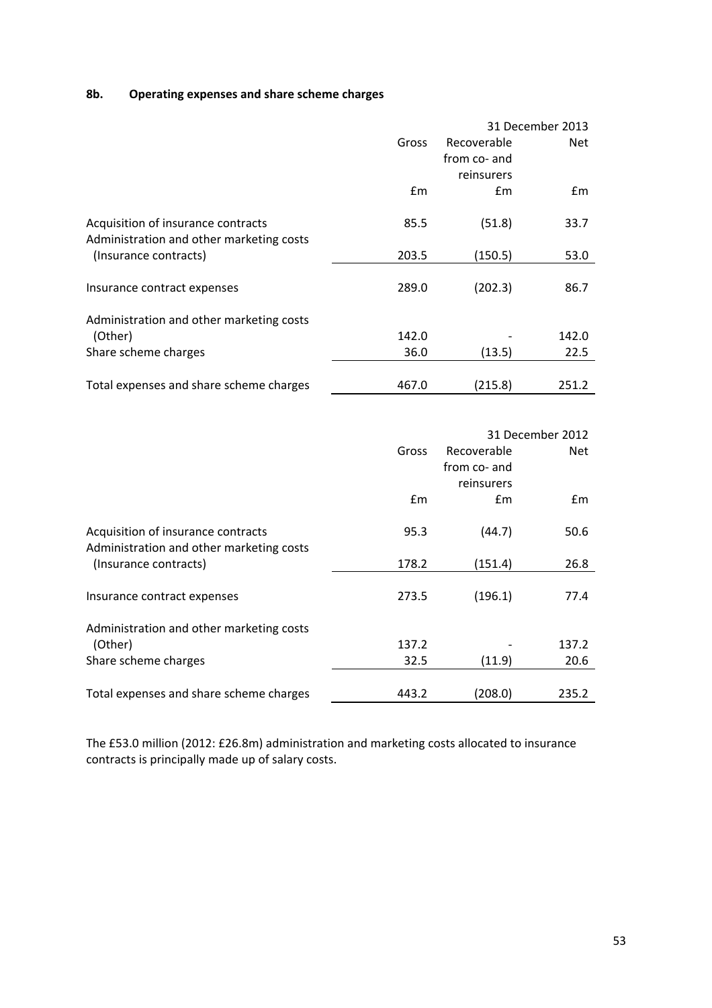# **8b. Operating expenses and share scheme charges**

|                                                                                |       | 31 December 2013 |       |  |
|--------------------------------------------------------------------------------|-------|------------------|-------|--|
|                                                                                | Gross | Recoverable      | Net   |  |
|                                                                                |       | from co- and     |       |  |
|                                                                                |       | reinsurers       |       |  |
|                                                                                | £m    | £m               | £m    |  |
| Acquisition of insurance contracts<br>Administration and other marketing costs | 85.5  | (51.8)           | 33.7  |  |
| (Insurance contracts)                                                          | 203.5 | (150.5)          | 53.0  |  |
| Insurance contract expenses                                                    | 289.0 | (202.3)          | 86.7  |  |
| Administration and other marketing costs                                       |       |                  |       |  |
| (Other)                                                                        | 142.0 |                  | 142.0 |  |
| Share scheme charges                                                           | 36.0  | (13.5)           | 22.5  |  |
| Total expenses and share scheme charges                                        | 467.0 | (215.8)          | 251.2 |  |

|                                                                                |       | 31 December 2012 |            |  |
|--------------------------------------------------------------------------------|-------|------------------|------------|--|
|                                                                                | Gross | Recoverable      | <b>Net</b> |  |
|                                                                                |       | from co- and     |            |  |
|                                                                                |       | reinsurers       |            |  |
|                                                                                | £m    | Em               | Em         |  |
| Acquisition of insurance contracts<br>Administration and other marketing costs | 95.3  | (44.7)           | 50.6       |  |
| (Insurance contracts)                                                          | 178.2 | (151.4)          | 26.8       |  |
| Insurance contract expenses                                                    | 273.5 | (196.1)          | 77.4       |  |
| Administration and other marketing costs                                       |       |                  |            |  |
| (Other)                                                                        | 137.2 |                  | 137.2      |  |
| Share scheme charges                                                           | 32.5  | (11.9)           | 20.6       |  |
| Total expenses and share scheme charges                                        | 443.2 | (208.0)          | 235.2      |  |

The £53.0 million (2012: £26.8m) administration and marketing costs allocated to insurance contracts is principally made up of salary costs.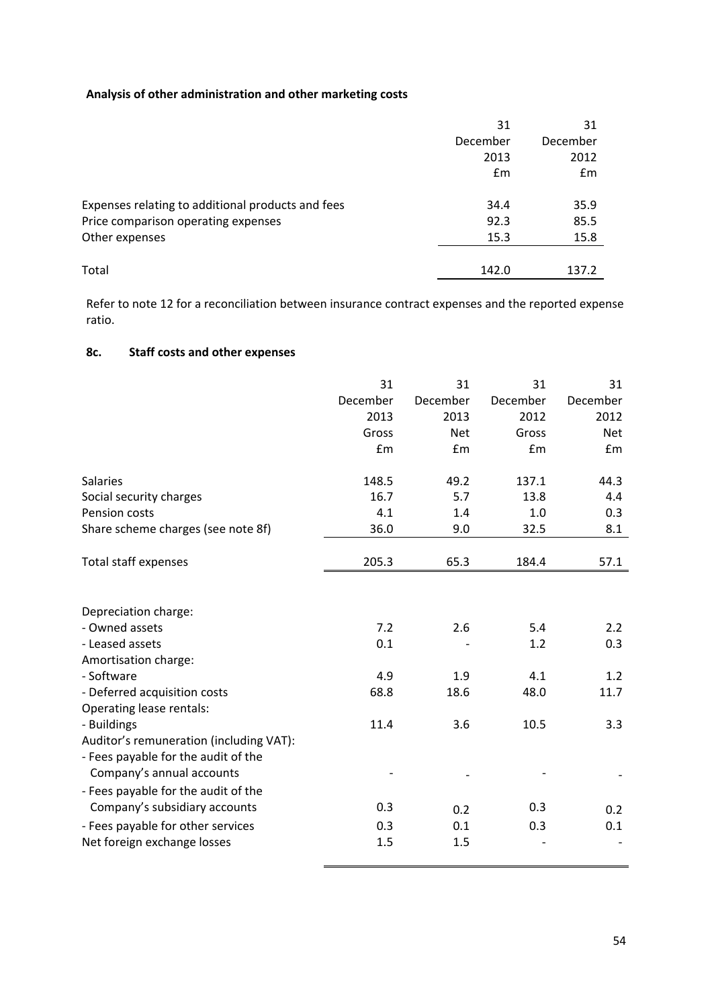# **Analysis of other administration and other marketing costs**

|                                                   | 31       | 31       |
|---------------------------------------------------|----------|----------|
|                                                   | December | December |
|                                                   | 2013     | 2012     |
|                                                   | £m       | Em       |
| Expenses relating to additional products and fees | 34.4     | 35.9     |
| Price comparison operating expenses               | 92.3     | 85.5     |
| Other expenses                                    | 15.3     | 15.8     |
| Total                                             | 142.0    | 137.2    |

Refer to note 12 for a reconciliation between insurance contract expenses and the reported expense ratio.

# **8c. Staff costs and other expenses**

|                                         | 31       | 31         | 31       | 31         |
|-----------------------------------------|----------|------------|----------|------------|
|                                         | December | December   | December | December   |
|                                         | 2013     | 2013       | 2012     | 2012       |
|                                         | Gross    | <b>Net</b> | Gross    | <b>Net</b> |
|                                         | £m       | £m         | £m       | £m         |
| <b>Salaries</b>                         | 148.5    | 49.2       | 137.1    | 44.3       |
| Social security charges                 | 16.7     | 5.7        | 13.8     | 4.4        |
| Pension costs                           | 4.1      | 1.4        | 1.0      | 0.3        |
| Share scheme charges (see note 8f)      | 36.0     | 9.0        | 32.5     | 8.1        |
| Total staff expenses                    | 205.3    | 65.3       | 184.4    | 57.1       |
|                                         |          |            |          |            |
| Depreciation charge:                    |          |            |          |            |
| - Owned assets                          | 7.2      | 2.6        | 5.4      | 2.2        |
| - Leased assets                         | 0.1      |            | 1.2      | 0.3        |
| Amortisation charge:                    |          |            |          |            |
| - Software                              | 4.9      | 1.9        | 4.1      | 1.2        |
| - Deferred acquisition costs            | 68.8     | 18.6       | 48.0     | 11.7       |
| Operating lease rentals:                |          |            |          |            |
| - Buildings                             | 11.4     | 3.6        | 10.5     | 3.3        |
| Auditor's remuneration (including VAT): |          |            |          |            |
| - Fees payable for the audit of the     |          |            |          |            |
| Company's annual accounts               |          |            |          |            |
| - Fees payable for the audit of the     |          |            |          |            |
| Company's subsidiary accounts           | 0.3      | 0.2        | 0.3      | 0.2        |
| - Fees payable for other services       | 0.3      | 0.1        | 0.3      | 0.1        |
| Net foreign exchange losses             | 1.5      | 1.5        |          |            |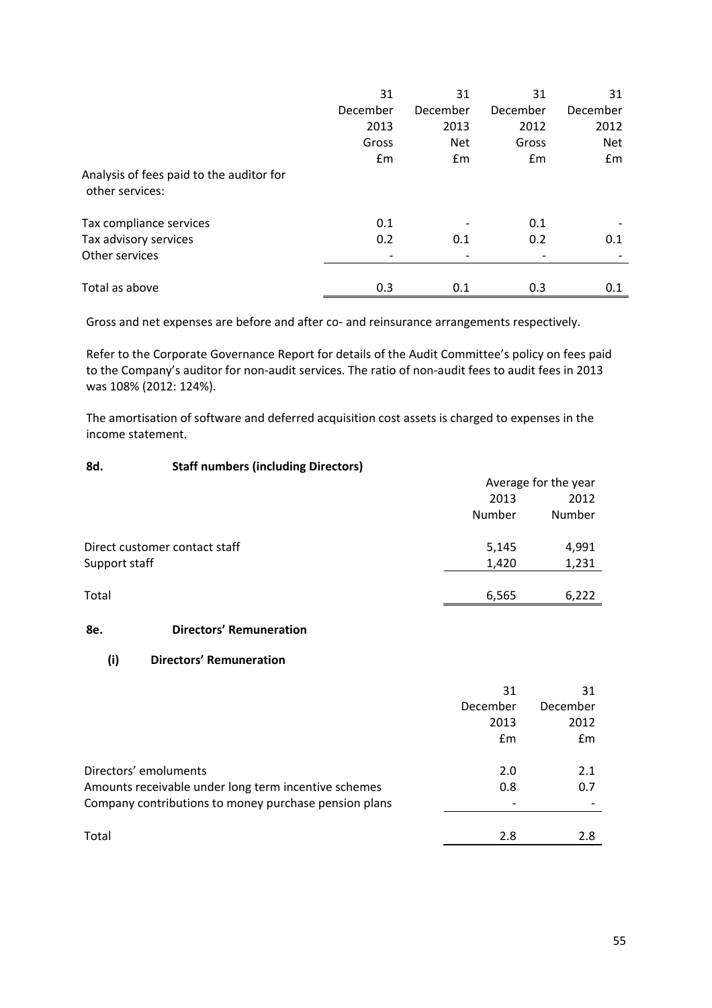|                                                             | 31       | 31         | 31       | 31         |
|-------------------------------------------------------------|----------|------------|----------|------------|
|                                                             | December | December   | December | December   |
|                                                             | 2013     | 2013       | 2012     | 2012       |
|                                                             | Gross    | <b>Net</b> | Gross    | <b>Net</b> |
|                                                             | Em       | Em         | £m       | £m         |
| Analysis of fees paid to the auditor for<br>other services: |          |            |          |            |
| Tax compliance services                                     | 0.1      |            | 0.1      |            |
| Tax advisory services                                       | 0.2      | 0.1        | 0.2      | 0.1        |
| Other services                                              |          |            |          |            |
|                                                             |          |            |          |            |
| Total as above                                              | 0.3      | 0.1        | 0.3      | 0.1        |

Gross and net expenses are before and after co- and reinsurance arrangements respectively.

Refer to the Corporate Governance Report for details of the Audit Committee's policy on fees paid to the Company's auditor for non-audit services. The ratio of non-audit fees to audit fees in 2013 was 108% (2012: 124%).

The amortisation of software and deferred acquisition cost assets is charged to expenses in the income statement.

#### **8d. Staff numbers (including Directors)**

|                               |        | Average for the year |
|-------------------------------|--------|----------------------|
|                               | 2013   | 2012                 |
|                               | Number | Number               |
| Direct customer contact staff | 5,145  | 4,991                |
| Support staff                 | 1,420  | 1,231                |
| Total                         | 6,565  | 6,222                |

# **8e. Directors' Remuneration**

#### **(i) Directors' Remuneration**

|                                                       | 31       | 31       |
|-------------------------------------------------------|----------|----------|
|                                                       | December | December |
|                                                       | 2013     | 2012     |
|                                                       | Em       | Em       |
| Directors' emoluments                                 | 2.0      | 2.1      |
| Amounts receivable under long term incentive schemes  | 0.8      | 0.7      |
| Company contributions to money purchase pension plans |          |          |
| Total                                                 | 2.8      | 2.8      |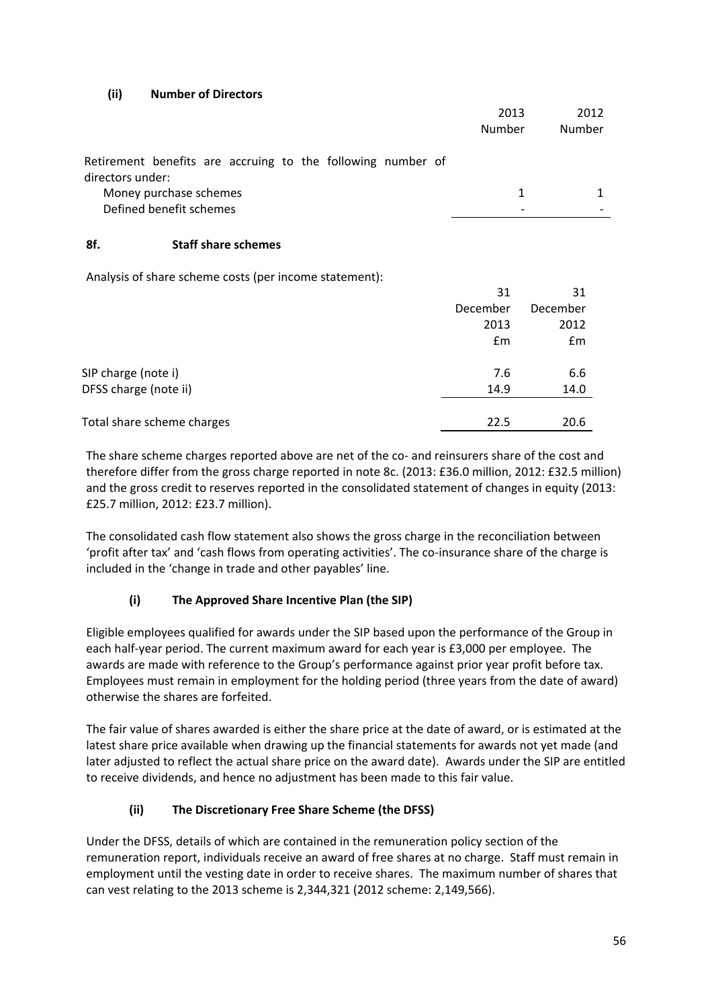# **(ii) Number of Directors**

|                                                                                 | 2013   | 2012   |
|---------------------------------------------------------------------------------|--------|--------|
|                                                                                 | Number | Number |
| Retirement benefits are accruing to the following number of<br>directors under: |        |        |
| Money purchase schemes                                                          | 1      |        |
| Defined benefit schemes                                                         |        |        |

## **8f. Staff share schemes**

Analysis of share scheme costs (per income statement):

|                            | 31       | 31       |
|----------------------------|----------|----------|
|                            | December | December |
|                            | 2013     | 2012     |
|                            | Em       | £m       |
|                            |          |          |
| SIP charge (note i)        | 7.6      | 6.6      |
| DFSS charge (note ii)      | 14.9     | 14.0     |
|                            |          |          |
| Total share scheme charges | 22.5     | 20.6     |

The share scheme charges reported above are net of the co- and reinsurers share of the cost and therefore differ from the gross charge reported in note 8c. (2013: £36.0 million, 2012: £32.5 million) and the gross credit to reserves reported in the consolidated statement of changes in equity (2013: £25.7 million, 2012: £23.7 million).

The consolidated cash flow statement also shows the gross charge in the reconciliation between 'profit after tax' and 'cash flows from operating activities'. The co-insurance share of the charge is included in the 'change in trade and other payables' line.

# **(i) The Approved Share Incentive Plan (the SIP)**

Eligible employees qualified for awards under the SIP based upon the performance of the Group in each half-year period. The current maximum award for each year is £3,000 per employee. The awards are made with reference to the Group's performance against prior year profit before tax. Employees must remain in employment for the holding period (three years from the date of award) otherwise the shares are forfeited.

The fair value of shares awarded is either the share price at the date of award, or is estimated at the latest share price available when drawing up the financial statements for awards not yet made (and later adjusted to reflect the actual share price on the award date). Awards under the SIP are entitled to receive dividends, and hence no adjustment has been made to this fair value.

# **(ii) The Discretionary Free Share Scheme (the DFSS)**

Under the DFSS, details of which are contained in the remuneration policy section of the remuneration report, individuals receive an award of free shares at no charge. Staff must remain in employment until the vesting date in order to receive shares. The maximum number of shares that can vest relating to the 2013 scheme is 2,344,321 (2012 scheme: 2,149,566).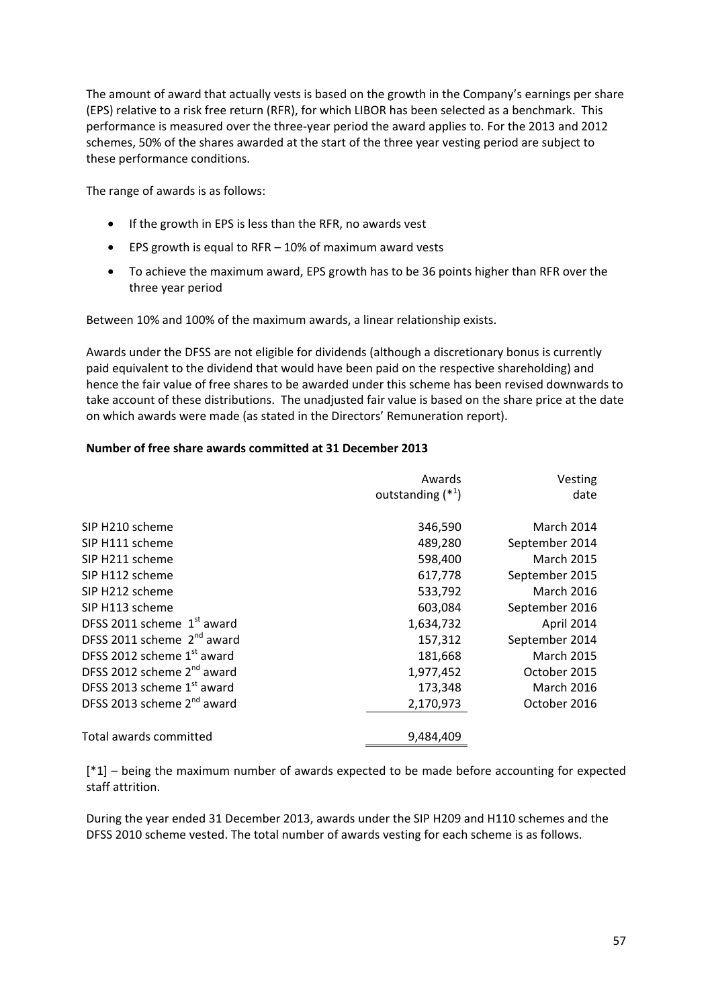The amount of award that actually vests is based on the growth in the Company's earnings per share (EPS) relative to a risk free return (RFR), for which LIBOR has been selected as a benchmark. This performance is measured over the three-year period the award applies to. For the 2013 and 2012 schemes, 50% of the shares awarded at the start of the three year vesting period are subject to these performance conditions.

The range of awards is as follows:

- If the growth in EPS is less than the RFR, no awards vest
- EPS growth is equal to RFR 10% of maximum award vests
- To achieve the maximum award, EPS growth has to be 36 points higher than RFR over the three year period

Between 10% and 100% of the maximum awards, a linear relationship exists.

Awards under the DFSS are not eligible for dividends (although a discretionary bonus is currently paid equivalent to the dividend that would have been paid on the respective shareholding) and hence the fair value of free shares to be awarded under this scheme has been revised downwards to take account of these distributions. The unadjusted fair value is based on the share price at the date on which awards were made (as stated in the Directors' Remuneration report).

## **Number of free share awards committed at 31 December 2013**

|                                        | Awards<br>outstanding $(*^1)$ | Vesting<br>date   |
|----------------------------------------|-------------------------------|-------------------|
| SIP H210 scheme                        | 346,590                       | March 2014        |
| SIP H111 scheme                        | 489,280                       | September 2014    |
| SIP H211 scheme                        | 598,400                       | <b>March 2015</b> |
| SIP H112 scheme                        | 617,778                       | September 2015    |
| SIP H212 scheme                        | 533,792                       | <b>March 2016</b> |
| SIP H113 scheme                        | 603,084                       | September 2016    |
| DFSS 2011 scheme 1 <sup>st</sup> award | 1,634,732                     | April 2014        |
| DFSS 2011 scheme $2nd$ award           | 157,312                       | September 2014    |
| DFSS 2012 scheme 1st award             | 181,668                       | <b>March 2015</b> |
| DFSS 2012 scheme 2 <sup>nd</sup> award | 1,977,452                     | October 2015      |
| DFSS 2013 scheme 1 <sup>st</sup> award | 173,348                       | <b>March 2016</b> |
| DFSS 2013 scheme 2 <sup>nd</sup> award | 2,170,973                     | October 2016      |
| Total awards committed                 | 9,484,409                     |                   |

[\*1] – being the maximum number of awards expected to be made before accounting for expected staff attrition.

During the year ended 31 December 2013, awards under the SIP H209 and H110 schemes and the DFSS 2010 scheme vested. The total number of awards vesting for each scheme is as follows.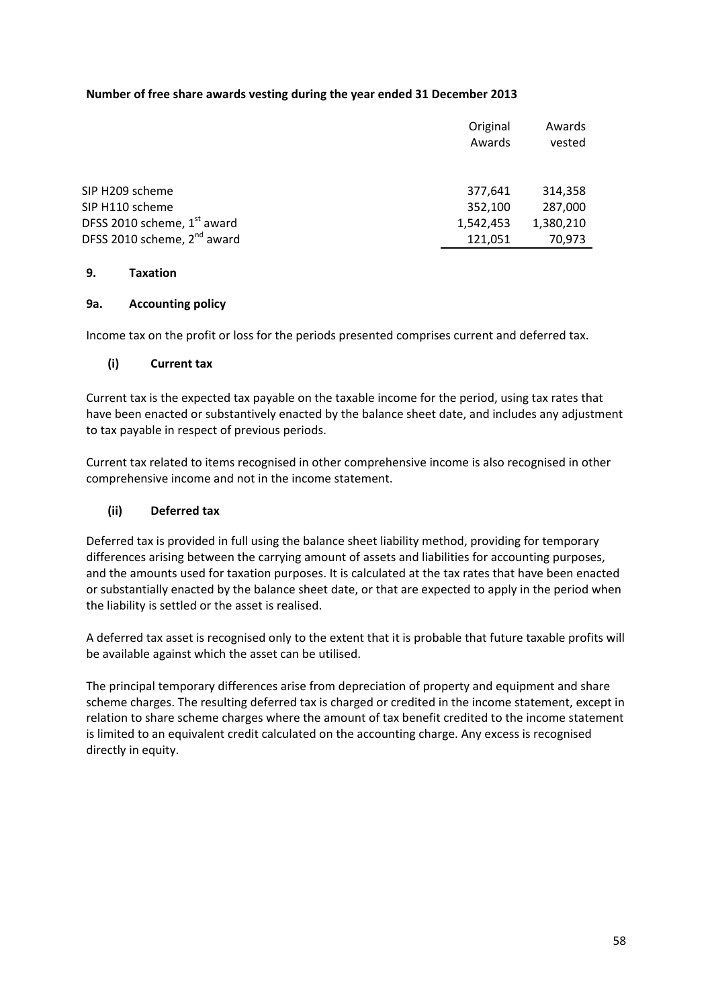# **Number of free share awards vesting during the year ended 31 December 2013**

|                                         | Original<br>Awards | Awards<br>vested |
|-----------------------------------------|--------------------|------------------|
| SIP H209 scheme                         | 377,641            | 314.358          |
| SIP H110 scheme                         | 352,100            | 287,000          |
| DFSS 2010 scheme, 1 <sup>st</sup> award | 1,542,453          | 1,380,210        |
| DFSS 2010 scheme, 2 <sup>nd</sup> award | 121,051            | 70,973           |

#### **9. Taxation**

#### **9a. Accounting policy**

Income tax on the profit or loss for the periods presented comprises current and deferred tax.

## **(i) Current tax**

Current tax is the expected tax payable on the taxable income for the period, using tax rates that have been enacted or substantively enacted by the balance sheet date, and includes any adjustment to tax payable in respect of previous periods.

Current tax related to items recognised in other comprehensive income is also recognised in other comprehensive income and not in the income statement.

### **(ii) Deferred tax**

Deferred tax is provided in full using the balance sheet liability method, providing for temporary differences arising between the carrying amount of assets and liabilities for accounting purposes, and the amounts used for taxation purposes. It is calculated at the tax rates that have been enacted or substantially enacted by the balance sheet date, or that are expected to apply in the period when the liability is settled or the asset is realised.

A deferred tax asset is recognised only to the extent that it is probable that future taxable profits will be available against which the asset can be utilised.

The principal temporary differences arise from depreciation of property and equipment and share scheme charges. The resulting deferred tax is charged or credited in the income statement, except in relation to share scheme charges where the amount of tax benefit credited to the income statement is limited to an equivalent credit calculated on the accounting charge. Any excess is recognised directly in equity.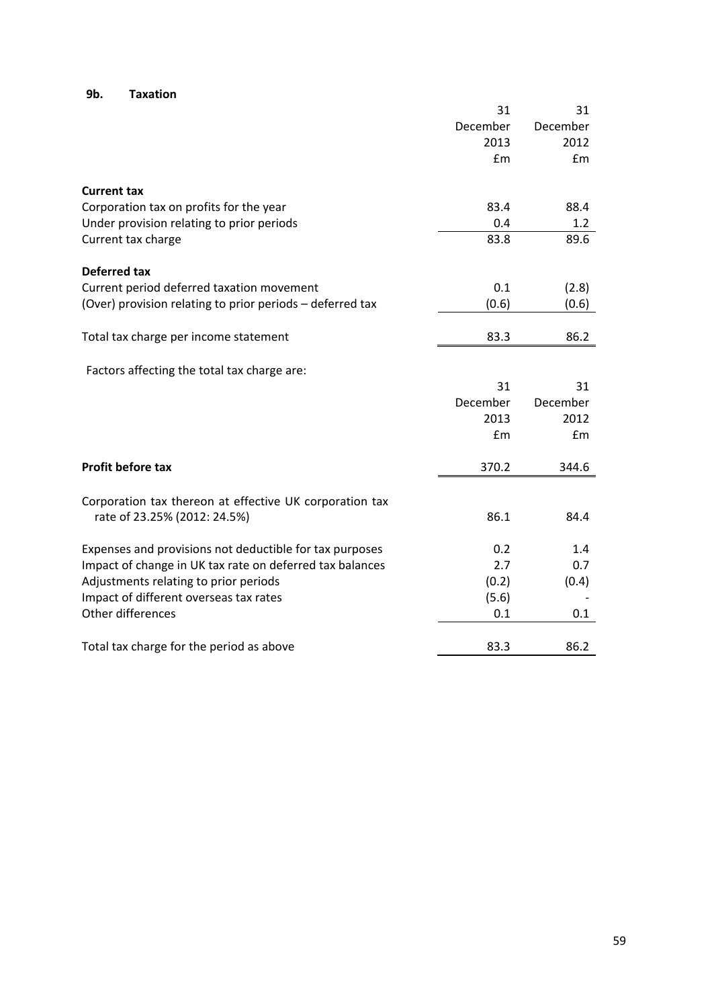## **9b. Taxation**

|                                                           | 31       | 31       |
|-----------------------------------------------------------|----------|----------|
|                                                           | December | December |
|                                                           | 2013     | 2012     |
|                                                           | £m       | £m       |
| <b>Current tax</b>                                        |          |          |
| Corporation tax on profits for the year                   | 83.4     | 88.4     |
| Under provision relating to prior periods                 | 0.4      | 1.2      |
| Current tax charge                                        | 83.8     | 89.6     |
|                                                           |          |          |
| <b>Deferred tax</b>                                       |          |          |
| Current period deferred taxation movement                 | 0.1      | (2.8)    |
| (Over) provision relating to prior periods - deferred tax | (0.6)    | (0.6)    |
|                                                           |          |          |
| Total tax charge per income statement                     | 83.3     | 86.2     |
| Factors affecting the total tax charge are:               |          |          |
|                                                           | 31       | 31       |
|                                                           | December | December |
|                                                           | 2013     | 2012     |
|                                                           | £m       | £m       |
| <b>Profit before tax</b>                                  | 370.2    | 344.6    |
|                                                           |          |          |
| Corporation tax thereon at effective UK corporation tax   |          |          |
| rate of 23.25% (2012: 24.5%)                              | 86.1     | 84.4     |
| Expenses and provisions not deductible for tax purposes   | 0.2      | 1.4      |
| Impact of change in UK tax rate on deferred tax balances  | 2.7      | 0.7      |
| Adjustments relating to prior periods                     | (0.2)    | (0.4)    |
| Impact of different overseas tax rates                    | (5.6)    |          |
| Other differences                                         | 0.1      | 0.1      |
|                                                           |          |          |
| Total tax charge for the period as above                  | 83.3     | 86.2     |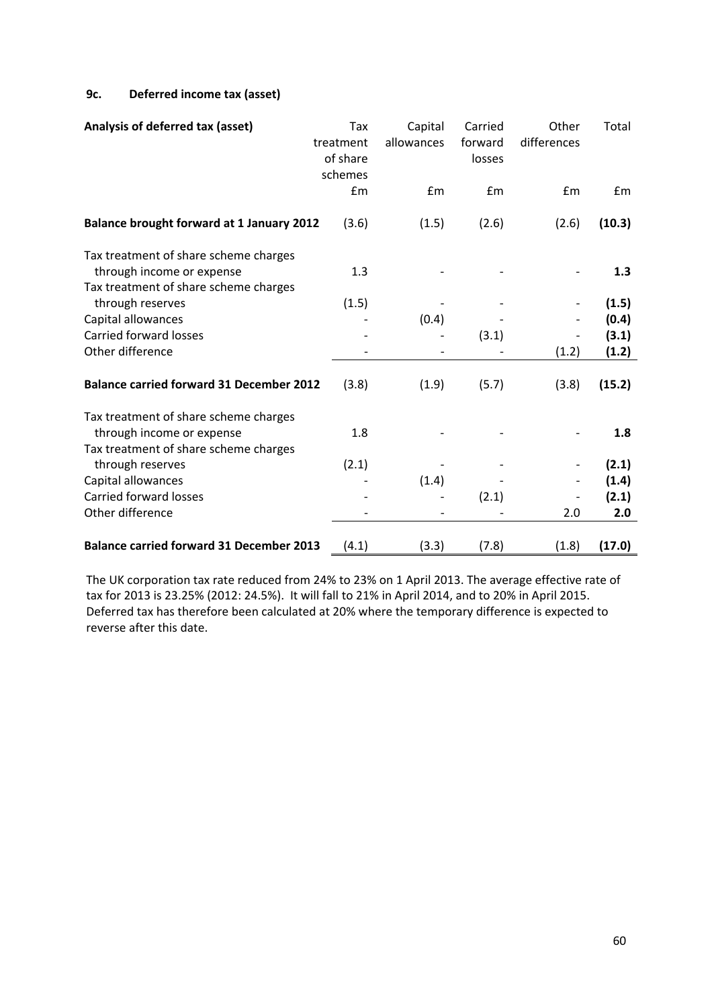## **9c. Deferred income tax (asset)**

| Analysis of deferred tax (asset)                                   | Tax<br>treatment<br>of share<br>schemes | Capital<br>allowances | Carried<br>forward<br>losses | Other<br>differences | Total  |
|--------------------------------------------------------------------|-----------------------------------------|-----------------------|------------------------------|----------------------|--------|
|                                                                    | £m                                      | £m                    | £m                           | £m                   | £m     |
| <b>Balance brought forward at 1 January 2012</b>                   | (3.6)                                   | (1.5)                 | (2.6)                        | (2.6)                | (10.3) |
| Tax treatment of share scheme charges<br>through income or expense | 1.3                                     |                       |                              |                      | 1.3    |
| Tax treatment of share scheme charges<br>through reserves          | (1.5)                                   |                       |                              |                      | (1.5)  |
| Capital allowances                                                 |                                         | (0.4)                 |                              |                      | (0.4)  |
| <b>Carried forward losses</b>                                      |                                         |                       | (3.1)                        |                      | (3.1)  |
| Other difference                                                   |                                         |                       |                              | (1.2)                | (1.2)  |
| <b>Balance carried forward 31 December 2012</b>                    | (3.8)                                   | (1.9)                 | (5.7)                        | (3.8)                | (15.2) |
| Tax treatment of share scheme charges                              |                                         |                       |                              |                      |        |
| through income or expense                                          | 1.8                                     |                       |                              |                      | 1.8    |
| Tax treatment of share scheme charges                              |                                         |                       |                              |                      |        |
| through reserves                                                   | (2.1)                                   |                       |                              |                      | (2.1)  |
| Capital allowances                                                 |                                         | (1.4)                 |                              |                      | (1.4)  |
| <b>Carried forward losses</b>                                      |                                         |                       | (2.1)                        |                      | (2.1)  |
| Other difference                                                   |                                         |                       |                              | 2.0                  | 2.0    |
| <b>Balance carried forward 31 December 2013</b>                    | (4.1)                                   | (3.3)                 | (7.8)                        | (1.8)                | (17.0) |

The UK corporation tax rate reduced from 24% to 23% on 1 April 2013. The average effective rate of tax for 2013 is 23.25% (2012: 24.5%). It will fall to 21% in April 2014, and to 20% in April 2015. Deferred tax has therefore been calculated at 20% where the temporary difference is expected to reverse after this date.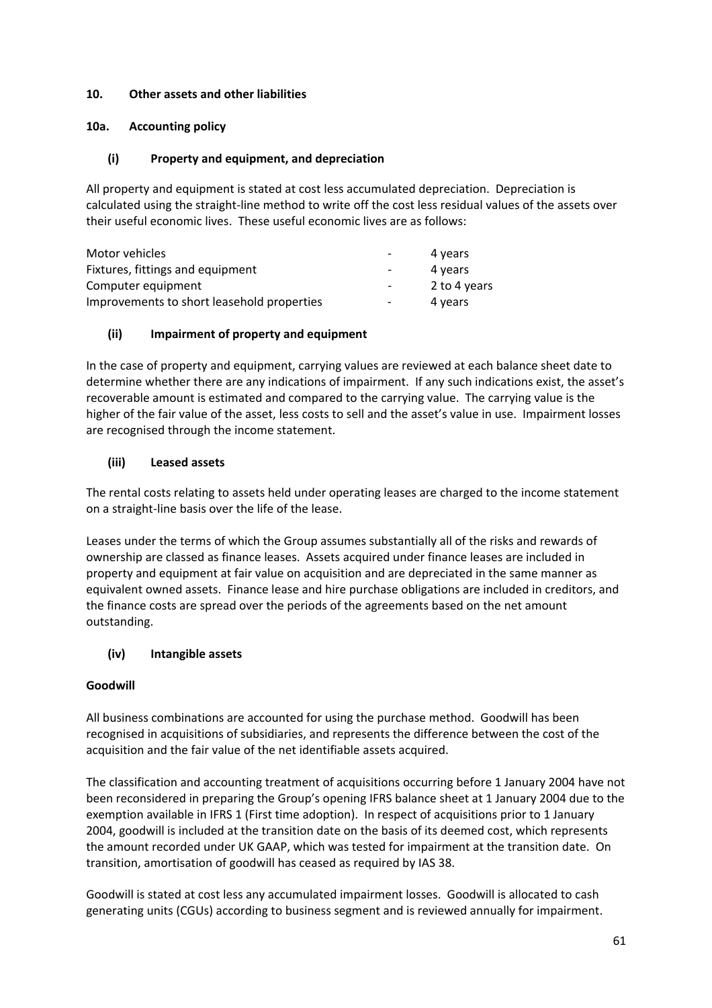## **10. Other assets and other liabilities**

## **10a. Accounting policy**

## **(i) Property and equipment, and depreciation**

All property and equipment is stated at cost less accumulated depreciation. Depreciation is calculated using the straight-line method to write off the cost less residual values of the assets over their useful economic lives. These useful economic lives are as follows:

| Motor vehicles                             | $\overline{\phantom{a}}$     | 4 years      |
|--------------------------------------------|------------------------------|--------------|
| Fixtures, fittings and equipment           | $\qquad \qquad \blacksquare$ | 4 years      |
| Computer equipment                         | $\overline{\phantom{a}}$     | 2 to 4 years |
| Improvements to short leasehold properties | $\overline{\phantom{a}}$     | 4 years      |

## **(ii) Impairment of property and equipment**

In the case of property and equipment, carrying values are reviewed at each balance sheet date to determine whether there are any indications of impairment. If any such indications exist, the asset's recoverable amount is estimated and compared to the carrying value. The carrying value is the higher of the fair value of the asset, less costs to sell and the asset's value in use. Impairment losses are recognised through the income statement.

# **(iii) Leased assets**

The rental costs relating to assets held under operating leases are charged to the income statement on a straight-line basis over the life of the lease.

Leases under the terms of which the Group assumes substantially all of the risks and rewards of ownership are classed as finance leases. Assets acquired under finance leases are included in property and equipment at fair value on acquisition and are depreciated in the same manner as equivalent owned assets. Finance lease and hire purchase obligations are included in creditors, and the finance costs are spread over the periods of the agreements based on the net amount outstanding.

# **(iv) Intangible assets**

#### **Goodwill**

All business combinations are accounted for using the purchase method. Goodwill has been recognised in acquisitions of subsidiaries, and represents the difference between the cost of the acquisition and the fair value of the net identifiable assets acquired.

The classification and accounting treatment of acquisitions occurring before 1 January 2004 have not been reconsidered in preparing the Group's opening IFRS balance sheet at 1 January 2004 due to the exemption available in IFRS 1 (First time adoption). In respect of acquisitions prior to 1 January 2004, goodwill is included at the transition date on the basis of its deemed cost, which represents the amount recorded under UK GAAP, which was tested for impairment at the transition date. On transition, amortisation of goodwill has ceased as required by IAS 38.

Goodwill is stated at cost less any accumulated impairment losses. Goodwill is allocated to cash generating units (CGUs) according to business segment and is reviewed annually for impairment.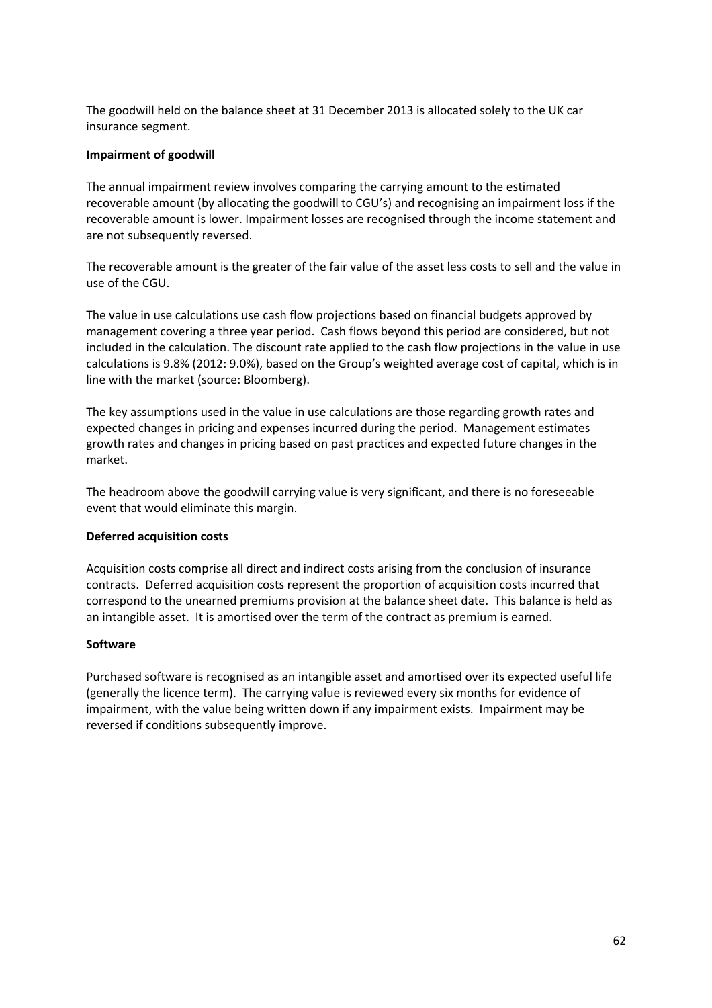The goodwill held on the balance sheet at 31 December 2013 is allocated solely to the UK car insurance segment.

### **Impairment of goodwill**

The annual impairment review involves comparing the carrying amount to the estimated recoverable amount (by allocating the goodwill to CGU's) and recognising an impairment loss if the recoverable amount is lower. Impairment losses are recognised through the income statement and are not subsequently reversed.

The recoverable amount is the greater of the fair value of the asset less costs to sell and the value in use of the CGU.

The value in use calculations use cash flow projections based on financial budgets approved by management covering a three year period. Cash flows beyond this period are considered, but not included in the calculation. The discount rate applied to the cash flow projections in the value in use calculations is 9.8% (2012: 9.0%), based on the Group's weighted average cost of capital, which is in line with the market (source: Bloomberg).

The key assumptions used in the value in use calculations are those regarding growth rates and expected changes in pricing and expenses incurred during the period. Management estimates growth rates and changes in pricing based on past practices and expected future changes in the market.

The headroom above the goodwill carrying value is very significant, and there is no foreseeable event that would eliminate this margin.

#### **Deferred acquisition costs**

Acquisition costs comprise all direct and indirect costs arising from the conclusion of insurance contracts. Deferred acquisition costs represent the proportion of acquisition costs incurred that correspond to the unearned premiums provision at the balance sheet date. This balance is held as an intangible asset. It is amortised over the term of the contract as premium is earned.

#### **Software**

Purchased software is recognised as an intangible asset and amortised over its expected useful life (generally the licence term). The carrying value is reviewed every six months for evidence of impairment, with the value being written down if any impairment exists. Impairment may be reversed if conditions subsequently improve.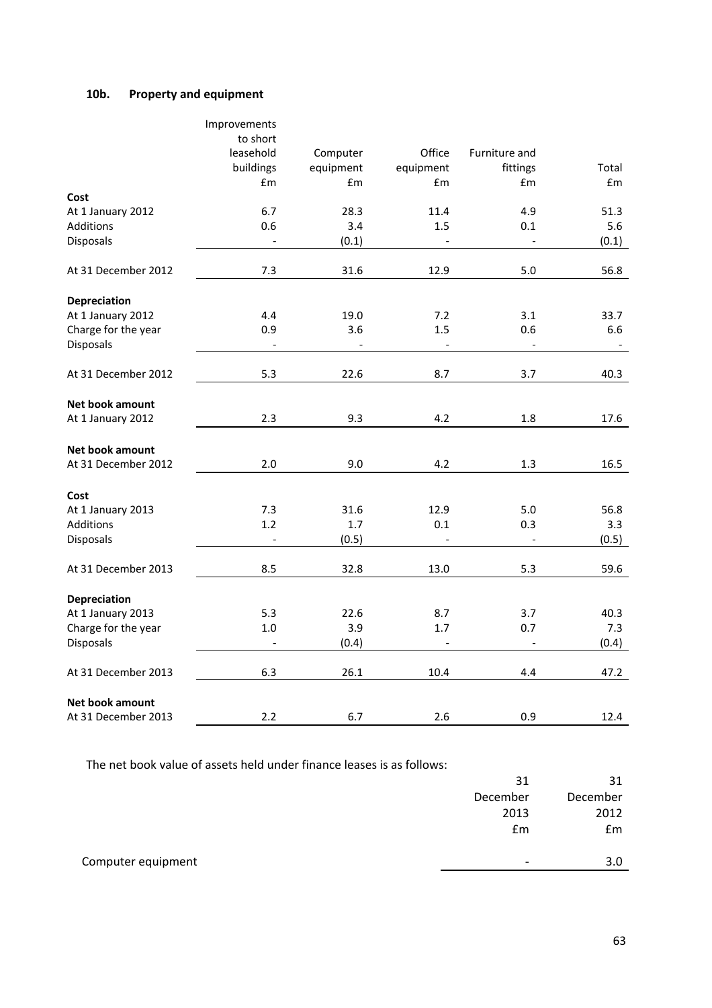# **10b. Property and equipment**

|                        | Improvements   |           |                          |                          |       |
|------------------------|----------------|-----------|--------------------------|--------------------------|-------|
|                        | to short       |           |                          |                          |       |
|                        | leasehold      | Computer  | Office                   | Furniture and            |       |
|                        | buildings      | equipment | equipment                | fittings                 | Total |
|                        | Em             | £m        | £m                       | Em                       | Em    |
| Cost                   |                |           |                          |                          |       |
| At 1 January 2012      | 6.7            | 28.3      | 11.4                     | 4.9                      | 51.3  |
| Additions              | 0.6            | 3.4       | 1.5                      | $0.1\,$                  | 5.6   |
| <b>Disposals</b>       | $\overline{a}$ | (0.1)     | $\overline{a}$           | $\overline{\phantom{m}}$ | (0.1) |
| At 31 December 2012    | 7.3            | 31.6      | 12.9                     | 5.0                      | 56.8  |
| <b>Depreciation</b>    |                |           |                          |                          |       |
| At 1 January 2012      | 4.4            | 19.0      | 7.2                      | 3.1                      | 33.7  |
| Charge for the year    | 0.9            | 3.6       | 1.5                      | 0.6                      | 6.6   |
| Disposals              | $\overline{a}$ |           | $\overline{\phantom{a}}$ | $\frac{1}{2}$            |       |
| At 31 December 2012    | 5.3            | 22.6      | 8.7                      | 3.7                      | 40.3  |
| <b>Net book amount</b> |                |           |                          |                          |       |
| At 1 January 2012      | 2.3            | 9.3       | 4.2                      | $1.8\,$                  | 17.6  |
| <b>Net book amount</b> |                |           |                          |                          |       |
| At 31 December 2012    | 2.0            | 9.0       | 4.2                      | 1.3                      | 16.5  |
| Cost                   |                |           |                          |                          |       |
| At 1 January 2013      | 7.3            | 31.6      | 12.9                     | 5.0                      | 56.8  |
| <b>Additions</b>       | 1.2            | 1.7       | 0.1                      | 0.3                      | 3.3   |
| Disposals              | $\frac{1}{2}$  | (0.5)     | $\overline{\phantom{a}}$ | $\blacksquare$           | (0.5) |
| At 31 December 2013    | 8.5            | 32.8      | 13.0                     | 5.3                      | 59.6  |
| <b>Depreciation</b>    |                |           |                          |                          |       |
| At 1 January 2013      | 5.3            | 22.6      | 8.7                      | 3.7                      | 40.3  |
| Charge for the year    | 1.0            | 3.9       | 1.7                      | 0.7                      | 7.3   |
| Disposals              | $\overline{a}$ | (0.4)     | $\frac{1}{2}$            | $\frac{1}{2}$            | (0.4) |
| At 31 December 2013    | 6.3            | 26.1      | 10.4                     | 4.4                      | 47.2  |
| Net book amount        |                |           |                          |                          |       |
| At 31 December 2013    | 2.2            | 6.7       | 2.6                      | 0.9                      | 12.4  |

The net book value of assets held under finance leases is as follows:

| December<br>December<br>2013<br>2012                  |
|-------------------------------------------------------|
|                                                       |
|                                                       |
| Em<br>Em                                              |
| Computer equipment<br>3.0<br>$\overline{\phantom{0}}$ |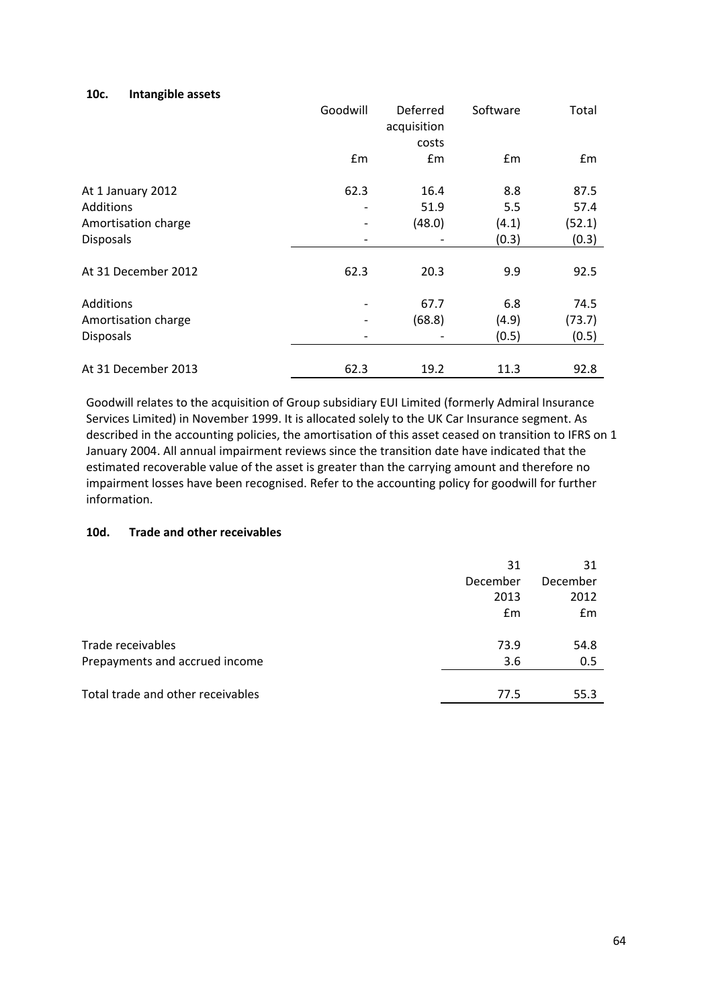## **10c. Intangible assets**

|                     | Goodwill | Deferred<br>acquisition<br>costs | Software | Total  |
|---------------------|----------|----------------------------------|----------|--------|
|                     | Em       | £m                               | Em       | £m     |
| At 1 January 2012   | 62.3     | 16.4                             | 8.8      | 87.5   |
| Additions           |          | 51.9                             | 5.5      | 57.4   |
| Amortisation charge |          | (48.0)                           | (4.1)    | (52.1) |
| <b>Disposals</b>    |          |                                  | (0.3)    | (0.3)  |
| At 31 December 2012 | 62.3     | 20.3                             | 9.9      | 92.5   |
| Additions           |          | 67.7                             | 6.8      | 74.5   |
| Amortisation charge |          | (68.8)                           | (4.9)    | (73.7) |
| <b>Disposals</b>    |          |                                  | (0.5)    | (0.5)  |
|                     |          |                                  |          |        |
| At 31 December 2013 | 62.3     | 19.2                             | 11.3     | 92.8   |

Goodwill relates to the acquisition of Group subsidiary EUI Limited (formerly Admiral Insurance Services Limited) in November 1999. It is allocated solely to the UK Car Insurance segment. As described in the accounting policies, the amortisation of this asset ceased on transition to IFRS on 1 January 2004. All annual impairment reviews since the transition date have indicated that the estimated recoverable value of the asset is greater than the carrying amount and therefore no impairment losses have been recognised. Refer to the accounting policy for goodwill for further information.

# **10d. Trade and other receivables**

|                                   | 31       | 31       |
|-----------------------------------|----------|----------|
|                                   | December | December |
|                                   | 2013     | 2012     |
|                                   | £m       | Em       |
| Trade receivables                 | 73.9     | 54.8     |
| Prepayments and accrued income    | 3.6      | 0.5      |
|                                   |          |          |
| Total trade and other receivables | 77.5     | 55.3     |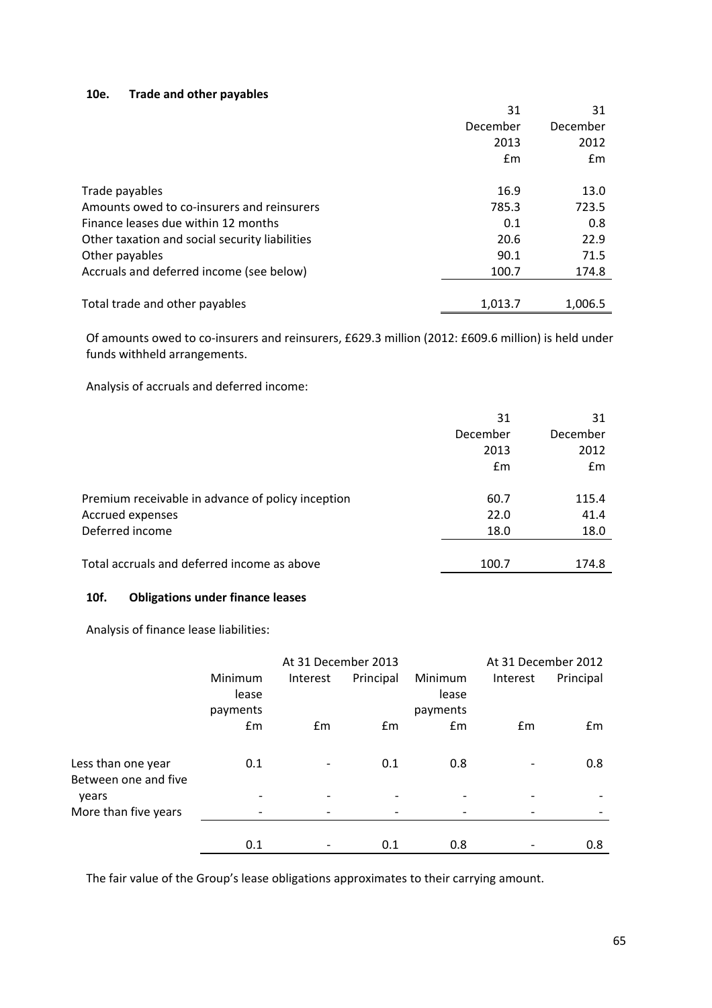# **10e. Trade and other payables**

|                                                | 31       | 31       |
|------------------------------------------------|----------|----------|
|                                                | December | December |
|                                                | 2013     | 2012     |
|                                                | £m       | £m       |
| Trade payables                                 | 16.9     | 13.0     |
| Amounts owed to co-insurers and reinsurers     | 785.3    | 723.5    |
| Finance leases due within 12 months            | 0.1      | 0.8      |
| Other taxation and social security liabilities | 20.6     | 22.9     |
| Other payables                                 | 90.1     | 71.5     |
| Accruals and deferred income (see below)       | 100.7    | 174.8    |
| Total trade and other payables                 | 1,013.7  | 1.006.5  |

Of amounts owed to co-insurers and reinsurers, £629.3 million (2012: £609.6 million) is held under funds withheld arrangements.

Analysis of accruals and deferred income:

|                                                   | 31       | 31       |
|---------------------------------------------------|----------|----------|
|                                                   | December | December |
|                                                   | 2013     | 2012     |
|                                                   | £m       | £m       |
| Premium receivable in advance of policy inception | 60.7     | 115.4    |
| Accrued expenses                                  | 22.0     | 41.4     |
| Deferred income                                   | 18.0     | 18.0     |
|                                                   |          |          |
| Total accruals and deferred income as above       | 100.7    | 174.8    |

# **10f. Obligations under finance leases**

Analysis of finance lease liabilities:

|                                            | At 31 December 2013          |          |           |                              | At 31 December 2012 |           |
|--------------------------------------------|------------------------------|----------|-----------|------------------------------|---------------------|-----------|
|                                            | Minimum<br>lease<br>payments | Interest | Principal | Minimum<br>lease<br>payments | Interest            | Principal |
|                                            | Em                           | Em       | Em        | $\mathsf{fm}$                | Em                  | Em        |
| Less than one year<br>Between one and five | 0.1                          |          | 0.1       | 0.8                          |                     | 0.8       |
| years<br>More than five years              |                              |          |           |                              |                     |           |
|                                            | 0.1                          |          | 0.1       | 0.8                          |                     | 0.8       |

The fair value of the Group's lease obligations approximates to their carrying amount.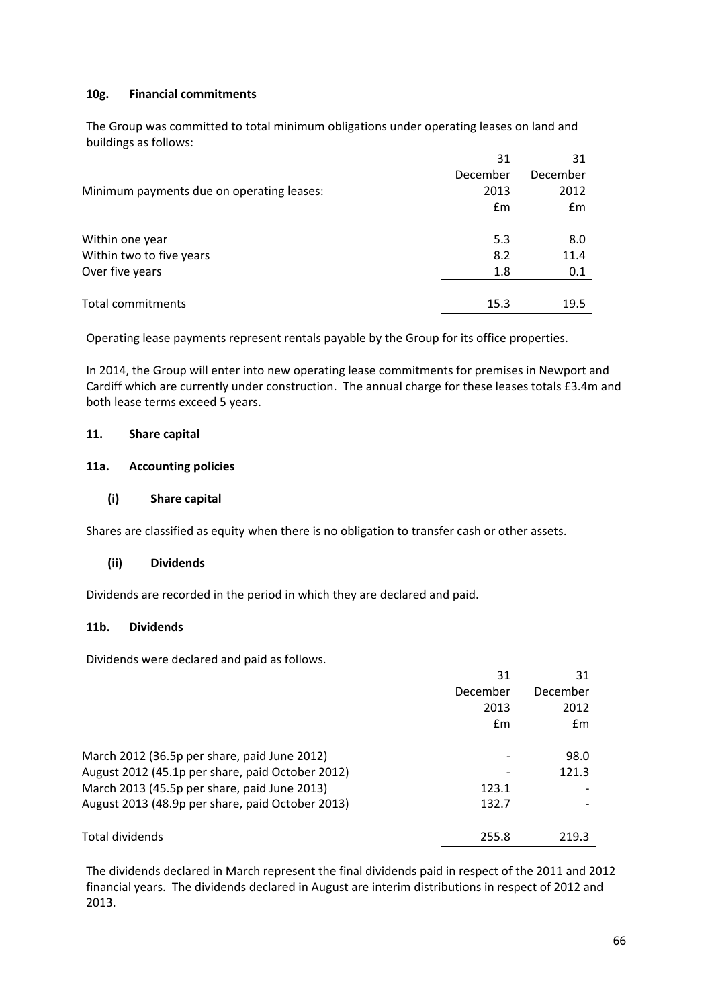## **10g. Financial commitments**

The Group was committed to total minimum obligations under operating leases on land and buildings as follows:

|                                           | 31       | 31       |
|-------------------------------------------|----------|----------|
|                                           | December | December |
| Minimum payments due on operating leases: | 2013     | 2012     |
|                                           | Em       | £m       |
| Within one year                           | 5.3      | 8.0      |
| Within two to five years                  | 8.2      | 11.4     |
| Over five years                           | 1.8      | 0.1      |
|                                           |          |          |
| Total commitments                         | 15.3     | 19.5     |

Operating lease payments represent rentals payable by the Group for its office properties.

In 2014, the Group will enter into new operating lease commitments for premises in Newport and Cardiff which are currently under construction. The annual charge for these leases totals £3.4m and both lease terms exceed 5 years.

#### **11. Share capital**

#### **11a. Accounting policies**

#### **(i) Share capital**

Shares are classified as equity when there is no obligation to transfer cash or other assets.

#### **(ii) Dividends**

Dividends are recorded in the period in which they are declared and paid.

#### **11b. Dividends**

Dividends were declared and paid as follows.

|                                                  | 31       | 31       |
|--------------------------------------------------|----------|----------|
|                                                  | December | December |
|                                                  | 2013     | 2012     |
|                                                  | Em       | £m       |
| March 2012 (36.5p per share, paid June 2012)     |          | 98.0     |
| August 2012 (45.1p per share, paid October 2012) |          | 121.3    |
| March 2013 (45.5p per share, paid June 2013)     | 123.1    |          |
| August 2013 (48.9p per share, paid October 2013) | 132.7    |          |
|                                                  |          |          |
| Total dividends                                  | 255.8    | 219.3    |

The dividends declared in March represent the final dividends paid in respect of the 2011 and 2012 financial years. The dividends declared in August are interim distributions in respect of 2012 and 2013.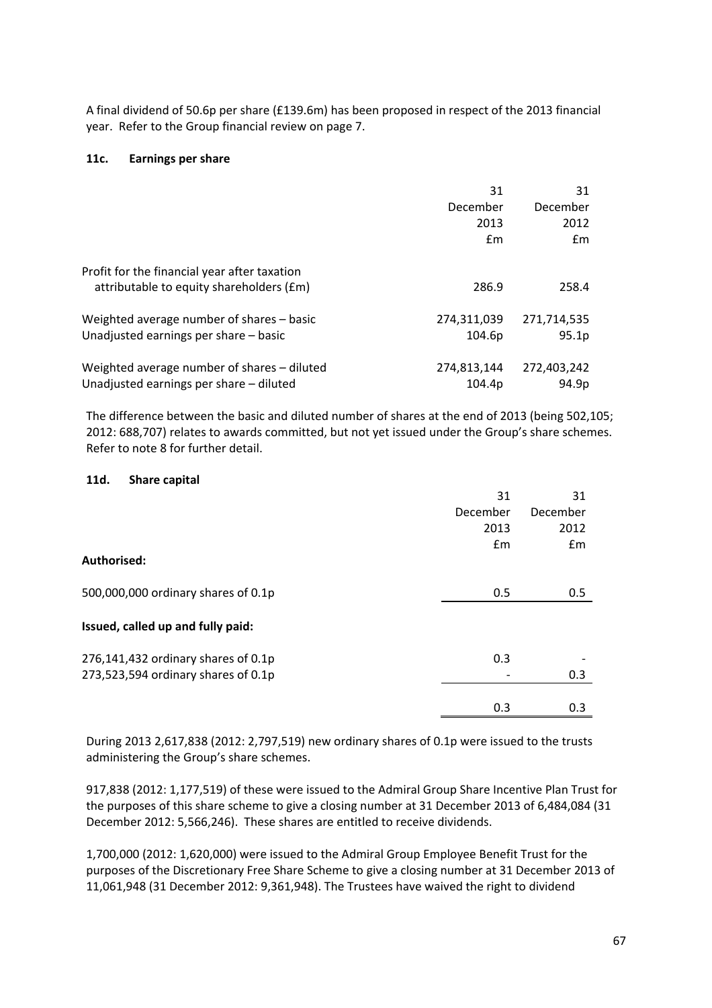A final dividend of 50.6p per share (£139.6m) has been proposed in respect of the 2013 financial year. Refer to the Group financial review on page 7.

#### **11c. Earnings per share**

| 31          | 31                |
|-------------|-------------------|
| December    | December          |
| 2013        | 2012              |
| Em          | £m                |
|             |                   |
| 286.9       | 258.4             |
| 274.311.039 | 271.714.535       |
| 104.6p      | 95.1p             |
| 274.813.144 | 272,403,242       |
| 104.4p      | 94.9 <sub>p</sub> |
|             |                   |

The difference between the basic and diluted number of shares at the end of 2013 (being 502,105; 2012: 688,707) relates to awards committed, but not yet issued under the Group's share schemes. Refer to note 8 for further detail.

#### **11d. Share capital**

|                                     | 31       | 31       |
|-------------------------------------|----------|----------|
|                                     | December | December |
|                                     | 2013     | 2012     |
|                                     | Em       | Em       |
| Authorised:                         |          |          |
| 500,000,000 ordinary shares of 0.1p | 0.5      | 0.5      |
| Issued, called up and fully paid:   |          |          |
| 276,141,432 ordinary shares of 0.1p | 0.3      |          |
| 273,523,594 ordinary shares of 0.1p |          | 0.3      |
|                                     |          |          |
|                                     | 0.3      | 0.3      |

During 2013 2,617,838 (2012: 2,797,519) new ordinary shares of 0.1p were issued to the trusts administering the Group's share schemes.

917,838 (2012: 1,177,519) of these were issued to the Admiral Group Share Incentive Plan Trust for the purposes of this share scheme to give a closing number at 31 December 2013 of 6,484,084 (31 December 2012: 5,566,246). These shares are entitled to receive dividends.

1,700,000 (2012: 1,620,000) were issued to the Admiral Group Employee Benefit Trust for the purposes of the Discretionary Free Share Scheme to give a closing number at 31 December 2013 of 11,061,948 (31 December 2012: 9,361,948). The Trustees have waived the right to dividend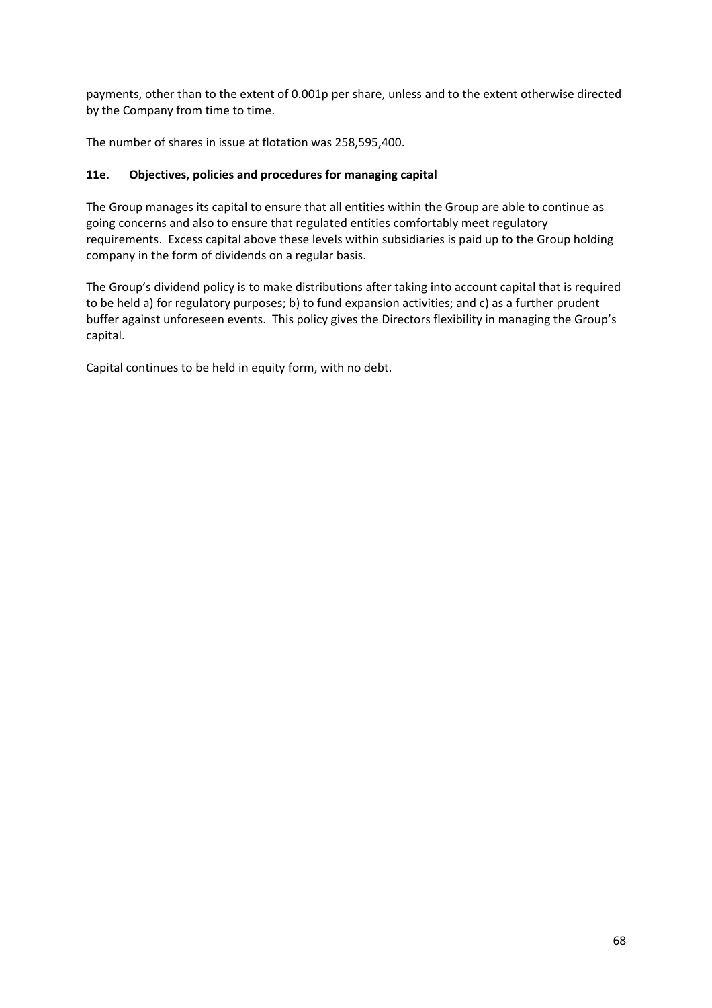payments, other than to the extent of 0.001p per share, unless and to the extent otherwise directed by the Company from time to time.

The number of shares in issue at flotation was 258,595,400.

## **11e. Objectives, policies and procedures for managing capital**

The Group manages its capital to ensure that all entities within the Group are able to continue as going concerns and also to ensure that regulated entities comfortably meet regulatory requirements. Excess capital above these levels within subsidiaries is paid up to the Group holding company in the form of dividends on a regular basis.

The Group's dividend policy is to make distributions after taking into account capital that is required to be held a) for regulatory purposes; b) to fund expansion activities; and c) as a further prudent buffer against unforeseen events. This policy gives the Directors flexibility in managing the Group's capital.

Capital continues to be held in equity form, with no debt.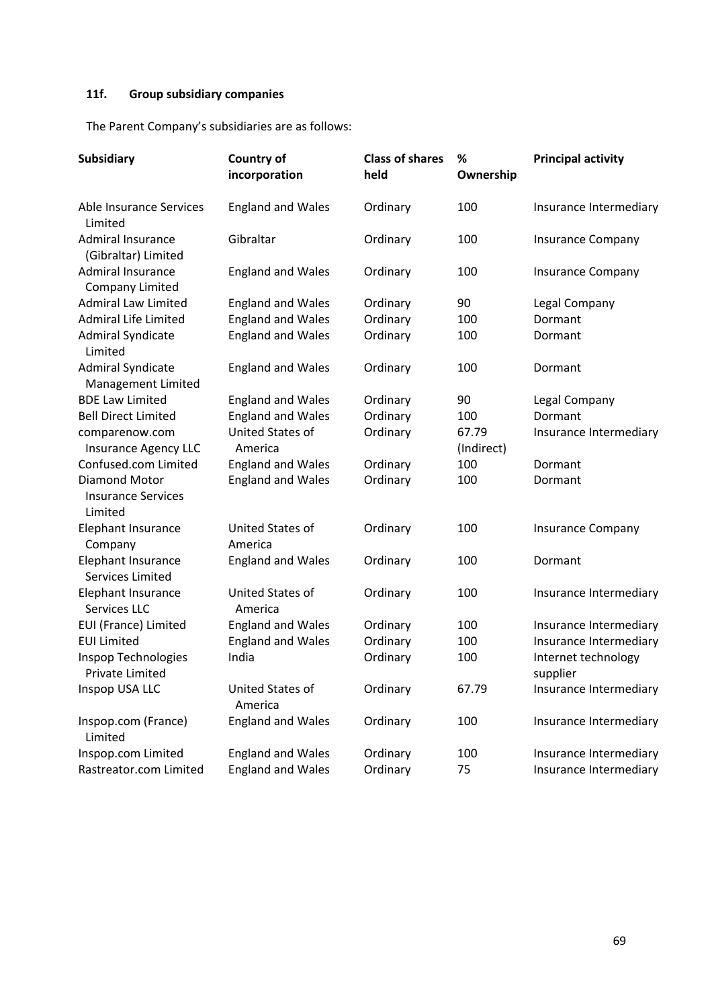# **11f. Group subsidiary companies**

The Parent Company's subsidiaries are as follows:

| <b>Subsidiary</b>                                            | <b>Country of</b><br>incorporation | <b>Class of shares</b><br>held | %<br>Ownership | <b>Principal activity</b>       |
|--------------------------------------------------------------|------------------------------------|--------------------------------|----------------|---------------------------------|
| Able Insurance Services<br>Limited                           | <b>England and Wales</b>           | Ordinary                       | 100            | Insurance Intermediary          |
| Admiral Insurance<br>(Gibraltar) Limited                     | Gibraltar                          | Ordinary                       | 100            | <b>Insurance Company</b>        |
| <b>Admiral Insurance</b><br><b>Company Limited</b>           | <b>England and Wales</b>           | Ordinary                       | 100            | <b>Insurance Company</b>        |
| <b>Admiral Law Limited</b>                                   | <b>England and Wales</b>           | Ordinary                       | 90             | Legal Company                   |
| <b>Admiral Life Limited</b>                                  | <b>England and Wales</b>           | Ordinary                       | 100            | Dormant                         |
| <b>Admiral Syndicate</b><br>Limited                          | <b>England and Wales</b>           | Ordinary                       | 100            | Dormant                         |
| <b>Admiral Syndicate</b><br><b>Management Limited</b>        | <b>England and Wales</b>           | Ordinary                       | 100            | Dormant                         |
| <b>BDE Law Limited</b>                                       | <b>England and Wales</b>           | Ordinary                       | 90             | Legal Company                   |
| <b>Bell Direct Limited</b>                                   | <b>England and Wales</b>           | Ordinary                       | 100            | Dormant                         |
| comparenow.com                                               | <b>United States of</b>            | Ordinary                       | 67.79          | Insurance Intermediary          |
| <b>Insurance Agency LLC</b>                                  | America                            |                                | (Indirect)     |                                 |
| Confused.com Limited                                         | <b>England and Wales</b>           | Ordinary                       | 100            | Dormant                         |
| <b>Diamond Motor</b><br><b>Insurance Services</b><br>Limited | <b>England and Wales</b>           | Ordinary                       | 100            | Dormant                         |
| Elephant Insurance<br>Company                                | United States of<br>America        | Ordinary                       | 100            | <b>Insurance Company</b>        |
| Elephant Insurance<br>Services Limited                       | <b>England and Wales</b>           | Ordinary                       | 100            | Dormant                         |
| Elephant Insurance<br>Services LLC                           | United States of<br>America        | Ordinary                       | 100            | Insurance Intermediary          |
| EUI (France) Limited                                         | <b>England and Wales</b>           | Ordinary                       | 100            | Insurance Intermediary          |
| <b>EUI Limited</b>                                           | <b>England and Wales</b>           | Ordinary                       | 100            | Insurance Intermediary          |
| <b>Inspop Technologies</b><br><b>Private Limited</b>         | India                              | Ordinary                       | 100            | Internet technology<br>supplier |
| Inspop USA LLC                                               | <b>United States of</b><br>America | Ordinary                       | 67.79          | Insurance Intermediary          |
| Inspop.com (France)<br>Limited                               | <b>England and Wales</b>           | Ordinary                       | 100            | Insurance Intermediary          |
| Inspop.com Limited                                           | <b>England and Wales</b>           | Ordinary                       | 100            | Insurance Intermediary          |
| Rastreator.com Limited                                       | <b>England and Wales</b>           | Ordinary                       | 75             | Insurance Intermediary          |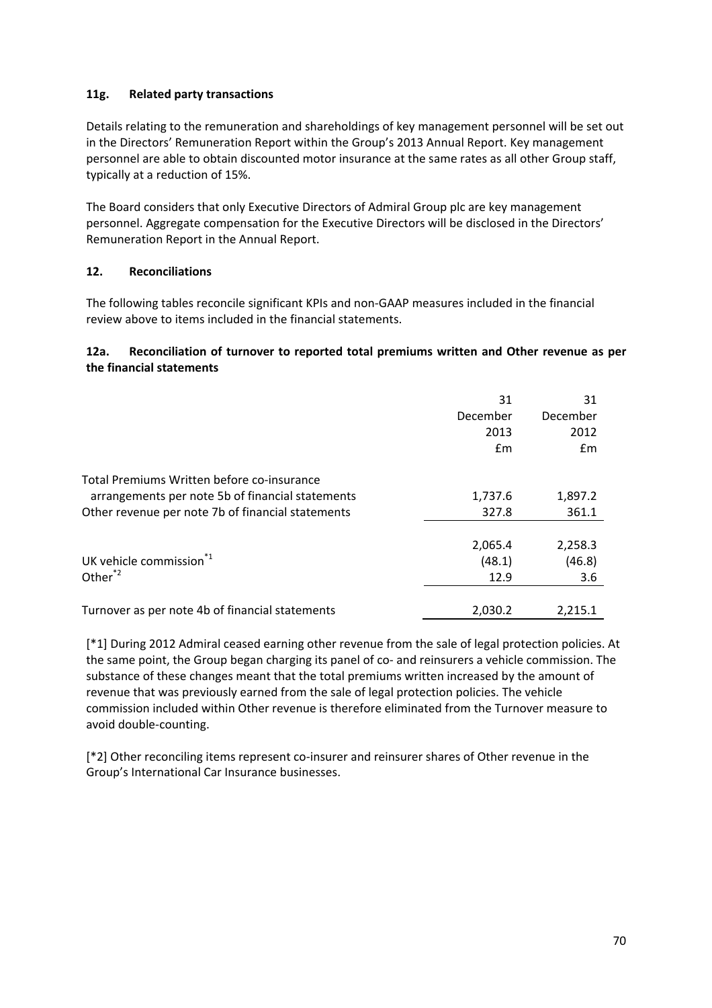## **11g. Related party transactions**

Details relating to the remuneration and shareholdings of key management personnel will be set out in the Directors' Remuneration Report within the Group's 2013 Annual Report. Key management personnel are able to obtain discounted motor insurance at the same rates as all other Group staff, typically at a reduction of 15%.

The Board considers that only Executive Directors of Admiral Group plc are key management personnel. Aggregate compensation for the Executive Directors will be disclosed in the Directors' Remuneration Report in the Annual Report.

## **12. Reconciliations**

The following tables reconcile significant KPIs and non-GAAP measures included in the financial review above to items included in the financial statements.

## **12a. Reconciliation of turnover to reported total premiums written and Other revenue as per the financial statements**

|                                                   | 31       | 31       |
|---------------------------------------------------|----------|----------|
|                                                   | December | December |
|                                                   | 2013     | 2012     |
|                                                   | Em       | £m       |
| Total Premiums Written before co-insurance        |          |          |
| arrangements per note 5b of financial statements  | 1,737.6  | 1,897.2  |
| Other revenue per note 7b of financial statements | 327.8    | 361.1    |
|                                                   | 2,065.4  | 2,258.3  |
| UK vehicle commission <sup>*1</sup>               | (48.1)   | (46.8)   |
| Other <sup>*2</sup>                               | 12.9     | 3.6      |
| Turnover as per note 4b of financial statements   | 2,030.2  | 2,215.1  |

[\*1] During 2012 Admiral ceased earning other revenue from the sale of legal protection policies. At the same point, the Group began charging its panel of co- and reinsurers a vehicle commission. The substance of these changes meant that the total premiums written increased by the amount of revenue that was previously earned from the sale of legal protection policies. The vehicle commission included within Other revenue is therefore eliminated from the Turnover measure to avoid double-counting.

[\*2] Other reconciling items represent co-insurer and reinsurer shares of Other revenue in the Group's International Car Insurance businesses.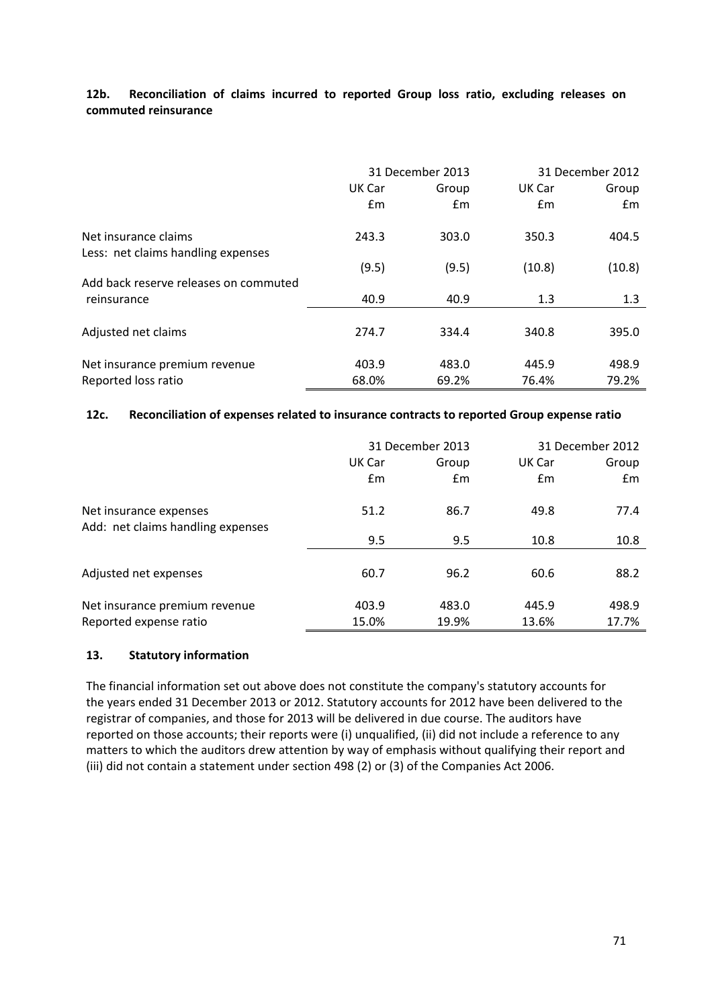# **12b. Reconciliation of claims incurred to reported Group loss ratio, excluding releases on commuted reinsurance**

|                                       | 31 December 2013 |       | 31 December 2012 |        |
|---------------------------------------|------------------|-------|------------------|--------|
|                                       | UK Car           | Group | UK Car           | Group  |
|                                       | Em               | Em    | $\mathsf{fm}$    | fm     |
| Net insurance claims                  | 243.3            | 303.0 | 350.3            | 404.5  |
| Less: net claims handling expenses    | (9.5)            | (9.5) | (10.8)           | (10.8) |
| Add back reserve releases on commuted |                  |       |                  |        |
| reinsurance                           | 40.9             | 40.9  | 1.3              | 1.3    |
|                                       |                  |       |                  |        |
| Adjusted net claims                   | 274.7            | 334.4 | 340.8            | 395.0  |
| Net insurance premium revenue         | 403.9            | 483.0 | 445.9            | 498.9  |
| Reported loss ratio                   | 68.0%            | 69.2% | 76.4%            | 79.2%  |

### **12c. Reconciliation of expenses related to insurance contracts to reported Group expense ratio**

|                                                             | 31 December 2013 |       |        | 31 December 2012 |
|-------------------------------------------------------------|------------------|-------|--------|------------------|
|                                                             | UK Car           | Group | UK Car | Group            |
|                                                             | $\mathsf{fm}$    | £m    | £m     | £m               |
| Net insurance expenses<br>Add: net claims handling expenses | 51.2             | 86.7  | 49.8   | 77.4             |
|                                                             | 9.5              | 9.5   | 10.8   | 10.8             |
| Adjusted net expenses                                       | 60.7             | 96.2  | 60.6   | 88.2             |
| Net insurance premium revenue                               | 403.9            | 483.0 | 445.9  | 498.9            |
| Reported expense ratio                                      | 15.0%            | 19.9% | 13.6%  | 17.7%            |

#### **13. Statutory information**

The financial information set out above does not constitute the company's statutory accounts for the years ended 31 December 2013 or 2012. Statutory accounts for 2012 have been delivered to the registrar of companies, and those for 2013 will be delivered in due course. The auditors have reported on those accounts; their reports were (i) unqualified, (ii) did not include a reference to any matters to which the auditors drew attention by way of emphasis without qualifying their report and (iii) did not contain a statement under section 498 (2) or (3) of the Companies Act 2006.